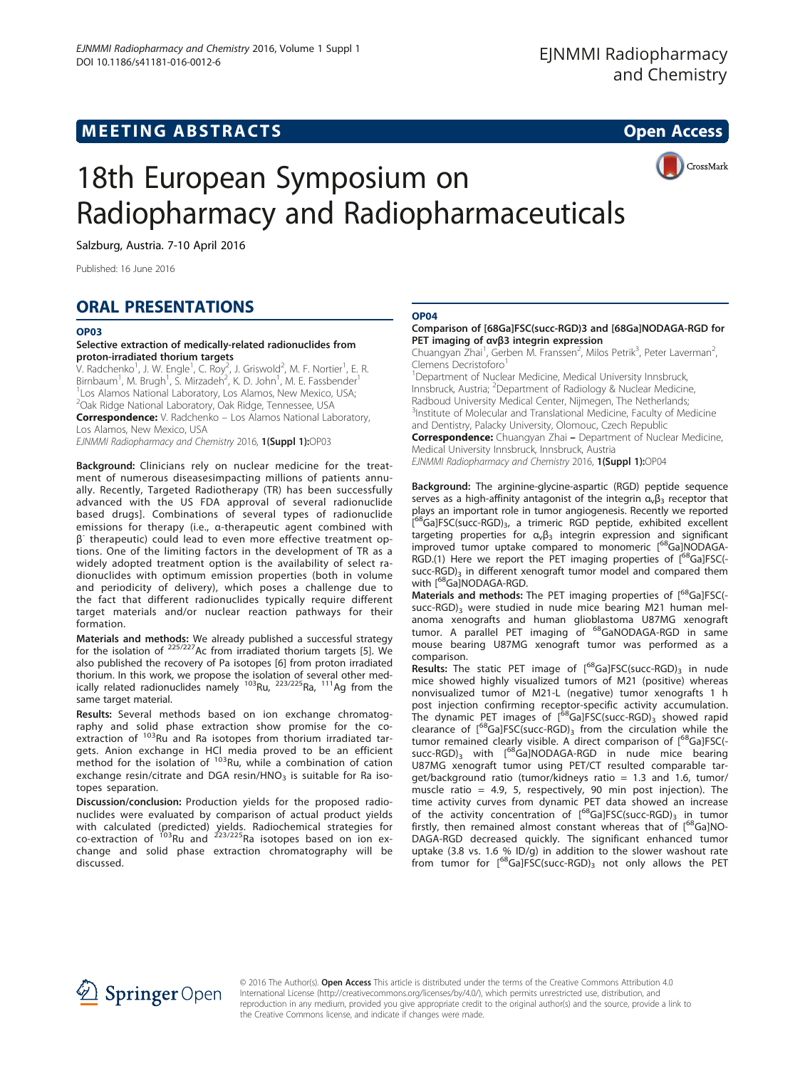# MEETING ABSTRACTS AND RESERVE THE STATE OPEN ACCESS



# 18th European Symposium on Radiopharmacy and Radiopharmaceuticals

Salzburg, Austria. 7-10 April 2016

Published: 16 June 2016

# ORAL PRESENTATIONS

### OP03

#### Selective extraction of medically-related radionuclides from proton-irradiated thorium targets

V. Radchenko<sup>1</sup>, J. W. Engle<sup>1</sup>, C. Roy<sup>2</sup>, J. Griswold<sup>2</sup>, M. F. Nortier<sup>1</sup>, E. R. Birnbaum<sup>1</sup>, M. Brugh<sup>1</sup>, S. Mirzadeh<sup>2</sup>, K. D. John<sup>1</sup>, M. E. Fassbender<sup>1</sup> <sup>1</sup> Los Alamos National Laboratory, Los Alamos, New Mexico, USA; 2 Oak Ridge National Laboratory, Oak Ridge, Tennessee, USA Correspondence: V. Radchenko - Los Alamos National Laboratory, Los Alamos, New Mexico, USA

EJNMMI Radiopharmacy and Chemistry 2016, 1(Suppl 1):OP03

Background: Clinicians rely on nuclear medicine for the treatment of numerous diseasesimpacting millions of patients annually. Recently, Targeted Radiotherapy (TR) has been successfully advanced with the US FDA approval of several radionuclide based drugs]. Combinations of several types of radionuclide emissions for therapy (i.e., α-therapeutic agent combined with β- therapeutic) could lead to even more effective treatment options. One of the limiting factors in the development of TR as a widely adopted treatment option is the availability of select radionuclides with optimum emission properties (both in volume and periodicity of delivery), which poses a challenge due to the fact that different radionuclides typically require different target materials and/or nuclear reaction pathways for their formation.

Materials and methods: We already published a successful strategy<br>for the isolation of <sup>225/227</sup>Ac from irradiated thorium targets [5]. We also published the recovery of Pa isotopes [6] from proton irradiated thorium. In this work, we propose the isolation of several other med-<br>ically related radionuclides namely <sup>103</sup>Ru, <sup>223/225</sup>Ra, <sup>111</sup>Ag from the same target material.

Results: Several methods based on ion exchange chromatography and solid phase extraction show promise for the coextraction of <sup>103</sup>Ru and Ra isotopes from thorium irradiated targets. Anion exchange in HCl media proved to be an efficient method for the isolation of <sup>103</sup>Ru, while a combination of cation exchange resin/citrate and DGA resin/HNO<sub>3</sub> is suitable for Ra isotopes separation.

Discussion/conclusion: Production yields for the proposed radionuclides were evaluated by comparison of actual product yields with calculated (predicted) yields. Radiochemical strategies for<br>co-extraction of <sup>103</sup>Ru and <sup>223/225</sup>Ra isotopes based on ion exchange and solid phase extraction chromatography will be discussed.

### OP04

Comparison of [68Ga]FSC(succ-RGD)3 and [68Ga]NODAGA-RGD for PET imaging of αvβ3 integrin expression

Chuangyan Zhai<sup>1</sup>, Gerben M. Franssen<sup>2</sup>, Milos Petrik<sup>3</sup>, Peter Laverman<sup>2</sup> , Clemens Decristoforo<sup>1</sup>

<sup>1</sup>Department of Nuclear Medicine, Medical University Innsbruck Innsbruck, Austria; <sup>2</sup> Department of Radiology & Nuclear Medicine, Radboud University Medical Center, Nijmegen, The Netherlands; <sup>3</sup>Institute of Molecular and Translational Medicine, Faculty of Medicine and Dentistry, Palacky University, Olomouc, Czech Republic

**Correspondence:** Chuangyan Zhai - Department of Nuclear Medicine, Medical University Innsbruck, Innsbruck, Austria

EJNMMI Radiopharmacy and Chemistry 2016, 1(Suppl 1):OP04

Background: The arginine-glycine-aspartic (RGD) peptide sequence serves as a high-affinity antagonist of the integrin  $\alpha_{\nu} \beta_3$  receptor that plays an important role in tumor angiogenesis. Recently we reported [<sup>68</sup>Ga]FSC(succ-RGD)<sub>3</sub>, a trimeric RGD peptide, exhibited excellent targeting properties for  $\alpha_v\beta_3$  integrin expression and significant improved tumor uptake compared to monomeric [68Ga]NODAGA-RGD.(1) Here we report the PET imaging properties of [<sup>68</sup>Ga]FSC(succ-RGD) $_3$  in different xenograft tumor model and compared them with [<sup>68</sup>Ga]NODAGA-RGD.

Materials and methods: The PET imaging properties of [<sup>68</sup>Ga]FSC(succ-RGD) $_3$  were studied in nude mice bearing M21 human melanoma xenografts and human glioblastoma U87MG xenograft tumor. A parallel PET imaging of <sup>68</sup>GaNODAGA-RGD in same mouse bearing U87MG xenograft tumor was performed as a comparison.

Results: The static PET image of  $[{}^{68}$ Ga]FSC(succ-RGD)<sub>3</sub> in nude mice showed highly visualized tumors of M21 (positive) whereas nonvisualized tumor of M21-L (negative) tumor xenografts 1 h post injection confirming receptor-specific activity accumulation.<br>The dynamic PET images of [<sup>68</sup>Ga]FSC(succ-RGD)<sub>3</sub> showed rapid clearance of  $[{}^{68}Ga]FSC(succ-RGD)_3$  from the circulation while the tumor remained clearly visible. A direct comparison of [<sup>68</sup>Ga]FSC(succ-RGD)<sub>3</sub> with  $1^{68}$ Ga]NODAGA-RGD in nude mice bearing U87MG xenograft tumor using PET/CT resulted comparable target/background ratio (tumor/kidneys ratio = 1.3 and 1.6, tumor/ muscle ratio = 4.9, 5, respectively, 90 min post injection). The time activity curves from dynamic PET data showed an increase of the activity concentration of  $[{}^{68}Ga]FSC(succ-RGD)$ <sub>3</sub> in tumor firstly, then remained almost constant whereas that of  $[<sup>68</sup>Ga]NO-$ DAGA-RGD decreased quickly. The significant enhanced tumor uptake (3.8 vs. 1.6 %  $|D/q|$  in addition to the slower washout rate from tumor for  $[{}^{68}Ga]FSC(succ-RGD)_{3}$  not only allows the PET



© 2016 The Author(s). Open Access This article is distributed under the terms of the Creative Commons Attribution 4.0 International License [\(http://creativecommons.org/licenses/by/4.0/](http://creativecommons.org/licenses/by/4.0/)), which permits unrestricted use, distribution, and reproduction in any medium, provided you give appropriate credit to the original author(s) and the source, provide a link to the Creative Commons license, and indicate if changes were made.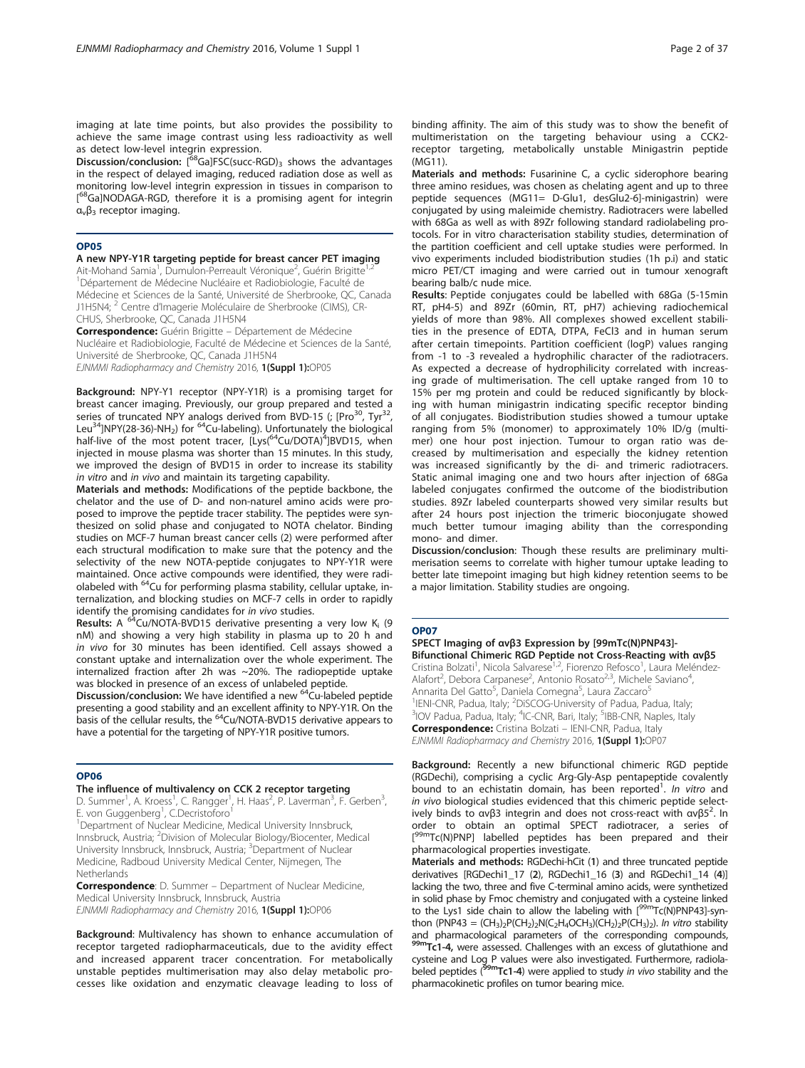imaging at late time points, but also provides the possibility to achieve the same image contrast using less radioactivity as well as detect low-level integrin expression.

**Discussion/conclusion:**  $\overline{[}^{68}$ Ga]FSC(succ-RGD)<sub>3</sub> shows the advantages in the respect of delayed imaging, reduced radiation dose as well as monitoring low-level integrin expression in tissues in comparison to [<sup>68</sup>Ga]NODAGA-RGD, therefore it is a promising agent for integrin α<sub>ν</sub>β<sub>3</sub> receptor imaging.

#### OP05

#### A new NPY-Y1R targeting peptide for breast cancer PET imaging

Ait-Mohand Samia<sup>1</sup>, Dumulon-Perreault Véronique<sup>2</sup>, Guérin Brigitte<sup>1,2</sup> 1 Département de Médecine Nucléaire et Radiobiologie, Faculté de Médecine et Sciences de la Santé, Université de Sherbrooke, QC, Canada J1H5N4; <sup>2</sup> Centre d'Imagerie Moléculaire de Sherbrooke (CIMS), CR-CHUS, Sherbrooke, QC, Canada J1H5N4

Correspondence: Guérin Brigitte – Département de Médecine Nucléaire et Radiobiologie, Faculté de Médecine et Sciences de la Santé, Université de Sherbrooke, QC, Canada J1H5N4 EJNMMI Radiopharmacy and Chemistry 2016, 1(Suppl 1):OP05

Background: NPY-Y1 receptor (NPY-Y1R) is a promising target for breast cancer imaging. Previously, our group prepared and tested a series of truncated NPY analogs derived from BVD-15 (;  $[Pro^{30}, Tvr^{32}]$ Leu<sup>34</sup>]NPY(28-36)-NH<sub>2</sub>) for <sup>64</sup>Cu-labeling). Unfortunately the biological half-live of the most potent tracer, [Lys(<sup>64</sup>Cu/DOTA)<sup>4</sup>]BVD15, when injected in mouse plasma was shorter than 15 minutes. In this study, we improved the design of BVD15 in order to increase its stability in vitro and in vivo and maintain its targeting capability.

Materials and methods: Modifications of the peptide backbone, the chelator and the use of D- and non-naturel amino acids were proposed to improve the peptide tracer stability. The peptides were synthesized on solid phase and conjugated to NOTA chelator. Binding studies on MCF-7 human breast cancer cells (2) were performed after each structural modification to make sure that the potency and the selectivity of the new NOTA-peptide conjugates to NPY-Y1R were maintained. Once active compounds were identified, they were radiolabeled with 64Cu for performing plasma stability, cellular uptake, internalization, and blocking studies on MCF-7 cells in order to rapidly identify the promising candidates for in vivo studies.

Results: A  $^{64}$ Cu/NOTA-BVD15 derivative presenting a very low K<sub>i</sub> (9) nM) and showing a very high stability in plasma up to 20 h and in vivo for 30 minutes has been identified. Cell assays showed a constant uptake and internalization over the whole experiment. The internalized fraction after 2h was ~20%. The radiopeptide uptake was blocked in presence of an excess of unlabeled peptide.

Discussion/conclusion: We have identified a new <sup>64</sup>Cu-labeled peptide presenting a good stability and an excellent affinity to NPY-Y1R. On the basis of the cellular results, the <sup>64</sup>Cu/NOTA-BVD15 derivative appears to have a potential for the targeting of NPY-Y1R positive tumors.

#### OP06

#### The influence of multivalency on CCK 2 receptor targeting

D. Summer<sup>1</sup>, A. Kroess<sup>1</sup>, C. Rangger<sup>1</sup>, H. Haas<sup>2</sup>, P. Laverman<sup>3</sup>, F. Gerben<sup>3</sup> , E. von Guggenberg<sup>1</sup>, C.Decristoforo<sup>1</sup>

<sup>1</sup>Department of Nuclear Medicine, Medical University Innsbruck, Innsbruck, Austria; <sup>2</sup> Division of Molecular Biology/Biocenter, Medical University Innsbruck, Innsbruck, Austria; <sup>3</sup>Department of Nuclear Medicine, Radboud University Medical Center, Nijmegen, The

Netherlands Correspondence: D. Summer – Department of Nuclear Medicine, Medical University Innsbruck, Innsbruck, Austria

EJNMMI Radiopharmacy and Chemistry 2016, 1(Suppl 1):OP06

Background: Multivalency has shown to enhance accumulation of receptor targeted radiopharmaceuticals, due to the avidity effect and increased apparent tracer concentration. For metabolically unstable peptides multimerisation may also delay metabolic processes like oxidation and enzymatic cleavage leading to loss of

binding affinity. The aim of this study was to show the benefit of multimeristation on the targeting behaviour using a CCK2 receptor targeting, metabolically unstable Minigastrin peptide (MG11).

Materials and methods: Fusarinine C, a cyclic siderophore bearing three amino residues, was chosen as chelating agent and up to three peptide sequences (MG11= D-Glu1, desGlu2-6]-minigastrin) were conjugated by using maleimide chemistry. Radiotracers were labelled with 68Ga as well as with 89Zr following standard radiolabeling protocols. For in vitro characterisation stability studies, determination of the partition coefficient and cell uptake studies were performed. In vivo experiments included biodistribution studies (1h p.i) and static micro PET/CT imaging and were carried out in tumour xenograft bearing balb/c nude mice.

Results: Peptide conjugates could be labelled with 68Ga (5-15min RT, pH4-5) and 89Zr (60min, RT, pH7) achieving radiochemical yields of more than 98%. All complexes showed excellent stabilities in the presence of EDTA, DTPA, FeCl3 and in human serum after certain timepoints. Partition coefficient (logP) values ranging from -1 to -3 revealed a hydrophilic character of the radiotracers. As expected a decrease of hydrophilicity correlated with increasing grade of multimerisation. The cell uptake ranged from 10 to 15% per mg protein and could be reduced significantly by blocking with human minigastrin indicating specific receptor binding of all conjugates. Biodistribution studies showed a tumour uptake ranging from 5% (monomer) to approximately 10% ID/g (multimer) one hour post injection. Tumour to organ ratio was decreased by multimerisation and especially the kidney retention was increased significantly by the di- and trimeric radiotracers. Static animal imaging one and two hours after injection of 68Ga labeled conjugates confirmed the outcome of the biodistribution studies. 89Zr labeled counterparts showed very similar results but after 24 hours post injection the trimeric bioconjugate showed much better tumour imaging ability than the corresponding mono- and dimer.

Discussion/conclusion: Though these results are preliminary multimerisation seems to correlate with higher tumour uptake leading to better late timepoint imaging but high kidney retention seems to be a major limitation. Stability studies are ongoing.

#### OP07

SPECT Imaging of αvβ3 Expression by [99mTc(N)PNP43]- Bifunctional Chimeric RGD Peptide not Cross-Reacting with αvβ5 Cristina Bolzati<sup>1</sup>, Nicola Salvarese<sup>1,2</sup>, Fiorenzo Refosco<sup>1</sup>, Laura Meléndez-Alafort<sup>2</sup>, Debora Carpanese<sup>2</sup>, Antonio Rosato<sup>2,3</sup>, Michele Saviano<sup>4</sup> , Annarita Del Gatto<sup>5</sup>, Daniela Comegna<sup>5</sup>, Laura Zaccaro<sup>5</sup> <sup>1</sup> IENI-CNR, Padua, Italy; <sup>2</sup>DiSCOG-University of Padua, Padua, Italy<br><sup>3</sup>IOV Padua, Padua, Italy: <sup>4</sup>IC CNP, Pari, Italy: <sup>5</sup>IPP CNP, Naples, Italy IOV Padua, Padua, Italy; <sup>4</sup>IC-CNR, Bari, Italy; <sup>5</sup>IBB-CNR, Naples, Italy Correspondence: Cristina Bolzati – IENI-CNR, Padua, Italy EJNMMI Radiopharmacy and Chemistry 2016, 1(Suppl 1):OP07

Background: Recently a new bifunctional chimeric RGD peptide (RGDechi), comprising a cyclic Arg-Gly-Asp pentapeptide covalently bound to an echistatin domain, has been reported<sup>1</sup>. In vitro and in vivo biological studies evidenced that this chimeric peptide selectively binds to ανβ3 integrin and does not cross-react with  $\alpha\beta5^2$ . In order to obtain an optimal SPECT radiotracer, a series of [<sup>99m</sup>Tc(N)PNP] labelled peptides has been prepared and their pharmacological properties investigate.

Materials and methods: RGDechi-hCit (1) and three truncated peptide derivatives [RGDechi1\_17 (2), RGDechi1\_16 (3) and RGDechi1\_14 (4)] lacking the two, three and five C-terminal amino acids, were synthetized in solid phase by Fmoc chemistry and conjugated with a cysteine linked to the Lys1 side chain to allow the labeling with  $[<sup>99m</sup>Tc(N)PNP43]-syn$ thon (PNP43 =  $(CH_3)_2P(CH_2)_2N(C_2H_4OCH_3)(CH_2)_2P(CH_3)_2$ ). In vitro stability and pharmacological parameters of the corresponding compounds, 99mTc1-4, were assessed. Challenges with an excess of glutathione and cysteine and Log P values were also investigated. Furthermore, radiolabeled peptides (<sup>99m</sup>Tc1-4) were applied to study in vivo stability and the pharmacokinetic profiles on tumor bearing mice.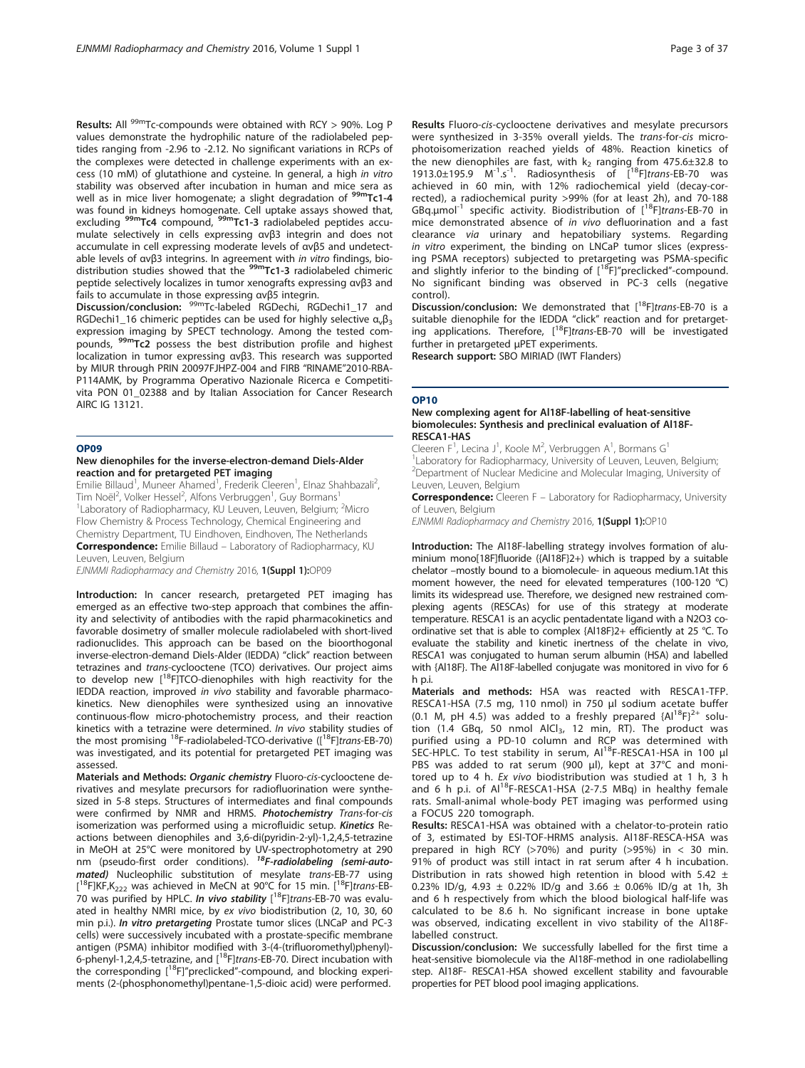Results: All 99mTc-compounds were obtained with RCY > 90%. Log P values demonstrate the hydrophilic nature of the radiolabeled peptides ranging from -2.96 to -2.12. No significant variations in RCPs of the complexes were detected in challenge experiments with an excess (10 mM) of glutathione and cysteine. In general, a high in vitro stability was observed after incubation in human and mice sera as well as in mice liver homogenate; a slight degradation of <sup>99m</sup>Tc1-4 was found in kidneys homogenate. Cell uptake assays showed that, excluding <sup>99m</sup>Tc4 compound, <sup>99m</sup>Tc1-3 radiolabeled peptides accumulate selectively in cells expressing αvβ3 integrin and does not accumulate in cell expressing moderate levels of αvβ5 and undetectable levels of αvβ3 integrins. In agreement with in vitro findings, biodistribution studies showed that the <sup>99m</sup>Tc1-3 radiolabeled chimeric peptide selectively localizes in tumor xenografts expressing αvβ3 and fails to accumulate in those expressing αvβ5 integrin.

Discussion/conclusion: <sup>99m</sup>Tc-labeled RGDechi, RGDechi1\_17 and RGDechi1\_16 chimeric peptides can be used for highly selective  $\alpha_{\nu}\beta_3$ expression imaging by SPECT technology. Among the tested compounds, 99mTc2 possess the best distribution profile and highest localization in tumor expressing αvβ3. This research was supported by MIUR through PRIN 20097FJHPZ-004 and FIRB "RINAME"2010-RBA-P114AMK, by Programma Operativo Nazionale Ricerca e Competitivita PON 01 02388 and by Italian Association for Cancer Research AIRC IG 13121.

#### **OP09**

#### New dienophiles for the inverse-electron-demand Diels-Alder reaction and for pretargeted PET imaging

Emilie Billaud<sup>1</sup>, Muneer Ahamed<sup>1</sup>, Frederik Cleeren<sup>1</sup>, Elnaz Shahbazali<sup>2</sup> , Tim Noël<sup>2</sup>, Volker Hessel<sup>2</sup>, Alfons Verbruggen<sup>1</sup>, Guy Bormans<sup>1</sup> <sup>1</sup> Laboratory of Radiopharmacy, KU Leuven, Leuven, Belgium; <sup>2</sup> Micro Flow Chemistry & Process Technology, Chemical Engineering and Chemistry Department, TU Eindhoven, Eindhoven, The Netherlands Correspondence: Emilie Billaud - Laboratory of Radiopharmacy, KU Leuven, Leuven, Belgium

EJNMMI Radiopharmacy and Chemistry 2016, 1(Suppl 1):OP09

Introduction: In cancer research, pretargeted PET imaging has emerged as an effective two-step approach that combines the affinity and selectivity of antibodies with the rapid pharmacokinetics and favorable dosimetry of smaller molecule radiolabeled with short-lived radionuclides. This approach can be based on the bioorthogonal inverse-electron-demand Diels-Alder (IEDDA) "click" reaction between tetrazines and trans-cyclooctene (TCO) derivatives. Our project aims to develop new  $[$ <sup>18</sup>F]TCO-dienophiles with high reactivity for the IEDDA reaction, improved in vivo stability and favorable pharmacokinetics. New dienophiles were synthesized using an innovative continuous-flow micro-photochemistry process, and their reaction kinetics with a tetrazine were determined. In vivo stability studies of<br>the most promising <sup>18</sup>F-radiolabeled-TCO-derivative ([<sup>18</sup>F]*trans*-EB-70) was investigated, and its potential for pretargeted PET imaging was assessed.

Materials and Methods: Organic chemistry Fluoro-cis-cyclooctene derivatives and mesylate precursors for radiofluorination were synthesized in 5-8 steps. Structures of intermediates and final compounds were confirmed by NMR and HRMS. Photochemistry Trans-for-cis isomerization was performed using a microfluidic setup. Kinetics Reactions between dienophiles and 3,6-di(pyridin-2-yl)-1,2,4,5-tetrazine in MeOH at 25°C were monitored by UV-spectrophotometry at 290<br>nm (pseudo-first order conditions). <sup>18</sup>F-radiolabeling (semi-automated) Nucleophilic substitution of mesylate trans-EB-77 using [<sup>18</sup>F]KF,K<sub>222</sub> was achieved in MeCN at 90°C for 15 min. [<sup>18</sup>F]trans-EB-70 was purified by HPLC. In vivo stability [<sup>18</sup>F]trans-EB-70 was evaluated in healthy NMRI mice, by ex vivo biodistribution (2, 10, 30, 60 min p.i.). In vitro pretargeting Prostate tumor slices (LNCaP and PC-3 cells) were successively incubated with a prostate-specific membrane antigen (PSMA) inhibitor modified with 3-(4-(trifluoromethyl)phenyl)-6-phenyl-1,2,4,5-tetrazine, and  $[18F]$ trans-EB-70. Direct incubation with the corresponding  $[$ <sup>18</sup>F]"preclicked"-compound, and blocking experiments (2-(phosphonomethyl)pentane-1,5-dioic acid) were performed.

Results Fluoro-cis-cyclooctene derivatives and mesylate precursors were synthesized in 3-35% overall yields. The trans-for-cis microphotoisomerization reached yields of 48%. Reaction kinetics of the new dienophiles are fast, with  $k_2$  ranging from 475.6±32.8 to<br>1913.0±195.9  $M^{-1}.s^{-1}$ . Radiosynthesis of  $[^{18}F]$ *trans-EB-70* was achieved in 60 min, with 12% radiochemical yield (decay-corrected), a radiochemical purity >99% (for at least 2h), and 70-188 GBq.umol<sup>-1</sup> specific activity. Biodistribution of  $[18F]$ trans-EB-70 in mice demonstrated absence of in vivo defluorination and a fast clearance via urinary and hepatobiliary systems. Regarding in vitro experiment, the binding on LNCaP tumor slices (expressing PSMA receptors) subjected to pretargeting was PSMA-specific and slightly inferior to the binding of  $[18F]$ "preclicked"-compound. No significant binding was observed in PC-3 cells (negative control).

**Discussion/conclusion:** We demonstrated that  $[18F]$ trans-EB-70 is a suitable dienophile for the IEDDA "click" reaction and for pretargeting applications. Therefore,  $[18F]$ trans-EB-70 will be investigated further in pretargeted μPET experiments.

Research support: SBO MIRIAD (IWT Flanders)

#### OP10

#### New complexing agent for Al18F-labelling of heat-sensitive biomolecules: Synthesis and preclinical evaluation of Al18F-RESCA1-HAS

Cleeren F<sup>1</sup>, Lecina J<sup>1</sup>, Koole M<sup>2</sup>, Verbruggen A<sup>1</sup>, Bormans G<sup>1</sup>

<sup>1</sup> Laboratory for Radiopharmacy, University of Leuven, Leuven, Belgium; <sup>2</sup>Department of Nuclear Medicine and Molecular Imaging, University of Leuven, Leuven, Belgium

**Correspondence:** Cleeren F – Laboratory for Radiopharmacy, University of Leuven, Belgium

EJNMMI Radiopharmacy and Chemistry 2016, 1(Suppl 1):OP10

Introduction: The Al18F-labelling strategy involves formation of aluminium mono[18F]fluoride ({Al18F}2+) which is trapped by a suitable chelator –mostly bound to a biomolecule- in aqueous medium.1At this moment however, the need for elevated temperatures (100-120 °C) limits its widespread use. Therefore, we designed new restrained complexing agents (RESCAs) for use of this strategy at moderate temperature. RESCA1 is an acyclic pentadentate ligand with a N2O3 coordinative set that is able to complex {Al18F}2+ efficiently at 25 °C. To evaluate the stability and kinetic inertness of the chelate in vivo, RESCA1 was conjugated to human serum albumin (HSA) and labelled with {Al18F}. The Al18F-labelled conjugate was monitored in vivo for 6 h p.i.

Materials and methods: HSA was reacted with RESCA1-TFP. RESCA1-HSA (7.5 mg, 110 nmol) in 750 μl sodium acetate buffer (0.1 M, pH 4.5) was added to a freshly prepared  ${[Al^{18}F]}^{2+}$  solution (1.4 GBq, 50 nmol AlCl<sub>3</sub>, 12 min, RT). The product was purified using a PD-10 column and RCP was determined with SEC-HPLC. To test stability in serum, Al<sup>18</sup>F-RESCA1-HSA in 100 μl PBS was added to rat serum (900 μl), kept at 37°C and monitored up to 4 h. Ex vivo biodistribution was studied at 1 h, 3 h and 6 h p.i. of Al<sup>18</sup>F-RESCA1-HSA (2-7.5 MBq) in healthy female rats. Small-animal whole-body PET imaging was performed using a FOCUS 220 tomograph.

Results: RESCA1-HSA was obtained with a chelator-to-protein ratio of 3, estimated by ESI-TOF-HRMS analysis. Al18F-RESCA-HSA was prepared in high RCY ( $>70\%$ ) and purity ( $>95\%$ ) in < 30 min. 91% of product was still intact in rat serum after 4 h incubation. Distribution in rats showed high retention in blood with 5.42  $\pm$ 0.23% ID/g, 4.93  $\pm$  0.22% ID/g and 3.66  $\pm$  0.06% ID/g at 1h, 3h and 6 h respectively from which the blood biological half-life was calculated to be 8.6 h. No significant increase in bone uptake was observed, indicating excellent in vivo stability of the Al18Flabelled construct.

Discussion/conclusion: We successfully labelled for the first time a heat-sensitive biomolecule via the Al18F-method in one radiolabelling step. Al18F- RESCA1-HSA showed excellent stability and favourable properties for PET blood pool imaging applications.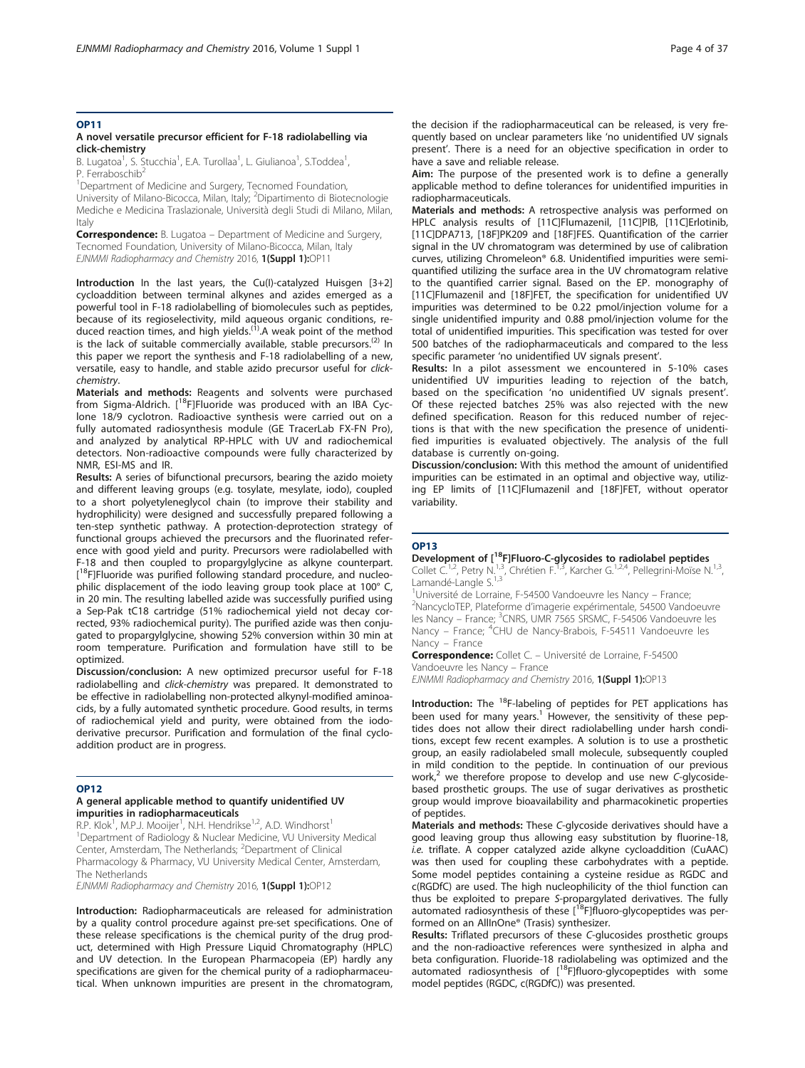### OP11

#### A novel versatile precursor efficient for F-18 radiolabelling via click-chemistry

B. Lugatoa<sup>1</sup>, S. Stucchia<sup>1</sup>, E.A. Turollaa<sup>1</sup>, L. Giulianoa<sup>1</sup>, S.Toddea<sup>1</sup> , P. Ferraboschib<sup>2</sup>

<sup>1</sup>Department of Medicine and Surgery, Tecnomed Foundation,

University of Milano-Bicocca, Milan, Italy; <sup>2</sup>Dipartimento di Biotecnologie Mediche e Medicina Traslazionale, Università degli Studi di Milano, Milan, Italy

**Correspondence:** B. Lugatoa – Department of Medicine and Surgery, Tecnomed Foundation, University of Milano-Bicocca, Milan, Italy EJNMMI Radiopharmacy and Chemistry 2016, 1(Suppl 1):OP11

Introduction In the last years, the Cu(I)-catalyzed Huisgen [3+2] cycloaddition between terminal alkynes and azides emerged as a powerful tool in F-18 radiolabelling of biomolecules such as peptides, because of its regioselectivity, mild aqueous organic conditions, reduced reaction times, and high yields.<sup>(1)</sup>. A weak point of the method is the lack of suitable commercially available, stable precursors.<sup>(2)</sup> In this paper we report the synthesis and F-18 radiolabelling of a new, versatile, easy to handle, and stable azido precursor useful for clickchemistry.

Materials and methods: Reagents and solvents were purchased from Sigma-Aldrich. [<sup>18</sup>F]Fluoride was produced with an IBA Cyclone 18/9 cyclotron. Radioactive synthesis were carried out on a fully automated radiosynthesis module (GE TracerLab FX-FN Pro), and analyzed by analytical RP-HPLC with UV and radiochemical detectors. Non-radioactive compounds were fully characterized by NMR, ESI-MS and IR.

Results: A series of bifunctional precursors, bearing the azido moiety and different leaving groups (e.g. tosylate, mesylate, iodo), coupled to a short polyetyleneglycol chain (to improve their stability and hydrophilicity) were designed and successfully prepared following a ten-step synthetic pathway. A protection-deprotection strategy of functional groups achieved the precursors and the fluorinated reference with good yield and purity. Precursors were radiolabelled with F-18 and then coupled to propargylglycine as alkyne counterpart. [<sup>18</sup>F]Fluoride was purified following standard procedure, and nucleophilic displacement of the iodo leaving group took place at 100° C, in 20 min. The resulting labelled azide was successfully purified using a Sep-Pak tC18 cartridge (51% radiochemical yield not decay corrected, 93% radiochemical purity). The purified azide was then conjugated to propargylglycine, showing 52% conversion within 30 min at room temperature. Purification and formulation have still to be optimized.

Discussion/conclusion: A new optimized precursor useful for F-18 radiolabelling and click-chemistry was prepared. It demonstrated to be effective in radiolabelling non-protected alkynyl-modified aminoacids, by a fully automated synthetic procedure. Good results, in terms of radiochemical yield and purity, were obtained from the iododerivative precursor. Purification and formulation of the final cycloaddition product are in progress.

#### OP12

#### A general applicable method to quantify unidentified UV impurities in radiopharmaceuticals

R.P. Klok<sup>1</sup>, M.P.J. Mooijer<sup>1</sup>, N.H. Hendrikse<sup>1,2</sup>, A.D. Windhorst<sup>1</sup> <sup>1</sup>Department of Radiology & Nuclear Medicine, VU University Medical Center, Amsterdam, The Netherlands; <sup>2</sup>Department of Clinical Pharmacology & Pharmacy, VU University Medical Center, Amsterdam, The Netherlands

EJNMMI Radiopharmacy and Chemistry 2016, 1(Suppl 1):OP12

Introduction: Radiopharmaceuticals are released for administration by a quality control procedure against pre-set specifications. One of these release specifications is the chemical purity of the drug product, determined with High Pressure Liquid Chromatography (HPLC) and UV detection. In the European Pharmacopeia (EP) hardly any specifications are given for the chemical purity of a radiopharmaceutical. When unknown impurities are present in the chromatogram, the decision if the radiopharmaceutical can be released, is very frequently based on unclear parameters like 'no unidentified UV signals present'. There is a need for an objective specification in order to have a save and reliable release.

Aim: The purpose of the presented work is to define a generally applicable method to define tolerances for unidentified impurities in radiopharmaceuticals.

Materials and methods: A retrospective analysis was performed on HPLC analysis results of [11C]Flumazenil, [11C]PIB, [11C]Erlotinib, [11C]DPA713, [18F]PK209 and [18F]FES. Quantification of the carrier signal in the UV chromatogram was determined by use of calibration curves, utilizing Chromeleon® 6.8. Unidentified impurities were semiquantified utilizing the surface area in the UV chromatogram relative to the quantified carrier signal. Based on the EP. monography of [11C]Flumazenil and [18F]FET, the specification for unidentified UV impurities was determined to be 0.22 pmol/injection volume for a single unidentified impurity and 0.88 pmol/injection volume for the total of unidentified impurities. This specification was tested for over 500 batches of the radiopharmaceuticals and compared to the less specific parameter 'no unidentified UV signals present'.

Results: In a pilot assessment we encountered in 5-10% cases unidentified UV impurities leading to rejection of the batch, based on the specification 'no unidentified UV signals present'. Of these rejected batches 25% was also rejected with the new defined specification. Reason for this reduced number of rejections is that with the new specification the presence of unidentified impurities is evaluated objectively. The analysis of the full database is currently on-going.

Discussion/conclusion: With this method the amount of unidentified impurities can be estimated in an optimal and objective way, utilizing EP limits of [11C]Flumazenil and [18F]FET, without operator variability.

#### OP13

Development of [<sup>18</sup>F]Fluoro-C-glycosides to radiolabel peptides Collet C.<sup>1,2</sup>, Petry N.<sup>1,3</sup>, Chrétien F.<sup>1,3</sup>, Karcher G.<sup>1,2,4</sup>, Pellegrini-Moïse N.<sup>1,3</sup> Lamandé-Langle S.<sup>1,3</sup>

<sup>1</sup>Université de Lorraine, F-54500 Vandoeuvre les Nancy – France;<br><sup>2</sup>NancycloTER, Plateforme d'imagerie expérimentale, 54500 Vand NancycloTEP, Plateforme d'imagerie expérimentale, 54500 Vandoeuvre les Nancy – France; <sup>3</sup>CNRS, UMR 7565 SRSMC, F-54506 Vandoeuvre les Nancy – France; <sup>4</sup>CHU de Nancy-Brabois, F-54511 Vandoeuvre les Nancy – France

Correspondence: Collet C. – Université de Lorraine, F-54500 Vandoeuvre les Nancy – France

EJNMMI Radiopharmacy and Chemistry 2016, 1(Suppl 1):OP13

Introduction: The <sup>18</sup>F-labeling of peptides for PET applications has been used for many years.<sup>1</sup> However, the sensitivity of these peptides does not allow their direct radiolabelling under harsh conditions, except few recent examples. A solution is to use a prosthetic group, an easily radiolabeled small molecule, subsequently coupled in mild condition to the peptide. In continuation of our previous work, $^2$  we therefore propose to develop and use new C-glycosidebased prosthetic groups. The use of sugar derivatives as prosthetic group would improve bioavailability and pharmacokinetic properties of peptides.

Materials and methods: These C-glycoside derivatives should have a good leaving group thus allowing easy substitution by fluorine-18, i.e. triflate. A copper catalyzed azide alkyne cycloaddition (CuAAC) was then used for coupling these carbohydrates with a peptide. Some model peptides containing a cysteine residue as RGDC and c(RGDfC) are used. The high nucleophilicity of the thiol function can thus be exploited to prepare S-propargylated derivatives. The fully<br>automated radiosynthesis of these [<sup>18</sup>F]fluoro-glycopeptides was performed on an AllInOne® (Trasis) synthesizer.

Results: Triflated precursors of these C-glucosides prosthetic groups and the non-radioactive references were synthesized in alpha and beta configuration. Fluoride-18 radiolabeling was optimized and the automated radiosynthesis of [<sup>18</sup>F]fluoro-glycopeptides with some model peptides (RGDC, c(RGDfC)) was presented.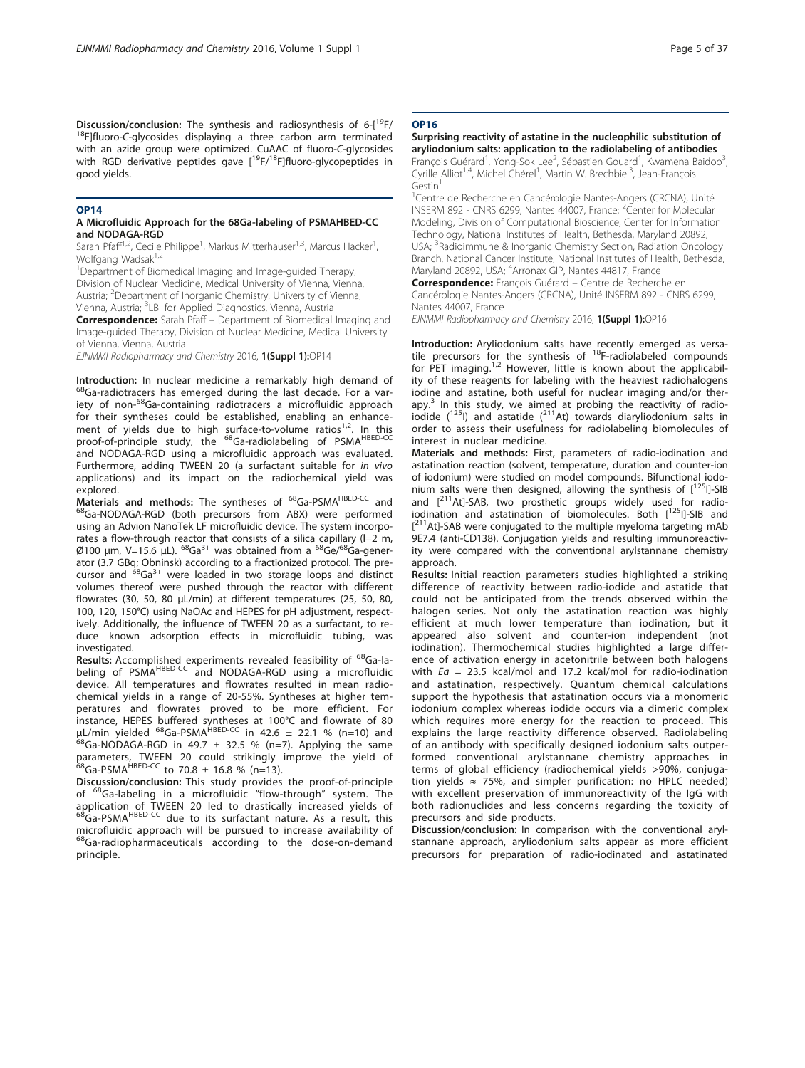**Discussion/conclusion:** The synthesis and radiosynthesis of  $6-1^{19}F/18F$ ]fluoro-C-glycosides displaying a three carbon arm terminated with an azide group were optimized. CuAAC of fluoro-C-glycosides with RGD derivative peptides gave  $[19F/18F]$ fluoro-glycopeptides in good yields.

#### OP14

#### A Microfluidic Approach for the 68Ga-labeling of PSMAHBED-CC and NODAGA-RGD

Sarah Pfaff<sup>1,2</sup>, Cecile Philippe<sup>1</sup>, Markus Mitterhauser<sup>1,3</sup>, Marcus Hacker<sup>1</sup> , Wolfgang Wadsak<sup>1,2</sup>

<sup>1</sup>Department of Biomedical Imaging and Image-guided Therapy, Division of Nuclear Medicine, Medical University of Vienna, Vienna, Austria; <sup>2</sup>Department of Inorganic Chemistry, University of Vienna, Vienna, Austria; <sup>3</sup>LBI for Applied Diagnostics, Vienna, Austria

**Correspondence:** Sarah Pfaff – Department of Biomedical Imaging and Image-guided Therapy, Division of Nuclear Medicine, Medical University of Vienna, Vienna, Austria

EJNMMI Radiopharmacy and Chemistry 2016, 1(Suppl 1):OP14

Introduction: In nuclear medicine a remarkably high demand of 68Ga-radiotracers has emerged during the last decade. For a variety of non-<sup>68</sup>Ga-containing radiotracers a microfluidic approach for their syntheses could be established, enabling an enhancement of yields due to high surface-to-volume ratios<sup>1,2</sup>. In this proof-of-principle study, the <sup>68</sup>Ga-radiolabeling of PSMA<sup>HBED-CC</sup> and NODAGA-RGD using a microfluidic approach was evaluated. Furthermore, adding TWEEN 20 (a surfactant suitable for in vivo applications) and its impact on the radiochemical yield was

explored.<br>Materials and methods: The syntheses of <sup>68</sup>Ga-PSMA<sup>HBED-CC</sup> and <sup>68</sup>Ga-NODAGA-RGD (both precursors from ABX) were performed using an Advion NanoTek LF microfluidic device. The system incorporates a flow-through reactor that consists of a silica capillary (l=2 m, Ø100 μm, V=15.6 μL).  $^{68}Ga^{3+}$  was obtained from a  $^{68}Ge/^{68}Ga$ -generator (3.7 GBq; Obninsk) according to a fractionized protocol. The pre-<br>cursor and <sup>68</sup>Ga<sup>3+</sup> were loaded in two storage loops and distinct volumes thereof were pushed through the reactor with different flowrates (30, 50, 80 μL/min) at different temperatures (25, 50, 80, 100, 120, 150°C) using NaOAc and HEPES for pH adjustment, respectively. Additionally, the influence of TWEEN 20 as a surfactant, to reduce known adsorption effects in microfluidic tubing, was investigated.

Results: Accomplished experiments revealed feasibility of <sup>68</sup>Ga-labeling of PSMA<sup>HBED-CC</sup> and NODAGA-RGD using a microfluidic device. All temperatures and flowrates resulted in mean radiochemical yields in a range of 20-55%. Syntheses at higher temperatures and flowrates proved to be more efficient. For instance, HEPES buffered syntheses at 100°C and flowrate of 80<br>μL/min yielded <sup>68</sup>Ga-PSMA<sup>HBED-CC</sup> in 42.6 ± 22.1 % (n=10) and<br><sup>68</sup>Ga-NODAGA-RGD in 49.7 ± 32.5 % (n=7). Applying the same parameters, TWEEN 20 could strikingly improve the yield of<br><sup>68</sup>Ga-PSMA<sup>HBED-CC</sup> to 70.8 ± 16.8 % (n=13).

Discussion/conclusion: This study provides the proof-of-principle of <sup>68</sup>Ga-labeling in a microfluidic "flow-through" system. The application of TWEEN 20 led to drastically increased yields of<br><sup>68</sup>Ga-PSMA<sup>HBED-CC</sup> due to its surfactant nature. As a result, this microfluidic approach will be pursued to increase availability of  $68$ Ga-radiopharmaceuticals according to the dose-on-demand principle.

### OP16

Surprising reactivity of astatine in the nucleophilic substitution of aryliodonium salts: application to the radiolabeling of antibodies François Guérard<sup>1</sup>, Yong-Sok Lee<sup>2</sup>, Sébastien Gouard<sup>1</sup>, Kwamena Baidoo<sup>3</sup> , Cyrille Alliot<sup>1,4</sup>, Michel Chérel<sup>1</sup>, Martin W. Brechbiel<sup>3</sup>, Jean-François Gestin<sup>1</sup>

<sup>1</sup>Centre de Recherche en Cancérologie Nantes-Angers (CRCNA), Unité INSERM 892 - CNRS 6299, Nantes 44007, France; <sup>2</sup>Center for Molecular Modeling, Division of Computational Bioscience, Center for Information Technology, National Institutes of Health, Bethesda, Maryland 20892, USA; <sup>3</sup>Radioimmune & Inorganic Chemistry Section, Radiation Oncology Branch, National Cancer Institute, National Institutes of Health, Bethesda, Maryland 20892, USA; <sup>4</sup>Arronax GIP, Nantes 44817, France

Correspondence: François Guérard – Centre de Recherche en Cancérologie Nantes-Angers (CRCNA), Unité INSERM 892 - CNRS 6299, Nantes 44007, France

EJNMMI Radiopharmacy and Chemistry 2016, 1(Suppl 1):OP16

Introduction: Aryliodonium salts have recently emerged as versatile precursors for the synthesis of  $18F$ -radiolabeled compounds for PET imaging.<sup>1,2</sup> However, little is known about the applicability of these reagents for labeling with the heaviest radiohalogens iodine and astatine, both useful for nuclear imaging and/or therapy. $3$  In this study, we aimed at probing the reactivity of radioiodide  $(125)$  and astatide  $(211)$ At) towards diaryliodonium salts in order to assess their usefulness for radiolabeling biomolecules of interest in nuclear medicine.

Materials and methods: First, parameters of radio-iodination and astatination reaction (solvent, temperature, duration and counter-ion of iodonium) were studied on model compounds. Bifunctional iodonium salts were then designed, allowing the synthesis of  $[^{125}$ I]-SIB and [<sup>211</sup>At]-SAB, two prosthetic groups widely used for radioiodination and astatination of biomolecules. Both  $[1^{25}$ I]-SIB and [<sup>211</sup>At]-SAB were conjugated to the multiple myeloma targeting mAb 9E7.4 (anti-CD138). Conjugation yields and resulting immunoreactivity were compared with the conventional arylstannane chemistry approach.

Results: Initial reaction parameters studies highlighted a striking difference of reactivity between radio-iodide and astatide that could not be anticipated from the trends observed within the halogen series. Not only the astatination reaction was highly efficient at much lower temperature than iodination, but it appeared also solvent and counter-ion independent (not iodination). Thermochemical studies highlighted a large difference of activation energy in acetonitrile between both halogens with  $Ea = 23.5$  kcal/mol and 17.2 kcal/mol for radio-iodination and astatination, respectively. Quantum chemical calculations support the hypothesis that astatination occurs via a monomeric iodonium complex whereas iodide occurs via a dimeric complex which requires more energy for the reaction to proceed. This explains the large reactivity difference observed. Radiolabeling of an antibody with specifically designed iodonium salts outperformed conventional arylstannane chemistry approaches in terms of global efficiency (radiochemical yields >90%, conjugation yields  $\approx$  75%, and simpler purification: no HPLC needed) with excellent preservation of immunoreactivity of the IgG with both radionuclides and less concerns regarding the toxicity of precursors and side products.

Discussion/conclusion: In comparison with the conventional arylstannane approach, aryliodonium salts appear as more efficient precursors for preparation of radio-iodinated and astatinated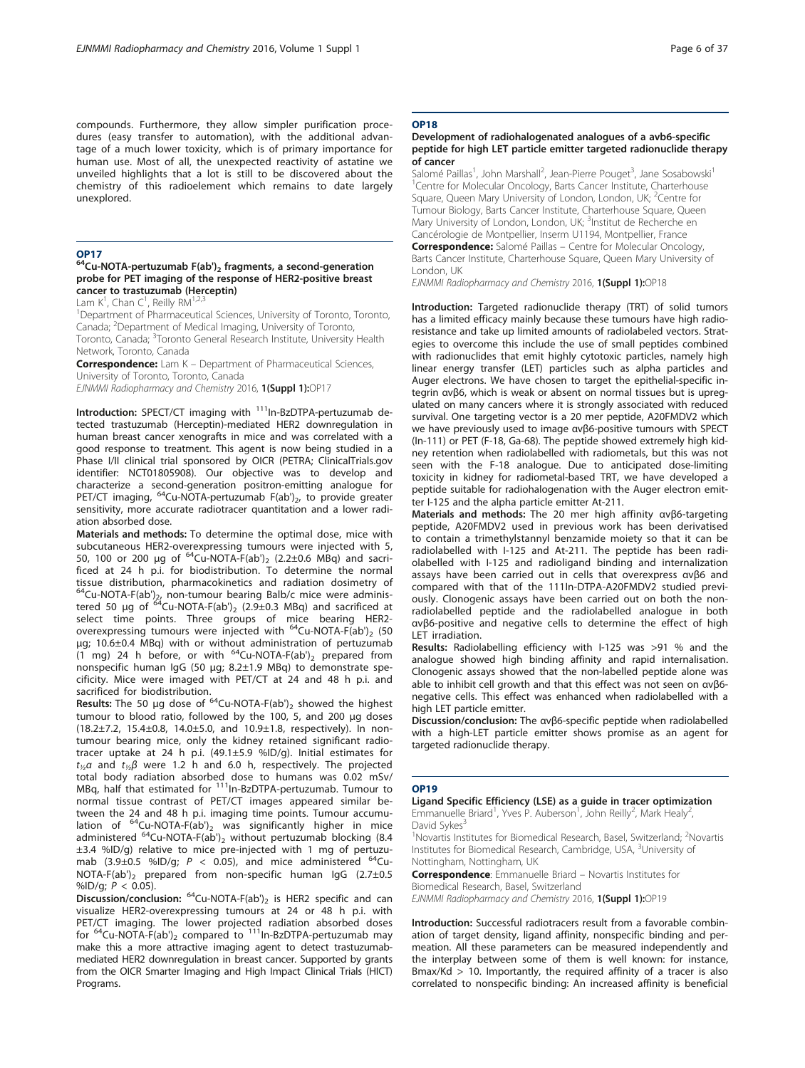compounds. Furthermore, they allow simpler purification procedures (easy transfer to automation), with the additional advantage of a much lower toxicity, which is of primary importance for human use. Most of all, the unexpected reactivity of astatine we unveiled highlights that a lot is still to be discovered about the chemistry of this radioelement which remains to date largely unexplored.

#### OP17

#### $64$ Cu-NOTA-pertuzumab F(ab')<sub>2</sub> fragments, a second-generation probe for PET imaging of the response of HER2-positive breast cancer to trastuzumab (Herceptin)

Lam  $K^1$ , Chan C<sup>1</sup>, Reilly RM<sup>1,2,3</sup>

<sup>1</sup>Department of Pharmaceutical Sciences, University of Toronto, Toronto, Canada; <sup>2</sup>Department of Medical Imaging, University of Toronto,

Toronto, Canada; <sup>3</sup>Toronto General Research Institute, University Health Network, Toronto, Canada

**Correspondence:** Lam K – Department of Pharmaceutical Sciences, University of Toronto, Toronto, Canada

EJNMMI Radiopharmacy and Chemistry 2016, 1(Suppl 1):OP17

Introduction: SPECT/CT imaging with <sup>111</sup>In-BzDTPA-pertuzumab detected trastuzumab (Herceptin)-mediated HER2 downregulation in human breast cancer xenografts in mice and was correlated with a good response to treatment. This agent is now being studied in a Phase I/II clinical trial sponsored by OICR (PETRA; ClinicalTrials.gov identifier: NCT01805908). Our objective was to develop and characterize a second-generation positron-emitting analogue for PET/CT imaging, <sup>64</sup>Cu-NOTA-pertuzumab F(ab')<sub>2</sub>, to provide greater sensitivity, more accurate radiotracer quantitation and a lower radiation absorbed dose.

Materials and methods: To determine the optimal dose, mice with subcutaneous HER2-overexpressing tumours were injected with 5, 50, 100 or 200 μg of  ${}^{64}$ Cu-NOTA-F(ab')<sub>2</sub> (2.2±0.6 MBq) and sacrificed at 24 h p.i. for biodistribution. To determine the normal tissue distribution, pharmacokinetics and radiation dosimetry of  $64$ Cu-NOTA-F(ab')<sub>2</sub>, non-tumour bearing Balb/c mice were administered 50  $\mu$ g of  $\frac{64}{1}$ Cu-NOTA-F(ab')<sub>2</sub> (2.9±0.3 MBq) and sacrificed at select time points. Three groups of mice bearing HER2 overexpressing tumours were injected with <sup>64</sup>Cu-NOTA-F(ab')<sub>2</sub> (50 μg; 10.6±0.4 MBq) with or without administration of pertuzumab  $(1 \text{ mg})$  24 h before, or with  $64$ Cu-NOTA-F(ab')<sub>2</sub> prepared from nonspecific human IgG (50 μg; 8.2±1.9 MBq) to demonstrate specificity. Mice were imaged with PET/CT at 24 and 48 h p.i. and sacrificed for biodistribution.<br>**Results:** The 50 μg dose of <sup>64</sup>Cu-NOTA-F(ab')<sub>2</sub> showed the highest

tumour to blood ratio, followed by the 100, 5, and 200 μg doses (18.2±7.2, 15.4±0.8, 14.0±5.0, and 10.9±1.8, respectively). In nontumour bearing mice, only the kidney retained significant radiotracer uptake at 24 h p.i.  $(49.1 \pm 5.9 \, \frac{\text{W}}{\text{O}}/\text{g})$ . Initial estimates for  $t_{\frac{1}{2}}$ α and  $t_{\frac{1}{2}}$ β were 1.2 h and 6.0 h, respectively. The projected total body radiation absorbed dose to humans was 0.02 mSv/ MBq, half that estimated for 111In-BzDTPA-pertuzumab. Tumour to normal tissue contrast of PET/CT images appeared similar between the 24 and 48 h p.i. imaging time points. Tumour accumu-<br>lation of <sup>64</sup>Cu-NOTA-F(ab')<sub>2</sub> was significantly higher in mice administered <sup>64</sup>Cu-NOTA-F(ab')<sub>2</sub> without pertuzumab blocking (8.4 ±3.4 %ID/g) relative to mice pre-injected with 1 mg of pertuzumab (3.9 $\pm$ 0.5 %ID/g; P < 0.05), and mice administered <sup>64</sup>Cu-NOTA-F(ab')<sub>2</sub> prepared from non-specific human IgG (2.7 $\pm$ 0.5 %ID/g;  $P < 0.05$ ).

Discussion/conclusion: <sup>64</sup>Cu-NOTA-F(ab')<sub>2</sub> is HER2 specific and can visualize HER2-overexpressing tumours at 24 or 48 h p.i. with PET/CT imaging. The lower projected radiation absorbed doses for <sup>64</sup>Cu-NOTA-F(ab')<sub>2</sub> compared to <sup>111</sup>In-BzDTPA-pertuzumab may make this a more attractive imaging agent to detect trastuzumabmediated HER2 downregulation in breast cancer. Supported by grants from the OICR Smarter Imaging and High Impact Clinical Trials (HICT) Programs.

#### OP18

#### Development of radiohalogenated analogues of a avb6-specific peptide for high LET particle emitter targeted radionuclide therapy of cancer

Salomé Paillas<sup>1</sup>, John Marshall<sup>2</sup>, Jean-Pierre Pouget<sup>3</sup>, Jane Sosabowski<sup>1</sup> <sup>1</sup>Centre for Molecular Oncology, Barts Cancer Institute, Charterhouse Square, Queen Mary University of London, London, UK; <sup>2</sup>Centre for Tumour Biology, Barts Cancer Institute, Charterhouse Square, Queen Mary University of London, London, UK; <sup>3</sup>Institut de Recherche en Cancérologie de Montpellier, Inserm U1194, Montpellier, France **Correspondence:** Salomé Paillas – Centre for Molecular Oncology, Barts Cancer Institute, Charterhouse Square, Queen Mary University of London, UK

EJNMMI Radiopharmacy and Chemistry 2016, 1(Suppl 1):OP18

Introduction: Targeted radionuclide therapy (TRT) of solid tumors has a limited efficacy mainly because these tumours have high radioresistance and take up limited amounts of radiolabeled vectors. Strategies to overcome this include the use of small peptides combined with radionuclides that emit highly cytotoxic particles, namely high linear energy transfer (LET) particles such as alpha particles and Auger electrons. We have chosen to target the epithelial-specific integrin αvβ6, which is weak or absent on normal tissues but is upregulated on many cancers where it is strongly associated with reduced survival. One targeting vector is a 20 mer peptide, A20FMDV2 which we have previously used to image αvβ6-positive tumours with SPECT (In-111) or PET (F-18, Ga-68). The peptide showed extremely high kidney retention when radiolabelled with radiometals, but this was not seen with the F-18 analogue. Due to anticipated dose-limiting toxicity in kidney for radiometal-based TRT, we have developed a peptide suitable for radiohalogenation with the Auger electron emitter I-125 and the alpha particle emitter At-211.

Materials and methods: The 20 mer high affinity αvβ6-targeting peptide, A20FMDV2 used in previous work has been derivatised to contain a trimethylstannyl benzamide moiety so that it can be radiolabelled with I-125 and At-211. The peptide has been radiolabelled with I-125 and radioligand binding and internalization assays have been carried out in cells that overexpress αvβ6 and compared with that of the 111In-DTPA-A20FMDV2 studied previously. Clonogenic assays have been carried out on both the nonradiolabelled peptide and the radiolabelled analogue in both αvβ6-positive and negative cells to determine the effect of high LET irradiation.

Results: Radiolabelling efficiency with I-125 was >91 % and the analogue showed high binding affinity and rapid internalisation. Clonogenic assays showed that the non-labelled peptide alone was able to inhibit cell growth and that this effect was not seen on αvβ6 negative cells. This effect was enhanced when radiolabelled with a high LET particle emitter.

Discussion/conclusion: The αvβ6-specific peptide when radiolabelled with a high-LET particle emitter shows promise as an agent for targeted radionuclide therapy.

#### OP19

Ligand Specific Efficiency (LSE) as a guide in tracer optimization Emmanuelle Briard<sup>1</sup>, Yves P. Auberson<sup>1</sup>, John Reilly<sup>2</sup>, Mark Healy<sup>2</sup> ,

David Sykes<sup>3</sup> <sup>1</sup>Novartis Institutes for Biomedical Research, Basel, Switzerland; <sup>2</sup>Novartis

Institutes for Biomedical Research, Cambridge, USA, <sup>3</sup>University of Nottingham, Nottingham, UK Correspondence: Emmanuelle Briard – Novartis Institutes for

Biomedical Research, Basel, Switzerland

EJNMMI Radiopharmacy and Chemistry 2016, 1(Suppl 1):OP19

Introduction: Successful radiotracers result from a favorable combination of target density, ligand affinity, nonspecific binding and permeation. All these parameters can be measured independently and the interplay between some of them is well known: for instance, Bmax/Kd  $> 10$ . Importantly, the required affinity of a tracer is also correlated to nonspecific binding: An increased affinity is beneficial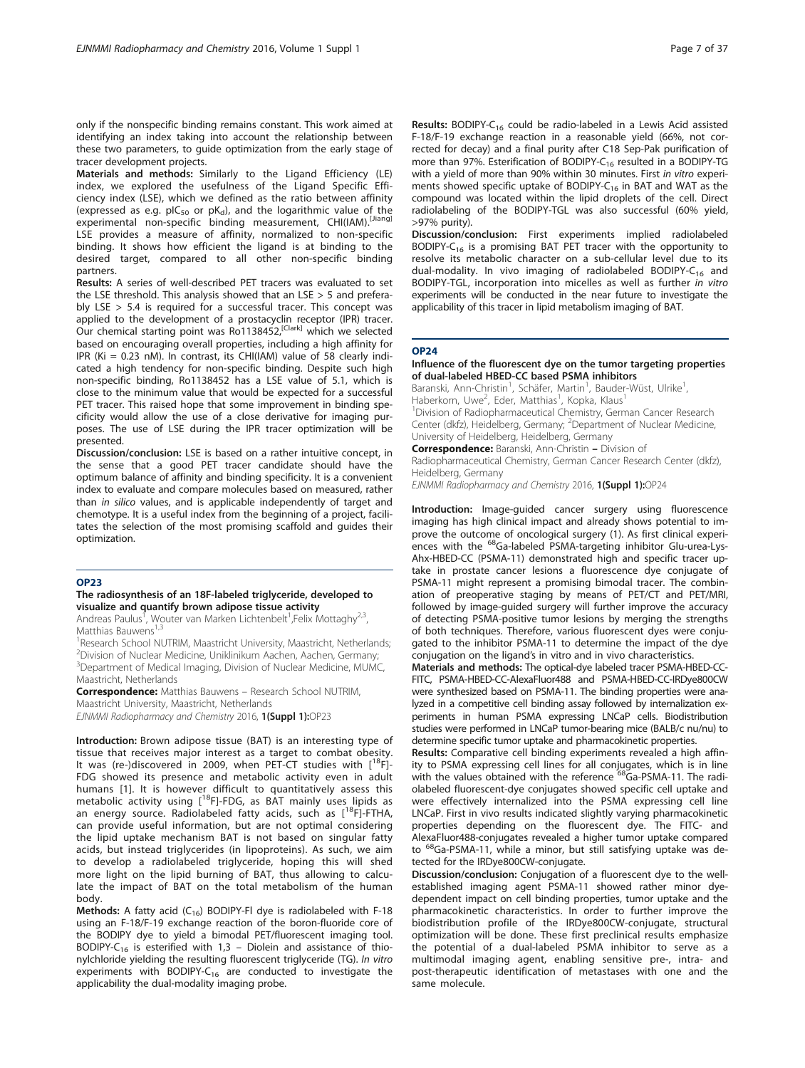only if the nonspecific binding remains constant. This work aimed at identifying an index taking into account the relationship between these two parameters, to guide optimization from the early stage of tracer development projects.

Materials and methods: Similarly to the Ligand Efficiency (LE) index, we explored the usefulness of the Ligand Specific Efficiency index (LSE), which we defined as the ratio between affinity (expressed as e.g. pIC<sub>50</sub> or pK<sub>d</sub>), and the logarithmic value of the experimental non-specific binding measurement, CHI(IAM).<sup>[Jiang]</sup> LSE provides a measure of affinity, normalized to non-specific binding. It shows how efficient the ligand is at binding to the desired target, compared to all other non-specific binding partners.

Results: A series of well-described PET tracers was evaluated to set the LSE threshold. This analysis showed that an LSE  $>$  5 and preferably LSE  $>$  5.4 is required for a successful tracer. This concept was applied to the development of a prostacyclin receptor (IPR) tracer. Our chemical starting point was Ro1138452,<sup>[Clark]</sup> which we selected based on encouraging overall properties, including a high affinity for IPR (Ki =  $0.23$  nM). In contrast, its CHI(IAM) value of 58 clearly indicated a high tendency for non-specific binding. Despite such high non-specific binding, Ro1138452 has a LSE value of 5.1, which is close to the minimum value that would be expected for a successful PET tracer. This raised hope that some improvement in binding specificity would allow the use of a close derivative for imaging purposes. The use of LSE during the IPR tracer optimization will be presented.

Discussion/conclusion: LSE is based on a rather intuitive concept, in the sense that a good PET tracer candidate should have the optimum balance of affinity and binding specificity. It is a convenient index to evaluate and compare molecules based on measured, rather than in silico values, and is applicable independently of target and chemotype. It is a useful index from the beginning of a project, facilitates the selection of the most promising scaffold and guides their optimization.

#### OP23

#### The radiosynthesis of an 18F-labeled triglyceride, developed to visualize and quantify brown adipose tissue activity

Andreas Paulus<sup>1</sup>, Wouter van Marken Lichtenbelt<sup>1</sup>, Felix Mottaghy<sup>2,3</sup>, Matthias Bauwens<sup>1,3</sup>

<sup>1</sup> Research School NUTRIM, Maastricht University, Maastricht, Netherlands; 2 Division of Nuclear Medicine, Uniklinikum Aachen, Aachen, Germany; <sup>3</sup>Department of Medical Imaging, Division of Nuclear Medicine, MUMC, Maastricht, Netherlands

Correspondence: Matthias Bauwens – Research School NUTRIM, Maastricht University, Maastricht, Netherlands EJNMMI Radiopharmacy and Chemistry 2016, 1(Suppl 1):OP23

Introduction: Brown adipose tissue (BAT) is an interesting type of tissue that receives major interest as a target to combat obesity. It was (re-)discovered in 2009, when PET-CT studies with [<sup>18</sup>F]-FDG showed its presence and metabolic activity even in adult humans [1]. It is however difficult to quantitatively assess this metabolic activity using  $[18F]$ -FDG, as BAT mainly uses lipids as an energy source. Radiolabeled fatty acids, such as  $[^{18}F]$ -FTHA, can provide useful information, but are not optimal considering the lipid uptake mechanism BAT is not based on singular fatty acids, but instead triglycerides (in lipoproteins). As such, we aim to develop a radiolabeled triglyceride, hoping this will shed more light on the lipid burning of BAT, thus allowing to calculate the impact of BAT on the total metabolism of the human body.

Methods: A fatty acid  $(C_{16})$  BODIPY-Fl dye is radiolabeled with F-18 using an F-18/F-19 exchange reaction of the boron-fluoride core of the BODIPY dye to yield a bimodal PET/fluorescent imaging tool. BODIPY-C<sub>16</sub> is esterified with 1,3 – Diolein and assistance of thionylchloride yielding the resulting fluorescent triglyceride (TG). In vitro experiments with BODIPY- $C_{16}$  are conducted to investigate the applicability the dual-modality imaging probe.

Results: BODIPY-C<sub>16</sub> could be radio-labeled in a Lewis Acid assisted F-18/F-19 exchange reaction in a reasonable yield (66%, not corrected for decay) and a final purity after C18 Sep-Pak purification of more than 97%. Esterification of BODIPY-C<sub>16</sub> resulted in a BODIPY-TG with a yield of more than 90% within 30 minutes. First in vitro experiments showed specific uptake of BODIPY-C<sub>16</sub> in BAT and WAT as the compound was located within the lipid droplets of the cell. Direct radiolabeling of the BODIPY-TGL was also successful (60% yield, >97% purity).

Discussion/conclusion: First experiments implied radiolabeled BODIPY-C<sub>16</sub> is a promising BAT PET tracer with the opportunity to resolve its metabolic character on a sub-cellular level due to its dual-modality. In vivo imaging of radiolabeled BODIPY-C<sub>16</sub> and BODIPY-TGL, incorporation into micelles as well as further in vitro experiments will be conducted in the near future to investigate the applicability of this tracer in lipid metabolism imaging of BAT.

#### OP24

### Influence of the fluorescent dye on the tumor targeting properties of dual-labeled HBED-CC based PSMA inhibitors

Baranski, Ann-Christin<sup>1</sup>, Schäfer, Martin<sup>1</sup>, Bauder-Wüst, Ulrike<sup>1</sup> , Haberkorn, Uwe<sup>2</sup>, Eder, Matthias<sup>1</sup>, Kopka, Klaus<sup>1</sup> <sup>1</sup>Division of Radiopharmaceutical Chemistry, German Cancer Research Center (dkfz), Heidelberg, Germany; <sup>2</sup>Department of Nuclear Medicine

University of Heidelberg, Heidelberg, Germany Correspondence: Baranski, Ann-Christin – Division of

Radiopharmaceutical Chemistry, German Cancer Research Center (dkfz), Heidelberg, Germany

EJNMMI Radiopharmacy and Chemistry 2016, 1(Suppl 1):OP24

Introduction: Image-guided cancer surgery using fluorescence imaging has high clinical impact and already shows potential to improve the outcome of oncological surgery (1). As first clinical experiences with the <sup>68</sup>Ga-labeled PSMA-targeting inhibitor Glu-urea-Lys-Ahx-HBED-CC (PSMA-11) demonstrated high and specific tracer uptake in prostate cancer lesions a fluorescence dye conjugate of PSMA-11 might represent a promising bimodal tracer. The combination of preoperative staging by means of PET/CT and PET/MRI, followed by image-guided surgery will further improve the accuracy of detecting PSMA-positive tumor lesions by merging the strengths of both techniques. Therefore, various fluorescent dyes were conjugated to the inhibitor PSMA-11 to determine the impact of the dye conjugation on the ligand's in vitro and in vivo characteristics.

Materials and methods: The optical-dye labeled tracer PSMA-HBED-CC-FITC, PSMA-HBED-CC-AlexaFluor488 and PSMA-HBED-CC-IRDye800CW were synthesized based on PSMA-11. The binding properties were analyzed in a competitive cell binding assay followed by internalization experiments in human PSMA expressing LNCaP cells. Biodistribution studies were performed in LNCaP tumor-bearing mice (BALB/c nu/nu) to determine specific tumor uptake and pharmacokinetic properties.

Results: Comparative cell binding experiments revealed a high affinity to PSMA expressing cell lines for all conjugates, which is in line with the values obtained with the reference <sup>68</sup>Ga-PSMA-11. The radiolabeled fluorescent-dye conjugates showed specific cell uptake and were effectively internalized into the PSMA expressing cell line LNCaP. First in vivo results indicated slightly varying pharmacokinetic properties depending on the fluorescent dye. The FITC- and AlexaFluor488-conjugates revealed a higher tumor uptake compared to <sup>68</sup>Ga-PSMA-11, while a minor, but still satisfying uptake was detected for the IRDye800CW-conjugate.

Discussion/conclusion: Conjugation of a fluorescent dye to the wellestablished imaging agent PSMA-11 showed rather minor dyedependent impact on cell binding properties, tumor uptake and the pharmacokinetic characteristics. In order to further improve the biodistribution profile of the IRDye800CW-conjugate, structural optimization will be done. These first preclinical results emphasize the potential of a dual-labeled PSMA inhibitor to serve as a multimodal imaging agent, enabling sensitive pre-, intra- and post-therapeutic identification of metastases with one and the same molecule.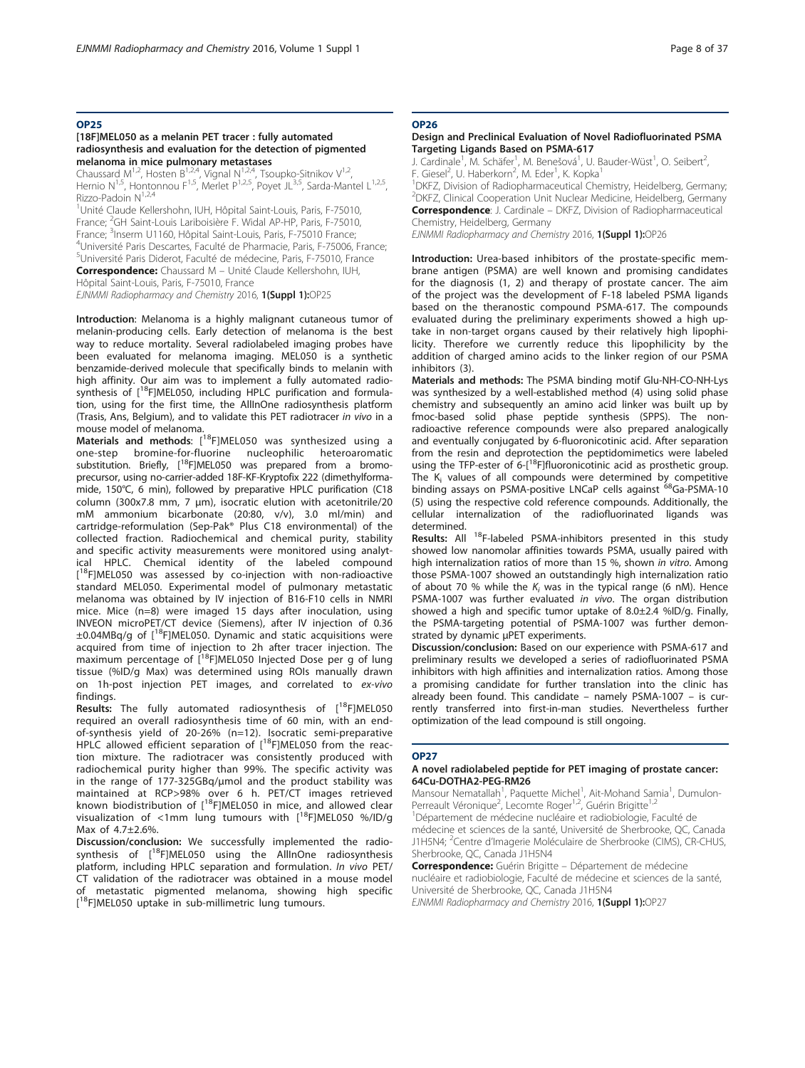### OP25

#### [18F]MEL050 as a melanin PET tracer : fully automated radiosynthesis and evaluation for the detection of pigmented melanoma in mice pulmonary metastases

Chaussard M<sup>1,2</sup>, Hosten B<sup>1,2,4</sup>, Vignal N<sup>1,2,4</sup>, Tsoupko-Sitnikov V<sup>1,2</sup>, Hernio N<sup>1,5</sup>, Hontonnou F<sup>1,5</sup>, Merlet P<sup>1,2,5</sup>, Poyet JL<sup>3,5</sup>, Sarda-Mantel L<sup>1,2,5</sup>, Rizzo-Padoin N<sup>1,2,4</sup>

<sup>1</sup>Unité Claude Kellershohn, IUH, Hôpital Saint-Louis, Paris, F-75010, France; <sup>2</sup>GH Saint-Louis Lariboisière F. Widal AP-HP, Paris, F-75010, France; <sup>3</sup>Inserm U1160, Hôpital Saint-Louis, Paris, F-75010 France;<br><sup>4</sup>Université Paris Descartes, Facultó de Pharmacie, Paris, F-75006 <sup>4</sup>Université Paris Descartes, Faculté de Pharmacie, Paris, F-75006. France: 5 Université Paris Diderot, Faculté de médecine, Paris, F-75010, France Correspondence: Chaussard M – Unité Claude Kellershohn, IUH,

Hôpital Saint-Louis, Paris, F-75010, France EJNMMI Radiopharmacy and Chemistry 2016, 1(Suppl 1):OP25

Introduction: Melanoma is a highly malignant cutaneous tumor of melanin-producing cells. Early detection of melanoma is the best way to reduce mortality. Several radiolabeled imaging probes have been evaluated for melanoma imaging. MEL050 is a synthetic benzamide-derived molecule that specifically binds to melanin with high affinity. Our aim was to implement a fully automated radiosynthesis of  $[18F]$ MEL050, including HPLC purification and formulation, using for the first time, the AllInOne radiosynthesis platform (Trasis, Ans, Belgium), and to validate this PET radiotracer in vivo in a mouse model of melanoma.

Materials and methods:  $[$ <sup>18</sup>F]MEL050 was synthesized using a one-step bromine-for-fluorine nucleophilic heteroaromatic substitution. Briefly, [<sup>18</sup>F]MEL050 was prepared from a bromoprecursor, using no-carrier-added 18F-KF-Kryptofix 222 (dimethylformamide, 150°C, 6 min), followed by preparative HPLC purification (C18 column (300x7.8 mm, 7 μm), isocratic elution with acetonitrile/20 mM ammonium bicarbonate (20:80, v/v), 3.0 ml/min) and cartridge-reformulation (Sep-Pak® Plus C18 environmental) of the collected fraction. Radiochemical and chemical purity, stability and specific activity measurements were monitored using analytical HPLC. Chemical identity of the labeled compound [<sup>18</sup>F]MEL050 was assessed by co-injection with non-radioactive standard MEL050. Experimental model of pulmonary metastatic melanoma was obtained by IV injection of B16-F10 cells in NMRI mice. Mice (n=8) were imaged 15 days after inoculation, using INVEON microPET/CT device (Siemens), after IV injection of 0.36  $\pm$ 0.04MBq/g of [<sup>18</sup>F]MEL050. Dynamic and static acquisitions were acquired from time of injection to 2h after tracer injection. The maximum percentage of [18F]MEL050 Injected Dose per g of lung tissue (%ID/g Max) was determined using ROIs manually drawn on 1h-post injection PET images, and correlated to ex-vivo findings.

Results: The fully automated radiosynthesis of  $[^{18}F]$ MEL050 required an overall radiosynthesis time of 60 min, with an endof-synthesis yield of 20-26% (n=12). Isocratic semi-preparative HPLC allowed efficient separation of [<sup>18</sup>F]MEL050 from the reaction mixture. The radiotracer was consistently produced with radiochemical purity higher than 99%. The specific activity was in the range of 177-325GBq/μmol and the product stability was maintained at RCP>98% over 6 h. PET/CT images retrieved known biodistribution of  $[18F]$ MEL050 in mice, and allowed clear visualization of <1mm lung tumours with [18F]MEL050 %/ID/g Max of 4.7±2.6%.

Discussion/conclusion: We successfully implemented the radiosynthesis of [<sup>18</sup>F]MEL050 using the AllInOne radiosynthesis platform, including HPLC separation and formulation. In vivo PET/ CT validation of the radiotracer was obtained in a mouse model of metastatic pigmented melanoma, showing high specific [<sup>18</sup>F]MEL050 uptake in sub-millimetric lung tumours.

### OP26

#### Design and Preclinical Evaluation of Novel Radiofluorinated PSMA Targeting Ligands Based on PSMA-617

J. Cardinale<sup>1</sup>, M. Schäfer<sup>1</sup>, M. Benešová<sup>1</sup>, U. Bauder-Wüst<sup>1</sup>, O. Seibert<sup>2</sup> , F. Giesel<sup>2</sup>, U. Haberkorn<sup>2</sup>, M. Eder<sup>1</sup>, K. Kopka<sup>1</sup>

<sup>1</sup>DKFZ, Division of Radiopharmaceutical Chemistry, Heidelberg, Germany, 2 DKFZ, Clinical Cooperation Unit Nuclear Medicine, Heidelberg, Germany **Correspondence:** J. Cardinale – DKFZ, Division of Radiopharmaceutical Chemistry, Heidelberg, Germany

EJNMMI Radiopharmacy and Chemistry 2016, 1(Suppl 1):OP26

Introduction: Urea-based inhibitors of the prostate-specific membrane antigen (PSMA) are well known and promising candidates for the diagnosis (1, 2) and therapy of prostate cancer. The aim of the project was the development of F-18 labeled PSMA ligands based on the theranostic compound PSMA-617. The compounds evaluated during the preliminary experiments showed a high uptake in non-target organs caused by their relatively high lipophilicity. Therefore we currently reduce this lipophilicity by the addition of charged amino acids to the linker region of our PSMA inhibitors (3).

Materials and methods: The PSMA binding motif Glu-NH-CO-NH-Lys was synthesized by a well-established method (4) using solid phase chemistry and subsequently an amino acid linker was built up by fmoc-based solid phase peptide synthesis (SPPS). The nonradioactive reference compounds were also prepared analogically and eventually conjugated by 6-fluoronicotinic acid. After separation from the resin and deprotection the peptidomimetics were labeled using the TFP-ester of  $6-[18F]$ fluoronicotinic acid as prosthetic group. The K<sub>i</sub> values of all compounds were determined by competitive binding assays on PSMA-positive LNCaP cells against 68Ga-PSMA-10 (5) using the respective cold reference compounds. Additionally, the cellular internalization of the radiofluorinated ligands was determined.

Results: All <sup>18</sup>F-labeled PSMA-inhibitors presented in this study showed low nanomolar affinities towards PSMA, usually paired with high internalization ratios of more than 15 %, shown in vitro. Among those PSMA-1007 showed an outstandingly high internalization ratio of about 70 % while the  $K_i$  was in the typical range (6 nM). Hence PSMA-1007 was further evaluated in vivo. The organ distribution showed a high and specific tumor uptake of 8.0±2.4 %ID/g. Finally, the PSMA-targeting potential of PSMA-1007 was further demonstrated by dynamic μPET experiments.

Discussion/conclusion: Based on our experience with PSMA-617 and preliminary results we developed a series of radiofluorinated PSMA inhibitors with high affinities and internalization ratios. Among those a promising candidate for further translation into the clinic has already been found. This candidate – namely PSMA-1007 – is currently transferred into first-in-man studies. Nevertheless further optimization of the lead compound is still ongoing.

#### OP27

#### A novel radiolabeled peptide for PET imaging of prostate cancer: 64Cu-DOTHA2-PEG-RM26

Mansour Nematallah<sup>1</sup>, Paquette Michel<sup>1</sup>, Ait-Mohand Samia<sup>1</sup>, Dumulon-Perreault Véronique<sup>2</sup>, Lecomte Roger<sup>1,2</sup>, Guérin Brigitte<sup>1,2</sup> 1 Département de médecine nucléaire et radiobiologie, Faculté de médecine et sciences de la santé, Université de Sherbrooke, QC, Canada

J1H5N4; <sup>2</sup>Centre d'Imagerie Moléculaire de Sherbrooke (CIMS), CR-CHUS, Sherbrooke, QC, Canada J1H5N4

Correspondence: Guérin Brigitte - Département de médecine nucléaire et radiobiologie, Faculté de médecine et sciences de la santé, Université de Sherbrooke, QC, Canada J1H5N4 EJNMMI Radiopharmacy and Chemistry 2016, 1(Suppl 1):OP27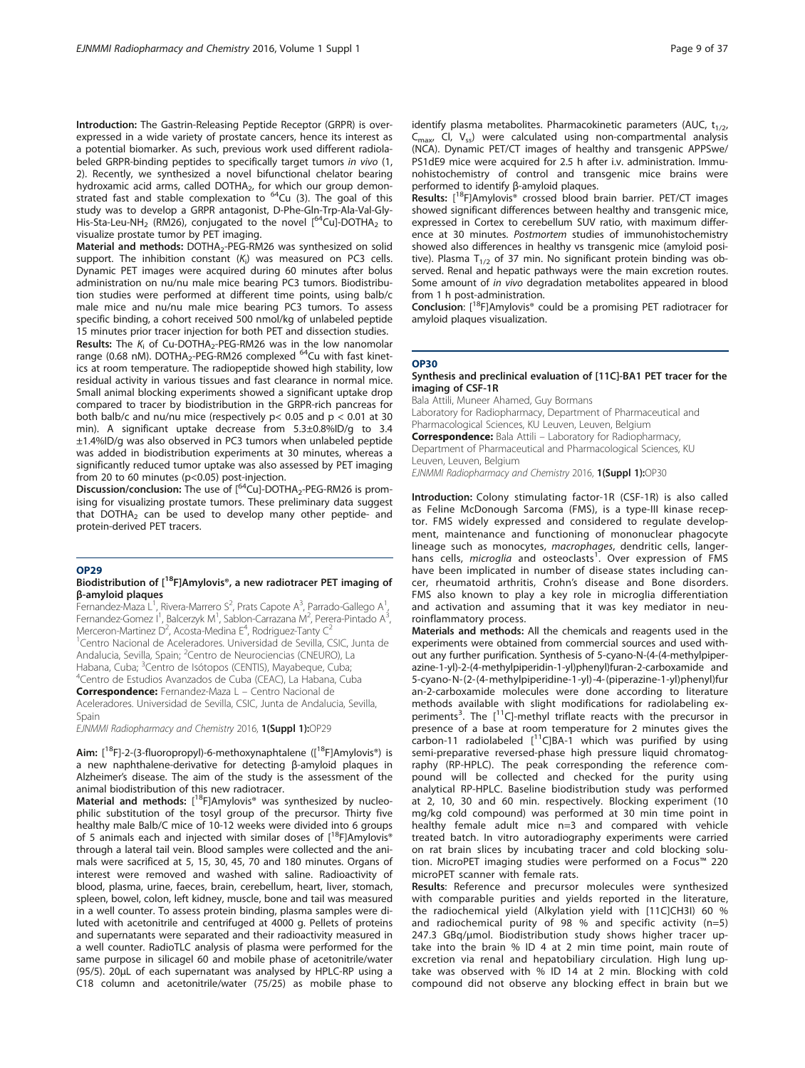Introduction: The Gastrin-Releasing Peptide Receptor (GRPR) is overexpressed in a wide variety of prostate cancers, hence its interest as a potential biomarker. As such, previous work used different radiolabeled GRPR-binding peptides to specifically target tumors in vivo (1, 2). Recently, we synthesized a novel bifunctional chelator bearing hydroxamic acid arms, called DOTHA<sub>2</sub>, for which our group demon-<br>strated fast and stable complexation to <sup>64</sup>Cu (3). The goal of this study was to develop a GRPR antagonist, D-Phe-Gln-Trp-Ala-Val-Gly-His-Sta-Leu-NH<sub>2</sub> (RM26), conjugated to the novel  $[{}^{64}Cu]$ -DOTHA<sub>2</sub> to visualize prostate tumor by PET imaging.

Material and methods: DOTHA<sub>2</sub>-PEG-RM26 was synthesized on solid support. The inhibition constant  $(K_i)$  was measured on PC3 cells. Dynamic PET images were acquired during 60 minutes after bolus administration on nu/nu male mice bearing PC3 tumors. Biodistribution studies were performed at different time points, using balb/c male mice and nu/nu male mice bearing PC3 tumors. To assess specific binding, a cohort received 500 nmol/kg of unlabeled peptide 15 minutes prior tracer injection for both PET and dissection studies. Results: The  $K_i$  of Cu-DOTHA<sub>2</sub>-PEG-RM26 was in the low nanomolar range (0.68 nM). DOTHA<sub>2</sub>-PEG-RM26 complexed <sup>64</sup>Cu with fast kinetics at room temperature. The radiopeptide showed high stability, low residual activity in various tissues and fast clearance in normal mice. Small animal blocking experiments showed a significant uptake drop compared to tracer by biodistribution in the GRPR-rich pancreas for both balb/c and nu/nu mice (respectively  $p < 0.05$  and  $p < 0.01$  at 30 min). A significant uptake decrease from 5.3±0.8%ID/g to 3.4 ±1.4%ID/g was also observed in PC3 tumors when unlabeled peptide was added in biodistribution experiments at 30 minutes, whereas a significantly reduced tumor uptake was also assessed by PET imaging from 20 to 60 minutes (p<0.05) post-injection.

Discussion/conclusion: The use of [<sup>64</sup>Cu]-DOTHA<sub>2</sub>-PEG-RM26 is promising for visualizing prostate tumors. These preliminary data suggest that DOTHA<sub>2</sub> can be used to develop many other peptide- and protein-derived PET tracers.

#### OP29

### Biodistribution of [<sup>18</sup>F]Amylovis<sup>®</sup>, a new radiotracer PET imaging of β-amyloid plaques

Fernandez-Maza L<sup>1</sup>, Rivera-Marrero S<sup>2</sup>, Prats Capote A<sup>3</sup>, Parrado-Gallego A<sup>1</sup> , Fernandez-Gomez I<sup>1</sup>, Balcerzyk M<sup>1</sup>, Sablon-Carrazana M<sup>2</sup>, Perera-Pintado A<sup>3</sup> , Merceron-Martinez  $D^2$ , Acosta-Medina E<sup>4</sup>, Rodriguez-Tanty C<sup>2</sup>

<sup>1</sup>Centro Nacional de Aceleradores. Universidad de Sevilla, CSIC, Junta de Andalucia, Sevilla, Spain; <sup>2</sup>Centro de Neurociencias (CNEURO), La Habana, Cuba; <sup>3</sup>Centro de Isótopos (CENTIS), Mayabeque, Cuba;<br><sup>4</sup>Centro de Estudios Avanzados de Cuba (CEAC), La Habana, Cu

<sup>4</sup>Centro de Estudios Avanzados de Cuba (CEAC), La Habana, Cuba Correspondence: Fernandez-Maza L – Centro Nacional de

Aceleradores. Universidad de Sevilla, CSIC, Junta de Andalucia, Sevilla, Spain

EJNMMI Radiopharmacy and Chemistry 2016, 1(Suppl 1):OP29

Aim: [<sup>18</sup>F]-2-(3-fluoropropyl)-6-methoxynaphtalene ([<sup>18</sup>F]Amylovis®) is a new naphthalene-derivative for detecting β-amyloid plaques in Alzheimer's disease. The aim of the study is the assessment of the animal biodistribution of this new radiotracer.

Material and methods: [<sup>18</sup>F]Amylovis<sup>®</sup> was synthesized by nucleophilic substitution of the tosyl group of the precursor. Thirty five healthy male Balb/C mice of 10-12 weeks were divided into 6 groups of 5 animals each and injected with similar doses of [<sup>18</sup>F]Amylovis® through a lateral tail vein. Blood samples were collected and the animals were sacrificed at 5, 15, 30, 45, 70 and 180 minutes. Organs of interest were removed and washed with saline. Radioactivity of blood, plasma, urine, faeces, brain, cerebellum, heart, liver, stomach, spleen, bowel, colon, left kidney, muscle, bone and tail was measured in a well counter. To assess protein binding, plasma samples were diluted with acetonitrile and centrifuged at 4000 g. Pellets of proteins and supernatants were separated and their radioactivity measured in a well counter. RadioTLC analysis of plasma were performed for the same purpose in silicagel 60 and mobile phase of acetonitrile/water (95/5). 20μL of each supernatant was analysed by HPLC-RP using a C18 column and acetonitrile/water (75/25) as mobile phase to

identify plasma metabolites. Pharmacokinetic parameters (AUC,  $t_{1/2}$ ,  $C_{\text{max}}$ , Cl,  $V_{ss}$ ) were calculated using non-compartmental analysis (NCA). Dynamic PET/CT images of healthy and transgenic APPSwe/ PS1dE9 mice were acquired for 2.5 h after i.v. administration. Immunohistochemistry of control and transgenic mice brains were performed to identify β-amyloid plaques.

Results: [<sup>18</sup>F]Amylovis<sup>®</sup> crossed blood brain barrier. PET/CT images showed significant differences between healthy and transgenic mice, expressed in Cortex to cerebellum SUV ratio, with maximum difference at 30 minutes. Postmortem studies of immunohistochemistry showed also differences in healthy vs transgenic mice (amyloid positive). Plasma  $T_{1/2}$  of 37 min. No significant protein binding was observed. Renal and hepatic pathways were the main excretion routes. Some amount of in vivo degradation metabolites appeared in blood from 1 h post-administration.

Conclusion: [18F]Amylovis® could be a promising PET radiotracer for amyloid plaques visualization.

### OP30

#### Synthesis and preclinical evaluation of [11C]-BA1 PET tracer for the imaging of CSF-1R

Bala Attili, Muneer Ahamed, Guy Bormans

Laboratory for Radiopharmacy, Department of Pharmaceutical and Pharmacological Sciences, KU Leuven, Leuven, Belgium

**Correspondence:** Bala Attili – Laboratory for Radiopharmacy, Department of Pharmaceutical and Pharmacological Sciences, KU

Leuven, Leuven, Belgium

EJNMMI Radiopharmacy and Chemistry 2016, 1(Suppl 1):OP30

Introduction: Colony stimulating factor-1R (CSF-1R) is also called as Feline McDonough Sarcoma (FMS), is a type-III kinase receptor. FMS widely expressed and considered to regulate development, maintenance and functioning of mononuclear phagocyte lineage such as monocytes, macrophages, dendritic cells, langerhans cells, microglia and osteoclasts<sup>1</sup>. Over expression of FMS have been implicated in number of disease states including cancer, rheumatoid arthritis, Crohn's disease and Bone disorders. FMS also known to play a key role in microglia differentiation and activation and assuming that it was key mediator in neuroinflammatory process.

Materials and methods: All the chemicals and reagents used in the experiments were obtained from commercial sources and used without any further purification. Synthesis of 5-cyano-N-(4-(4-methylpiperazine-1-yl)-2-(4-methylpiperidin-1-yl)phenyl)furan-2-carboxamide and 5-cyano-N-(2-(4-methylpiperidine-1-yl)-4-(piperazine-1-yl)phenyl)fur an-2-carboxamide molecules were done according to literature methods available with slight modifications for radiolabeling experiments<sup>3</sup>. The [<sup>11</sup>C]-methyl triflate reacts with the precursor in presence of a base at room temperature for 2 minutes gives the carbon-11 radiolabeled  $[^{11}C]BA-1$  which was purified by using semi-preparative reversed-phase high pressure liquid chromatography (RP-HPLC). The peak corresponding the reference compound will be collected and checked for the purity using analytical RP-HPLC. Baseline biodistribution study was performed at 2, 10, 30 and 60 min. respectively. Blocking experiment (10 mg/kg cold compound) was performed at 30 min time point in healthy female adult mice n=3 and compared with vehicle treated batch. In vitro autoradiography experiments were carried on rat brain slices by incubating tracer and cold blocking solution. MicroPET imaging studies were performed on a Focus™ 220 microPET scanner with female rats.

Results: Reference and precursor molecules were synthesized with comparable purities and yields reported in the literature, the radiochemical yield (Alkylation yield with [11C]CH3I) 60 % and radiochemical purity of 98 % and specific activity  $(n=5)$ 247.3 GBq/µmol. Biodistribution study shows higher tracer uptake into the brain % ID 4 at 2 min time point, main route of excretion via renal and hepatobiliary circulation. High lung uptake was observed with % ID 14 at 2 min. Blocking with cold compound did not observe any blocking effect in brain but we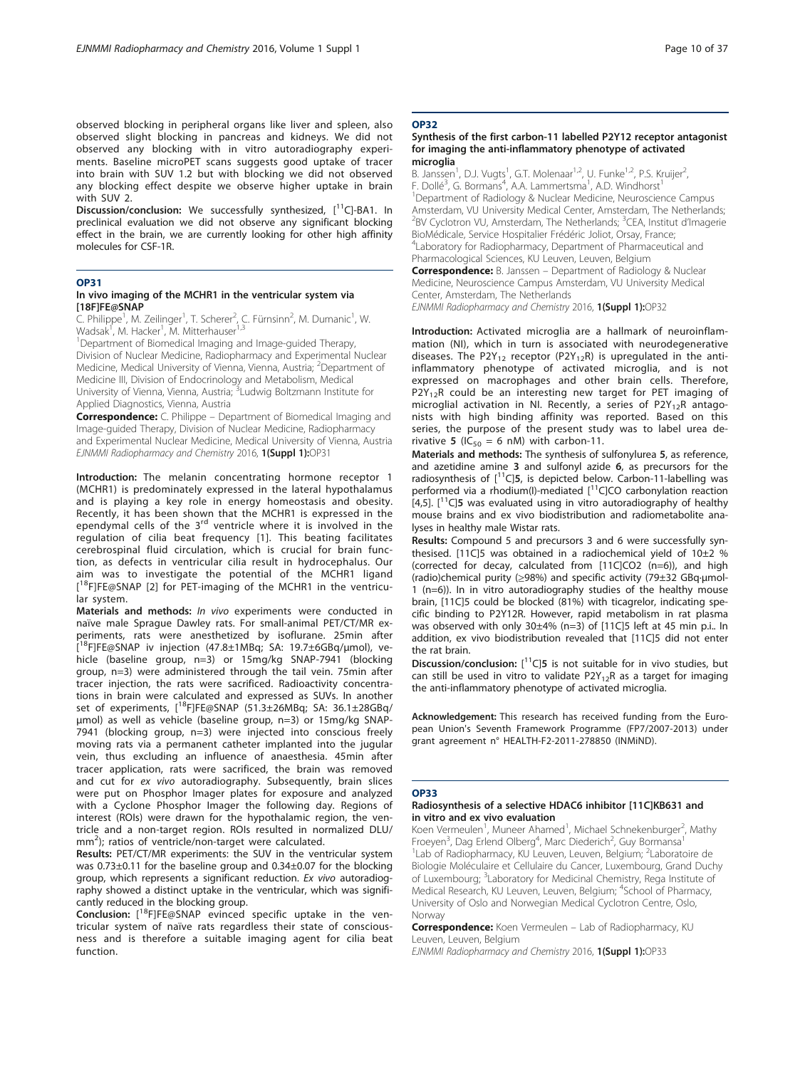observed blocking in peripheral organs like liver and spleen, also observed slight blocking in pancreas and kidneys. We did not observed any blocking with in vitro autoradiography experiments. Baseline microPET scans suggests good uptake of tracer into brain with SUV 1.2 but with blocking we did not observed any blocking effect despite we observe higher uptake in brain with SUV 2.

**Discussion/conclusion:** We successfully synthesized,  $\int_1^{11}$ Cl-BA1. In preclinical evaluation we did not observe any significant blocking effect in the brain, we are currently looking for other high affinity molecules for CSF-1R.

#### OP31

#### In vivo imaging of the MCHR1 in the ventricular system via [18F]FE@SNAP

**.**<br>C. Philippe<sup>1</sup>, M. Zeilinger<sup>1</sup>, T. Scherer<sup>2</sup>, C. Fürnsinn<sup>2</sup>, M. Dumanic<sup>1</sup>, W.<br>Wadsak<sup>1</sup>, M. Hacker<sup>1</sup>, M. Mitterhauser<sup>1,3</sup>

<sup>1</sup>Department of Biomedical Imaging and Image-guided Therapy, Division of Nuclear Medicine, Radiopharmacy and Experimental Nuclear Medicine, Medical University of Vienna, Vienna, Austria; <sup>2</sup>Department of Medicine III, Division of Endocrinology and Metabolism, Medical<br>University of Vienna, Vienna, Austria; <sup>3</sup>Ludwig Boltzmann Institute for Applied Diagnostics, Vienna, Austria

**Correspondence:** C. Philippe – Department of Biomedical Imaging and Image-guided Therapy, Division of Nuclear Medicine, Radiopharmacy and Experimental Nuclear Medicine, Medical University of Vienna, Austria EJNMMI Radiopharmacy and Chemistry 2016, 1(Suppl 1):OP31

Introduction: The melanin concentrating hormone receptor 1 (MCHR1) is predominately expressed in the lateral hypothalamus and is playing a key role in energy homeostasis and obesity. Recently, it has been shown that the MCHR1 is expressed in the<br>ependymal cells of the 3<sup>rd</sup> ventricle where it is involved in the regulation of cilia beat frequency [1]. This beating facilitates cerebrospinal fluid circulation, which is crucial for brain function, as defects in ventricular cilia result in hydrocephalus. Our aim was to investigate the potential of the MCHR1 ligand [<sup>18</sup>F]FE@SNAP [2] for PET-imaging of the MCHR1 in the ventricular system.

Materials and methods: In vivo experiments were conducted in naïve male Sprague Dawley rats. For small-animal PET/CT/MR experiments, rats were anesthetized by isoflurane. 25min after [ 18F]FE@SNAP iv injection (47.8±1MBq; SA: 19.7±6GBq/μmol), vehicle (baseline group, n=3) or 15mg/kg SNAP-7941 (blocking group, n=3) were administered through the tail vein. 75min after tracer injection, the rats were sacrificed. Radioactivity concentrations in brain were calculated and expressed as SUVs. In another set of experiments, [<sup>18</sup>F]FE@SNAP (51.3±26MBq; SA: 36.1±28GBq/ μmol) as well as vehicle (baseline group, n=3) or 15mg/kg SNAP-7941 (blocking group, n=3) were injected into conscious freely moving rats via a permanent catheter implanted into the jugular vein, thus excluding an influence of anaesthesia. 45min after tracer application, rats were sacrificed, the brain was removed and cut for ex vivo autoradiography. Subsequently, brain slices were put on Phosphor Imager plates for exposure and analyzed with a Cyclone Phosphor Imager the following day. Regions of interest (ROIs) were drawn for the hypothalamic region, the ventricle and a non-target region. ROIs resulted in normalized DLU/ mm<sup>2</sup>); ratios of ventricle/non-target were calculated.

Results: PET/CT/MR experiments: the SUV in the ventricular system was 0.73±0.11 for the baseline group and 0.34±0.07 for the blocking group, which represents a significant reduction. Ex vivo autoradiography showed a distinct uptake in the ventricular, which was significantly reduced in the blocking group.

Conclusion: [<sup>18</sup>F]FE@SNAP evinced specific uptake in the ventricular system of naïve rats regardless their state of consciousness and is therefore a suitable imaging agent for cilia beat function.

#### OP32

#### Synthesis of the first carbon-11 labelled P2Y12 receptor antagonist for imaging the anti-inflammatory phenotype of activated microglia

B. Janssen<sup>1</sup>, D.J. Vugts<sup>1</sup>, G.T. Molenaar<sup>1,2</sup>, U. Funke<sup>1,2</sup>, P.S. Kruijer<sup>2</sup> , F. Dollé<sup>3</sup>, G. Bormans<sup>4</sup>, A.A. Lammertsma<sup>1</sup>, A.D. Windhorst<sup>1</sup> <sup>1</sup>Department of Radiology & Nuclear Medicine, Neuroscience Campus Amsterdam, VU University Medical Center, Amsterdam, The Netherlands; <sup>2</sup>BV Cyclotron VU, Amsterdam, The Netherlands; <sup>3</sup>CEA, Institut d'Imagerie BioMédicale, Service Hospitalier Frédéric Joliot, Orsay, France; 4 Laboratory for Radiopharmacy, Department of Pharmaceutical and Pharmacological Sciences, KU Leuven, Leuven, Belgium **Correspondence:** B. Janssen – Department of Radiology & Nuclear Medicine, Neuroscience Campus Amsterdam, VU University Medical Center, Amsterdam, The Netherlands EJNMMI Radiopharmacy and Chemistry 2016, 1(Suppl 1):OP32

Introduction: Activated microglia are a hallmark of neuroinflammation (NI), which in turn is associated with neurodegenerative diseases. The P2Y<sub>12</sub> receptor (P2Y<sub>12</sub>R) is upregulated in the antiinflammatory phenotype of activated microglia, and is not expressed on macrophages and other brain cells. Therefore,  $P2Y_{12}R$  could be an interesting new target for PET imaging of microglial activation in Nl. Recently, a series of  $P2Y_{12}R$  antagonists with high binding affinity was reported. Based on this series, the purpose of the present study was to label urea derivative 5 ( $IC_{50} = 6$  nM) with carbon-11.

Materials and methods: The synthesis of sulfonylurea 5, as reference, and azetidine amine 3 and sulfonyl azide 6, as precursors for the radiosynthesis of  $[^{11}C]$ 5, is depicted below. Carbon-11-labelling was performed via a rhodium(I)-mediated  $[$ <sup>11</sup>C]CO carbonylation reaction [4,5].  $[^{11}C]$ 5 was evaluated using in vitro autoradiography of healthy mouse brains and ex vivo biodistribution and radiometabolite analyses in healthy male Wistar rats.

Results: Compound 5 and precursors 3 and 6 were successfully synthesised. [11C]5 was obtained in a radiochemical yield of 10±2 % (corrected for decay, calculated from [11C]CO2 (n=6)), and high (radio)chemical purity (≥98%) and specific activity (79±32 GBq·μmol-1 (n=6)). In in vitro autoradiography studies of the healthy mouse brain, [11C]5 could be blocked (81%) with ticagrelor, indicating specific binding to P2Y12R. However, rapid metabolism in rat plasma was observed with only 30±4% (n=3) of [11C]5 left at 45 min p.i.. In addition, ex vivo biodistribution revealed that [11C]5 did not enter the rat brain.

Discussion/conclusion:  $[$ <sup>11</sup>C]5 is not suitable for in vivo studies, but can still be used in vitro to validate  $P2Y_{12}R$  as a target for imaging the anti-inflammatory phenotype of activated microglia.

Acknowledgement: This research has received funding from the European Union's Seventh Framework Programme (FP7/2007-2013) under grant agreement n° HEALTH-F2-2011-278850 (INMiND).

#### OP33

### Radiosynthesis of a selective HDAC6 inhibitor [11C]KB631 and in vitro and ex vivo evaluation

Koen Vermeulen<sup>1</sup>, Muneer Ahamed<sup>1</sup>, Michael Schnekenburger<sup>2</sup>, Mathy Froeyen<sup>3</sup>, Dag Erlend Olberg<sup>4</sup>, Marc Diederich<sup>2</sup>, Guy Bormansa<sup>1</sup> <sup>1</sup>Lab of Radiopharmacy, KU Leuven, Leuven, Belgium; <sup>2</sup>Laboratoire de Biologie Moléculaire et Cellulaire du Cancer, Luxembourg, Grand Duchy of Luxembourg; <sup>3</sup>Laboratory for Medicinal Chemistry, Rega Institute of Medical Research, KU Leuven, Leuven, Belgium; <sup>4</sup>School of Pharmacy, University of Oslo and Norwegian Medical Cyclotron Centre, Oslo, Norway

Correspondence: Koen Vermeulen - Lab of Radiopharmacy, KU Leuven, Leuven, Belgium

EJNMMI Radiopharmacy and Chemistry 2016, 1(Suppl 1):OP33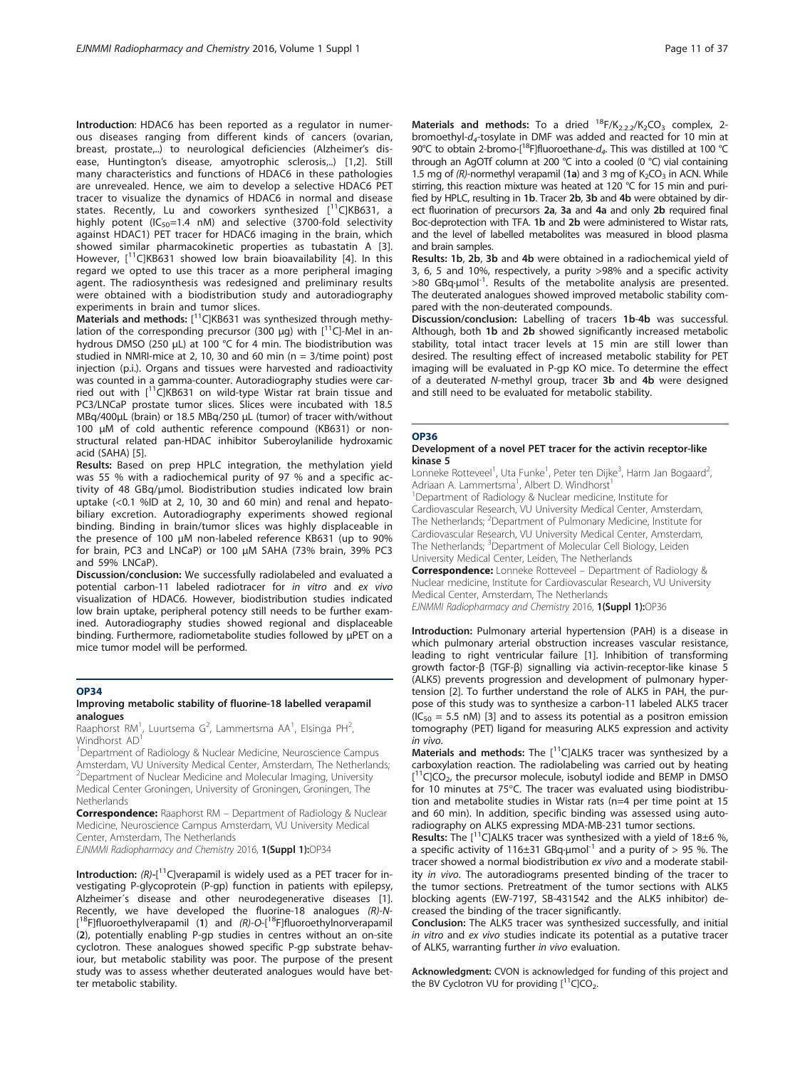Introduction: HDAC6 has been reported as a regulator in numerous diseases ranging from different kinds of cancers (ovarian, breast, prostate,..) to neurological deficiencies (Alzheimer's disease, Huntington's disease, amyotrophic sclerosis,..) [1,2]. Still many characteristics and functions of HDAC6 in these pathologies are unrevealed. Hence, we aim to develop a selective HDAC6 PET tracer to visualize the dynamics of HDAC6 in normal and disease states. Recently, Lu and coworkers synthesized  $[11C]KB631$ , a highly potent ( $IC_{50}$ =1.4 nM) and selective (3700-fold selectivity against HDAC1) PET tracer for HDAC6 imaging in the brain, which showed similar pharmacokinetic properties as tubastatin A [3]. However, [<sup>11</sup>C]KB631 showed low brain bioavailability [4]. In this regard we opted to use this tracer as a more peripheral imaging agent. The radiosynthesis was redesigned and preliminary results were obtained with a biodistribution study and autoradiography experiments in brain and tumor slices.

Materials and methods: [<sup>11</sup>C]KB631 was synthesized through methylation of the corresponding precursor (300 µg) with  $[^{11}C]$ -MeI in anhydrous DMSO (250 μL) at 100 °C for 4 min. The biodistribution was studied in NMRI-mice at 2, 10, 30 and 60 min ( $n = 3$ /time point) post injection (p.i.). Organs and tissues were harvested and radioactivity was counted in a gamma-counter. Autoradiography studies were carried out with  $[11]$ C]KB631 on wild-type Wistar rat brain tissue and PC3/LNCaP prostate tumor slices. Slices were incubated with 18.5 MBq/400μL (brain) or 18.5 MBq/250 μL (tumor) of tracer with/without 100 μM of cold authentic reference compound (KB631) or nonstructural related pan-HDAC inhibitor Suberoylanilide hydroxamic acid (SAHA) [5].

Results: Based on prep HPLC integration, the methylation yield was 55 % with a radiochemical purity of 97 % and a specific activity of 48 GBq/μmol. Biodistribution studies indicated low brain uptake (<0.1 %ID at 2, 10, 30 and 60 min) and renal and hepatobiliary excretion. Autoradiography experiments showed regional binding. Binding in brain/tumor slices was highly displaceable in the presence of 100 μM non-labeled reference KB631 (up to 90% for brain, PC3 and LNCaP) or 100 μM SAHA (73% brain, 39% PC3 and 59% LNCaP).

Discussion/conclusion: We successfully radiolabeled and evaluated a potential carbon-11 labeled radiotracer for in vitro and ex vivo visualization of HDAC6. However, biodistribution studies indicated low brain uptake, peripheral potency still needs to be further examined. Autoradiography studies showed regional and displaceable binding. Furthermore, radiometabolite studies followed by μPET on a mice tumor model will be performed.

#### OP34

#### Improving metabolic stability of fluorine-18 labelled verapamil analogues

Raaphorst RM<sup>1</sup>, Luurtsema G<sup>2</sup>, Lammertsma AA<sup>1</sup>, Elsinga PH<sup>2</sup> , Windhorst AD

<sup>1</sup>Department of Radiology & Nuclear Medicine, Neuroscience Campus Amsterdam, VU University Medical Center, Amsterdam, The Netherlands; <sup>2</sup>Department of Nuclear Medicine and Molecular Imaging, University Medical Center Groningen, University of Groningen, Groningen, The **Netherlands** 

**Correspondence:** Raaphorst RM - Department of Radiology & Nuclear Medicine, Neuroscience Campus Amsterdam, VU University Medical Center, Amsterdam, The Netherlands EJNMMI Radiopharmacy and Chemistry 2016, 1(Suppl 1):OP34

Introduction:  $(R)$ -[ $11$ C]verapamil is widely used as a PET tracer for investigating P-glycoprotein (P-gp) function in patients with epilepsy, Alzheimer´s disease and other neurodegenerative diseases [1]. Recently, we have developed the fluorine-18 analogues (R)-N- [<sup>18</sup>F]fluoroethylverapamil (1) and (R)-O-[<sup>18</sup>F]fluoroethylnorverapamil (2), potentially enabling P-gp studies in centres without an on-site cyclotron. These analogues showed specific P-gp substrate behaviour, but metabolic stability was poor. The purpose of the present study was to assess whether deuterated analogues would have better metabolic stability.

Materials and methods: To a dried  $^{18}F/K_{2,2,2}/K_2CO_3$  complex, 2bromoethyl- $d_4$ -tosylate in DMF was added and reacted for 10 min at 90°C to obtain 2-bromo-[<sup>18</sup>F]fluoroethane- $d_A$ . This was distilled at 100 °C through an AgOTf column at 200 °C into a cooled (0 °C) vial containing 1.5 mg of (R)-normethyl verapamil (1a) and 3 mg of  $K_2CO_3$  in ACN. While stirring, this reaction mixture was heated at 120 °C for 15 min and purified by HPLC, resulting in 1b. Tracer 2b, 3b and 4b were obtained by direct fluorination of precursors 2a, 3a and 4a and only 2b required final Boc-deprotection with TFA. 1b and 2b were administered to Wistar rats, and the level of labelled metabolites was measured in blood plasma and brain samples.

Results: 1b, 2b, 3b and 4b were obtained in a radiochemical yield of 3, 6, 5 and 10%, respectively, a purity >98% and a specific activity  $>80$  GBq·µmol<sup>-1</sup>. Results of the metabolite analysis are presented. The deuterated analogues showed improved metabolic stability compared with the non-deuterated compounds.

Discussion/conclusion: Labelling of tracers 1b-4b was successful. Although, both 1b and 2b showed significantly increased metabolic stability, total intact tracer levels at 15 min are still lower than desired. The resulting effect of increased metabolic stability for PET imaging will be evaluated in P-gp KO mice. To determine the effect of a deuterated N-methyl group, tracer 3b and 4b were designed and still need to be evaluated for metabolic stability.

#### OP36

#### Development of a novel PET tracer for the activin receptor-like kinase 5

Lonneke Rotteveel<sup>1</sup>, Uta Funke<sup>1</sup>, Peter ten Dijke<sup>3</sup>, Harm Jan Bogaard<sup>2</sup> , Adriaan A. Lammertsma<sup>1</sup>, Albert D. Windhorst<sup>1</sup>

<sup>1</sup>Department of Radiology & Nuclear medicine, Institute for Cardiovascular Research, VU University Medical Center, Amsterdam, The Netherlands; <sup>2</sup>Department of Pulmonary Medicine, Institute for Cardiovascular Research, VU University Medical Center, Amsterdam, The Netherlands; <sup>3</sup>Department of Molecular Cell Biology, Leiden University Medical Center, Leiden, The Netherlands

**Correspondence:** Lonneke Rotteveel – Department of Radiology & Nuclear medicine, Institute for Cardiovascular Research, VU University Medical Center, Amsterdam, The Netherlands

EJNMMI Radiopharmacy and Chemistry 2016, 1(Suppl 1):OP36

Introduction: Pulmonary arterial hypertension (PAH) is a disease in which pulmonary arterial obstruction increases vascular resistance, leading to right ventricular failure [1]. Inhibition of transforming growth factor-β (TGF-β) signalling via activin-receptor-like kinase 5 (ALK5) prevents progression and development of pulmonary hypertension [2]. To further understand the role of ALK5 in PAH, the purpose of this study was to synthesize a carbon-11 labeled ALK5 tracer  $(IC_{50} = 5.5 \text{ nM})$  [3] and to assess its potential as a positron emission tomography (PET) ligand for measuring ALK5 expression and activity in vivo.

Materials and methods: The  $[^{11}C]$ ALK5 tracer was synthesized by a carboxylation reaction. The radiolabeling was carried out by heating [  $1^1$ C $|CO_2$ , the precursor molecule, isobutyl iodide and BEMP in DMSO for 10 minutes at 75°C. The tracer was evaluated using biodistribution and metabolite studies in Wistar rats (n=4 per time point at 15 and 60 min). In addition, specific binding was assessed using autoradiography on ALK5 expressing MDA-MB-231 tumor sections.

Results: The  $[11C]$ ALK5 tracer was synthesized with a yield of 18 $\pm$ 6 %, a specific activity of 116 $\pm$ 31 GBq·µmol<sup>-1</sup> and a purity of > 95 %. The tracer showed a normal biodistribution ex vivo and a moderate stability in vivo. The autoradiograms presented binding of the tracer to the tumor sections. Pretreatment of the tumor sections with ALK5 blocking agents (EW-7197, SB-431542 and the ALK5 inhibitor) decreased the binding of the tracer significantly.

Conclusion: The ALK5 tracer was synthesized successfully, and initial in vitro and ex vivo studies indicate its potential as a putative tracer of ALK5, warranting further in vivo evaluation.

Acknowledgment: CVON is acknowledged for funding of this project and the BV Cyclotron VU for providing  $\int_1^{11}C|CO_2$ .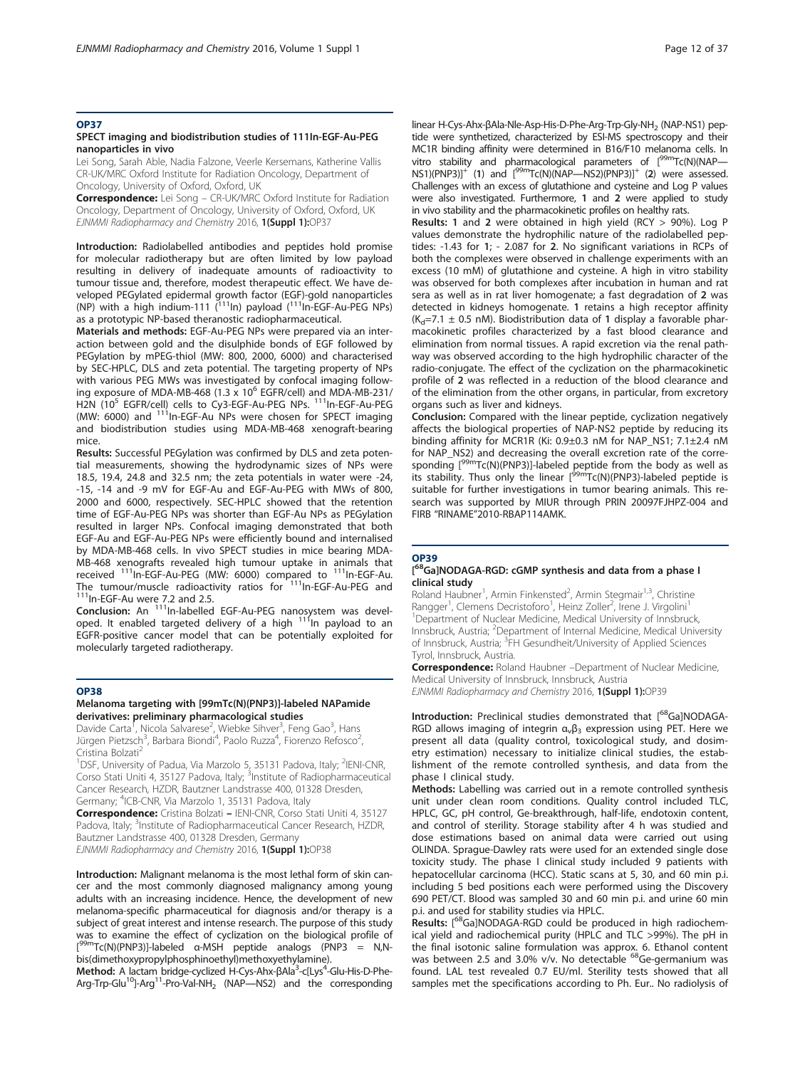### OP37

#### SPECT imaging and biodistribution studies of 111In-EGF-Au-PEG nanoparticles in vivo

Lei Song, Sarah Able, Nadia Falzone, Veerle Kersemans, Katherine Vallis CR-UK/MRC Oxford Institute for Radiation Oncology, Department of Oncology, University of Oxford, Oxford, UK

**Correspondence:** Lei Song - CR-UK/MRC Oxford Institute for Radiation Oncology, Department of Oncology, University of Oxford, Oxford, UK EJNMMI Radiopharmacy and Chemistry 2016, 1(Suppl 1):OP37

Introduction: Radiolabelled antibodies and peptides hold promise for molecular radiotherapy but are often limited by low payload resulting in delivery of inadequate amounts of radioactivity to tumour tissue and, therefore, modest therapeutic effect. We have developed PEGylated epidermal growth factor (EGF)-gold nanoparticles<br>(NP) with a high indium-111 (<sup>111</sup>In) payload (<sup>111</sup>In-EGF-Au-PEG NPs) as a prototypic NP-based theranostic radiopharmaceutical.

Materials and methods: EGF-Au-PEG NPs were prepared via an interaction between gold and the disulphide bonds of EGF followed by PEGylation by mPEG-thiol (MW: 800, 2000, 6000) and characterised by SEC-HPLC, DLS and zeta potential. The targeting property of NPs with various PEG MWs was investigated by confocal imaging following exposure of MDA-MB-468 (1.3  $\times$  10<sup>6</sup> EGFR/cell) and MDA-MB-231/ H2N (105 EGFR/cell) cells to Cy3-EGF-Au-PEG NPs. 111In-EGF-Au-PEG (MW: 6000) and <sup>111</sup>In-EGF-Au NPs were chosen for SPECT imaging and biodistribution studies using MDA-MB-468 xenograft-bearing mice.

Results: Successful PEGylation was confirmed by DLS and zeta potential measurements, showing the hydrodynamic sizes of NPs were 18.5, 19.4, 24.8 and 32.5 nm; the zeta potentials in water were -24, -15, -14 and -9 mV for EGF-Au and EGF-Au-PEG with MWs of 800, 2000 and 6000, respectively. SEC-HPLC showed that the retention time of EGF-Au-PEG NPs was shorter than EGF-Au NPs as PEGylation resulted in larger NPs. Confocal imaging demonstrated that both EGF-Au and EGF-Au-PEG NPs were efficiently bound and internalised by MDA-MB-468 cells. In vivo SPECT studies in mice bearing MDA-MB-468 xenografts revealed high tumour uptake in animals that received <sup>111</sup>In-EGF-Au-PEG (MW: 6000) compared to <sup>111</sup>In-EGF-Au. The tumour/muscle radioactivity ratios for  $111$ <sup>11</sup>In-EGF-Au-PEG and  $111$ In-EGF-Au were 7.2 and 2.5.

Conclusion: An 111In-labelled EGF-Au-PEG nanosystem was developed. It enabled targeted delivery of a high  $111$ <sup>I</sup>In payload to an EGFR-positive cancer model that can be potentially exploited for molecularly targeted radiotherapy.

#### OP38

#### Melanoma targeting with [99mTc(N)(PNP3)]-labeled NAPamide derivatives: preliminary pharmacological studies

Davide Carta<sup>1</sup>, Nicola Salvarese<sup>2</sup>, Wiebke Sihver<sup>3</sup>, Feng Gao<sup>3</sup>, Hans Jürgen Pietzsch<sup>3</sup>, Barbara Biondi<sup>4</sup>, Paolo Ruzza<sup>4</sup>, Fiorenzo Refosco<sup>2</sup> , Cristina Bolzati2

<sup>1</sup>DSF, University of Padua, Via Marzolo 5, 35131 Padova, Italy; <sup>2</sup>IENI-CNR, Corso Stati Uniti 4, 35127 Padova, Italy; <sup>3</sup>Institute of Radiopharmaceutical Cancer Research, HZDR, Bautzner Landstrasse 400, 01328 Dresden, Germany; <sup>4</sup>ICB-CNR, Via Marzolo 1, 35131 Padova, Italy

Correspondence: Cristina Bolzati – IENI-CNR, Corso Stati Uniti 4, 35127 Padova, Italy; <sup>3</sup>Institute of Radiopharmaceutical Cancer Research, HZDR, Bautzner Landstrasse 400, 01328 Dresden, Germany EJNMMI Radiopharmacy and Chemistry 2016, 1(Suppl 1):OP38

Introduction: Malignant melanoma is the most lethal form of skin cancer and the most commonly diagnosed malignancy among young adults with an increasing incidence. Hence, the development of new melanoma-specific pharmaceutical for diagnosis and/or therapy is a subject of great interest and intense research. The purpose of this study was to examine the effect of cyclization on the biological profile of  $[{}^{99m}Tc(N)(PNP3)]$ -labeled  $\alpha$ -MSH peptide analogs (PNP3 = N,Nbis(dimethoxypropylphosphinoethyl)methoxyethylamine).

Method: A lactam bridge-cyclized H-Cys-Ahx-βAla<sup>3</sup>-c[Lys<sup>4</sup>-Glu-His-D-Phe-Arg-Trp-Glu<sup>10</sup>]-Arg<sup>11</sup>-Pro-Val-NH<sub>2</sub> (NAP--NS2) and the corresponding linear H-Cys-Ahx-βAla-Nle-Asp-His-D-Phe-Arg-Trp-Gly-NH<sub>2</sub> (NAP-NS1) peptide were synthetized, characterized by ESI-MS spectroscopy and their MC1R binding affinity were determined in B16/F10 melanoma cells. In vitro stability and pharmacological parameters of  $[<sup>99m</sup>TC(N)(NAP—$  $NS1)(PNP3)]^+$  (1) and  $[^{99m}$ Tc(N)(NAP—NS2)(PNP3)]<sup>+</sup> (2) were assessed. Challenges with an excess of glutathione and cysteine and Log P values were also investigated. Furthermore, 1 and 2 were applied to study in vivo stability and the pharmacokinetic profiles on healthy rats.

Results: 1 and 2 were obtained in high yield (RCY > 90%). Log P values demonstrate the hydrophilic nature of the radiolabelled peptides: -1.43 for 1; - 2.087 for 2. No significant variations in RCPs of both the complexes were observed in challenge experiments with an excess (10 mM) of glutathione and cysteine. A high in vitro stability was observed for both complexes after incubation in human and rat sera as well as in rat liver homogenate; a fast degradation of 2 was detected in kidneys homogenate. 1 retains a high receptor affinity (K<sub>d</sub>=7.1  $\pm$  0.5 nM). Biodistribution data of 1 display a favorable pharmacokinetic profiles characterized by a fast blood clearance and elimination from normal tissues. A rapid excretion via the renal pathway was observed according to the high hydrophilic character of the radio-conjugate. The effect of the cyclization on the pharmacokinetic profile of 2 was reflected in a reduction of the blood clearance and of the elimination from the other organs, in particular, from excretory organs such as liver and kidneys.

Conclusion: Compared with the linear peptide, cyclization negatively affects the biological properties of NAP-NS2 peptide by reducing its binding affinity for MCR1R (Ki: 0.9±0.3 nM for NAP\_NS1; 7.1±2.4 nM for NAP\_NS2) and decreasing the overall excretion rate of the corresponding  $[<sup>99m</sup>TC(N)(PNP3)]$ -labeled peptide from the body as well as its stability. Thus only the linear  $[<sup>99m</sup>TC(N)(PNP3)$ -labeled peptide is suitable for further investigations in tumor bearing animals. This research was supported by MIUR through PRIN 20097FJHPZ-004 and FIRB "RINAME"2010-RBAP114AMK.

### OP39

#### [ <sup>68</sup>Ga]NODAGA-RGD: cGMP synthesis and data from a phase I clinical study

Roland Haubner<sup>1</sup>, Armin Finkensted<sup>2</sup>, Armin Stegmair<sup>1,3</sup>, Christine Rangger<sup>1</sup>, Clemens Decristoforo<sup>1</sup>, Heinz Zoller<sup>2</sup>, Irene J. Virgolini<sup>1</sup> <sup>1</sup>Department of Nuclear Medicine, Medical University of Innsbruck, Innsbruck, Austria; <sup>2</sup>Department of Internal Medicine, Medical University of Innsbruck, Austria; <sup>3</sup>FH Gesundheit/University of Applied Sciences Tyrol, Innsbruck, Austria.

Correspondence: Roland Haubner –Department of Nuclear Medicine, Medical University of Innsbruck, Innsbruck, Austria EJNMMI Radiopharmacy and Chemistry 2016, 1(Suppl 1):OP39

Introduction: Preclinical studies demonstrated that [<sup>68</sup>Ga]NODAGA-RGD allows imaging of integrin  $\alpha_{v}\beta_{3}$  expression using PET. Here we present all data (quality control, toxicological study, and dosimetry estimation) necessary to initialize clinical studies, the establishment of the remote controlled synthesis, and data from the phase I clinical study.

Methods: Labelling was carried out in a remote controlled synthesis unit under clean room conditions. Quality control included TLC, HPLC, GC, pH control, Ge-breakthrough, half-life, endotoxin content, and control of sterility. Storage stability after 4 h was studied and dose estimations based on animal data were carried out using OLINDA. Sprague-Dawley rats were used for an extended single dose toxicity study. The phase I clinical study included 9 patients with hepatocellular carcinoma (HCC). Static scans at 5, 30, and 60 min p.i. including 5 bed positions each were performed using the Discovery 690 PET/CT. Blood was sampled 30 and 60 min p.i. and urine 60 min p.i. and used for stability studies via HPLC.

Results: [<sup>68</sup>Ga]NODAGA-RGD could be produced in high radiochemical yield and radiochemical purity (HPLC and TLC >99%). The pH in the final isotonic saline formulation was approx. 6. Ethanol content was between 2.5 and 3.0% v/v. No detectable <sup>68</sup>Ge-germanium was found. LAL test revealed 0.7 EU/ml. Sterility tests showed that all samples met the specifications according to Ph. Eur.. No radiolysis of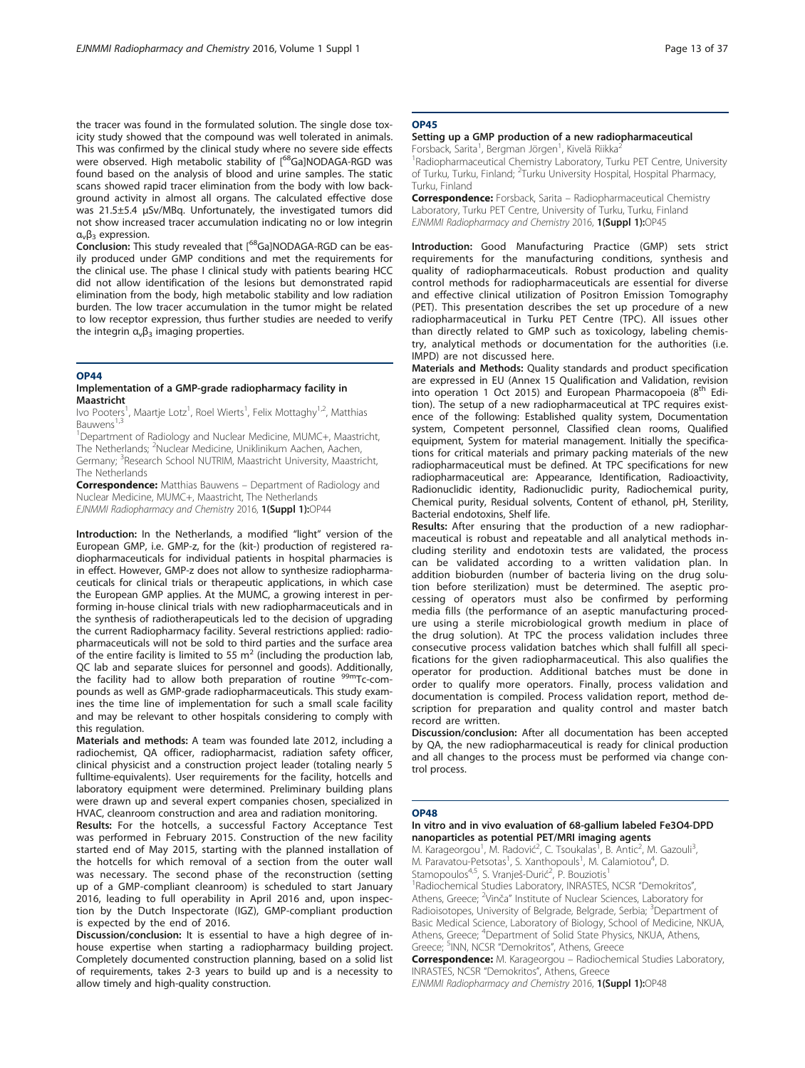the tracer was found in the formulated solution. The single dose toxicity study showed that the compound was well tolerated in animals. This was confirmed by the clinical study where no severe side effects were observed. High metabolic stability of [<sup>68</sup>Ga]NODAGA-RGD was found based on the analysis of blood and urine samples. The static scans showed rapid tracer elimination from the body with low background activity in almost all organs. The calculated effective dose was 21.5±5.4 μSv/MBq. Unfortunately, the investigated tumors did not show increased tracer accumulation indicating no or low integrin α.β<sub>2</sub> expression.

Conclusion: This study revealed that [<sup>68</sup>Ga]NODAGA-RGD can be easily produced under GMP conditions and met the requirements for the clinical use. The phase I clinical study with patients bearing HCC did not allow identification of the lesions but demonstrated rapid elimination from the body, high metabolic stability and low radiation burden. The low tracer accumulation in the tumor might be related to low receptor expression, thus further studies are needed to verify the integrin  $\alpha_{v}\beta_{3}$  imaging properties.

#### **OP44**

#### Implementation of a GMP-grade radiopharmacy facility in Maastricht

Ivo Pooters<sup>1</sup>, Maartje Lotz<sup>1</sup>, Roel Wierts<sup>1</sup>, Felix Mottaghy<sup>1,2</sup>, Matthias Bauwens<sup>1,3</sup>

<sup>1</sup>Department of Radiology and Nuclear Medicine, MUMC+, Maastricht, The Netherlands; <sup>2</sup> Nuclear Medicine, Uniklinikum Aachen, Aachen, Germany; <sup>3</sup>Research School NUTRIM, Maastricht University, Maastricht, The Netherlands

**Correspondence:** Matthias Bauwens – Department of Radiology and Nuclear Medicine, MUMC+, Maastricht, The Netherlands EJNMMI Radiopharmacy and Chemistry 2016, 1(Suppl 1):OP44

Introduction: In the Netherlands, a modified "light" version of the European GMP, i.e. GMP-z, for the (kit-) production of registered radiopharmaceuticals for individual patients in hospital pharmacies is in effect. However, GMP-z does not allow to synthesize radiopharmaceuticals for clinical trials or therapeutic applications, in which case the European GMP applies. At the MUMC, a growing interest in performing in-house clinical trials with new radiopharmaceuticals and in the synthesis of radiotherapeuticals led to the decision of upgrading the current Radiopharmacy facility. Several restrictions applied: radiopharmaceuticals will not be sold to third parties and the surface area of the entire facility is limited to 55  $m^2$  (including the production lab, QC lab and separate sluices for personnel and goods). Additionally,<br>the facility had to allow both preparation of routine <sup>99m</sup>Tc-compounds as well as GMP-grade radiopharmaceuticals. This study examines the time line of implementation for such a small scale facility and may be relevant to other hospitals considering to comply with this regulation.

Materials and methods: A team was founded late 2012, including a radiochemist, QA officer, radiopharmacist, radiation safety officer, clinical physicist and a construction project leader (totaling nearly 5 fulltime-equivalents). User requirements for the facility, hotcells and laboratory equipment were determined. Preliminary building plans were drawn up and several expert companies chosen, specialized in HVAC, cleanroom construction and area and radiation monitoring.

Results: For the hotcells, a successful Factory Acceptance Test was performed in February 2015. Construction of the new facility started end of May 2015, starting with the planned installation of the hotcells for which removal of a section from the outer wall was necessary. The second phase of the reconstruction (setting up of a GMP-compliant cleanroom) is scheduled to start January 2016, leading to full operability in April 2016 and, upon inspection by the Dutch Inspectorate (IGZ), GMP-compliant production is expected by the end of 2016.

Discussion/conclusion: It is essential to have a high degree of inhouse expertise when starting a radiopharmacy building project. Completely documented construction planning, based on a solid list of requirements, takes 2-3 years to build up and is a necessity to allow timely and high-quality construction.

### OP45

#### Setting up a GMP production of a new radiopharmaceutical Forsback, Sarita<sup>1</sup>, Bergman Jörgen<sup>1</sup>, Kivelä Riikka<sup>2</sup>

<sup>1</sup>Radiopharmaceutical Chemistry Laboratory, Turku PET Centre, University of Turku, Turku, Finland; <sup>2</sup>Turku University Hospital, Hospital Pharmacy, Turku, Finland

Correspondence: Forsback, Sarita – Radiopharmaceutical Chemistry Laboratory, Turku PET Centre, University of Turku, Turku, Finland EJNMMI Radiopharmacy and Chemistry 2016, 1(Suppl 1):OP45

Introduction: Good Manufacturing Practice (GMP) sets strict requirements for the manufacturing conditions, synthesis and quality of radiopharmaceuticals. Robust production and quality control methods for radiopharmaceuticals are essential for diverse and effective clinical utilization of Positron Emission Tomography (PET). This presentation describes the set up procedure of a new radiopharmaceutical in Turku PET Centre (TPC). All issues other than directly related to GMP such as toxicology, labeling chemistry, analytical methods or documentation for the authorities (i.e. IMPD) are not discussed here.

Materials and Methods: Quality standards and product specification are expressed in EU (Annex 15 Qualification and Validation, revision into operation 1 Oct 2015) and European Pharmacopoeia  $(8<sup>th</sup>$  Edition). The setup of a new radiopharmaceutical at TPC requires existence of the following: Established quality system, Documentation system, Competent personnel, Classified clean rooms, Qualified equipment, System for material management. Initially the specifications for critical materials and primary packing materials of the new radiopharmaceutical must be defined. At TPC specifications for new radiopharmaceutical are: Appearance, Identification, Radioactivity, Radionuclidic identity, Radionuclidic purity, Radiochemical purity, Chemical purity, Residual solvents, Content of ethanol, pH, Sterility, Bacterial endotoxins, Shelf life.

Results: After ensuring that the production of a new radiopharmaceutical is robust and repeatable and all analytical methods including sterility and endotoxin tests are validated, the process can be validated according to a written validation plan. In addition bioburden (number of bacteria living on the drug solution before sterilization) must be determined. The aseptic processing of operators must also be confirmed by performing media fills (the performance of an aseptic manufacturing procedure using a sterile microbiological growth medium in place of the drug solution). At TPC the process validation includes three consecutive process validation batches which shall fulfill all specifications for the given radiopharmaceutical. This also qualifies the operator for production. Additional batches must be done in order to qualify more operators. Finally, process validation and documentation is compiled. Process validation report, method description for preparation and quality control and master batch record are written.

Discussion/conclusion: After all documentation has been accepted by QA, the new radiopharmaceutical is ready for clinical production and all changes to the process must be performed via change control process.

#### OP48

#### In vitro and in vivo evaluation of 68-gallium labeled Fe3O4-DPD nanoparticles as potential PET/MRI imaging agents

M. Karageorgou<sup>1</sup>, M. Radović<sup>2</sup>, C. Tsoukalas<sup>1</sup>, B. Antic<sup>2</sup>, M. Gazouli<sup>3</sup> , M. Paravatou-Petsotas<sup>1</sup>, S. Xanthopouls<sup>1</sup>, M. Calamiotou<sup>4</sup>, D.

Stamopoulos<sup>4,5</sup>, S. Vranješ-Durić<sup>2</sup>, P. Bouziotis<sup>1</sup>

<sup>1</sup>Radiochemical Studies Laboratory, INRASTES, NCSR "Demokritos" Athens, Greece; <sup>2</sup>Vinča" Institute of Nuclear Sciences, Laboratory for Radioisotopes, University of Belgrade, Belgrade, Serbia; <sup>3</sup>Department of Basic Medical Science, Laboratory of Biology, School of Medicine, NKUA, Athens, Greece; <sup>4</sup>Department of Solid State Physics, NKUA, Athens Greece; <sup>5</sup>INN, NCSR "Demokritos", Athens, Greece

Correspondence: M. Karageorgou – Radiochemical Studies Laboratory, INRASTES, NCSR "Demokritos", Athens, Greece

EJNMMI Radiopharmacy and Chemistry 2016, 1(Suppl 1):OP48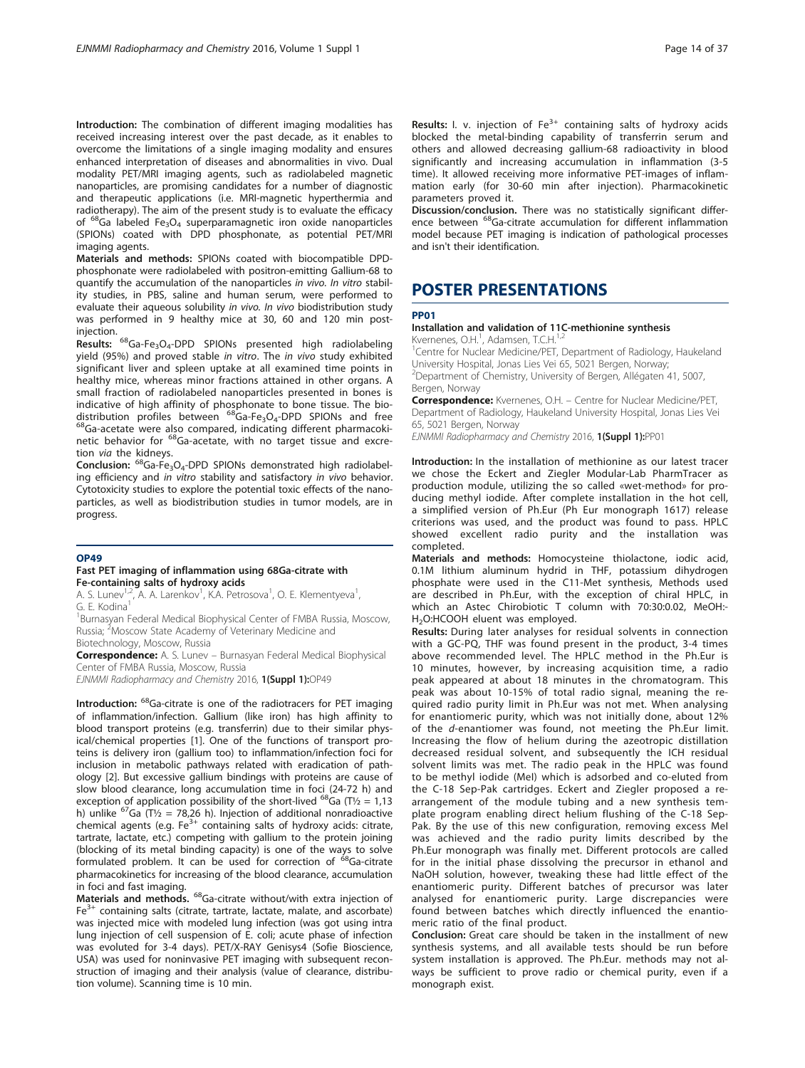Introduction: The combination of different imaging modalities has received increasing interest over the past decade, as it enables to overcome the limitations of a single imaging modality and ensures enhanced interpretation of diseases and abnormalities in vivo. Dual modality PET/MRI imaging agents, such as radiolabeled magnetic nanoparticles, are promising candidates for a number of diagnostic and therapeutic applications (i.e. MRI-magnetic hyperthermia and radiotherapy). The aim of the present study is to evaluate the efficacy of  $^{68}$ Ga labeled Fe<sub>3</sub>O<sub>4</sub> superparamagnetic iron oxide nanoparticles (SPIONs) coated with DPD phosphonate, as potential PET/MRI imaging agents.

Materials and methods: SPIONs coated with biocompatible DPDphosphonate were radiolabeled with positron-emitting Gallium-68 to quantify the accumulation of the nanoparticles in vivo. In vitro stability studies, in PBS, saline and human serum, were performed to evaluate their aqueous solubility in vivo. In vivo biodistribution study was performed in 9 healthy mice at 30, 60 and 120 min postinjection.

Results:  ${}^{68}$ Ga-Fe<sub>3</sub>O<sub>4</sub>-DPD SPIONs presented high radiolabeling yield (95%) and proved stable in vitro. The in vivo study exhibited significant liver and spleen uptake at all examined time points in healthy mice, whereas minor fractions attained in other organs. A small fraction of radiolabeled nanoparticles presented in bones is indicative of high affinity of phosphonate to bone tissue. The bio-<br>distribution profiles between  $^{68}$ Ga-Fe<sub>3</sub>O<sub>a</sub>-DPD SPIONs and free distribution profiles between <sup>68</sup>Ga-Fe<sub>3</sub>O<sub>4</sub>-DPD SPIONs and free 68Ga-acetate were also compared, indicating different pharmacokinetic behavior for <sup>68</sup>Ga-acetate, with no target tissue and excretion via the kidneys.

Conclusion:  $^{68}Ga-Fe_3O_4$ -DPD SPIONs demonstrated high radiolabeling efficiency and in vitro stability and satisfactory in vivo behavior. Cytotoxicity studies to explore the potential toxic effects of the nanoparticles, as well as biodistribution studies in tumor models, are in progress.

#### OP49

### Fast PET imaging of inflammation using 68Ga-citrate with Fe-containing salts of hydroxy acids

A. S. Lunev<sup>1,2</sup>, A. A. Larenkov<sup>1</sup>, K.A. Petrosova<sup>1</sup>, O. E. Klementyeva<sup>1</sup> , G. E. Kodina<sup>1</sup>

<sup>1</sup>Burnasyan Federal Medical Biophysical Center of FMBA Russia, Moscow, Russia; <sup>2</sup>Moscow State Academy of Veterinary Medicine and Biotechnology, Moscow, Russia

Correspondence: A. S. Lunev – Burnasyan Federal Medical Biophysical Center of FMBA Russia, Moscow, Russia

EJNMMI Radiopharmacy and Chemistry 2016, 1(Suppl 1):OP49

Introduction: 68Ga-citrate is one of the radiotracers for PET imaging of inflammation/infection. Gallium (like iron) has high affinity to blood transport proteins (e.g. transferrin) due to their similar physical/chemical properties [1]. One of the functions of transport proteins is delivery iron (gallium too) to inflammation/infection foci for inclusion in metabolic pathways related with eradication of pathology [2]. But excessive gallium bindings with proteins are cause of slow blood clearance, long accumulation time in foci (24-72 h) and exception of application possibility of the short-lived <sup>68</sup>Ga (T<sup>1</sup>/<sub>2</sub> = 1,13) h) unlike  $^{67}$ Ga (T<sup>1</sup>/<sub>2</sub> = 78,26 h). Injection of additional nonradioactive chemical agents (e.g.  $Fe<sup>3+</sup>$  containing salts of hydroxy acids: citrate, tartrate, lactate, etc.) competing with gallium to the protein joining (blocking of its metal binding capacity) is one of the ways to solve<br>formulated problem. It can be used for correction of <sup>68</sup>Ga-citrate pharmacokinetics for increasing of the blood clearance, accumulation in foci and fast imaging.

Materials and methods. <sup>68</sup>Ga-citrate without/with extra injection of  $Fe<sup>3+</sup>$  containing salts (citrate, tartrate, lactate, malate, and ascorbate) was injected mice with modeled lung infection (was got using intra lung injection of cell suspension of E. coli; acute phase of infection was evoluted for 3-4 days). PET/X-RAY Genisys4 (Sofie Bioscience, USA) was used for noninvasive PET imaging with subsequent reconstruction of imaging and their analysis (value of clearance, distribution volume). Scanning time is 10 min.

Results: I. v. injection of  $Fe^{3+}$  containing salts of hydroxy acids blocked the metal-binding capability of transferrin serum and others and allowed decreasing gallium-68 radioactivity in blood significantly and increasing accumulation in inflammation (3-5 time). It allowed receiving more informative PET-images of inflammation early (for 30-60 min after injection). Pharmacokinetic parameters proved it.

Discussion/conclusion. There was no statistically significant difference between <sup>68</sup>Ga-citrate accumulation for different inflammation model because PET imaging is indication of pathological processes and isn't their identification.

# POSTER PRESENTATIONS

#### PP01

#### Installation and validation of 11C-methionine synthesis

Kvernenes, O.H.<sup>1</sup>, Adamsen, T.C.H.<sup>1,2</sup> <sup>1</sup>Centre for Nuclear Medicine/PET, Department of Radiology, Haukeland University Hospital, Jonas Lies Vei 65, 5021 Bergen, Norway; 2 Department of Chemistry, University of Bergen, Allégaten 41, 5007, Bergen, Norway

Correspondence: Kvernenes, O.H. – Centre for Nuclear Medicine/PET, Department of Radiology, Haukeland University Hospital, Jonas Lies Vei 65, 5021 Bergen, Norway

EJNMMI Radiopharmacy and Chemistry 2016, 1(Suppl 1):PP01

Introduction: In the installation of methionine as our latest tracer we chose the Eckert and Ziegler Modular-Lab PharmTracer as production module, utilizing the so called «wet-method» for producing methyl iodide. After complete installation in the hot cell, a simplified version of Ph.Eur (Ph Eur monograph 1617) release criterions was used, and the product was found to pass. HPLC showed excellent radio purity and the installation was completed.

Materials and methods: Homocysteine thiolactone, iodic acid, 0.1M lithium aluminum hydrid in THF, potassium dihydrogen phosphate were used in the C11-Met synthesis, Methods used are described in Ph.Eur, with the exception of chiral HPLC, in which an Astec Chirobiotic T column with 70:30:0.02, MeOH:- H<sub>2</sub>O:HCOOH eluent was employed.

Results: During later analyses for residual solvents in connection with a GC-PQ, THF was found present in the product, 3-4 times above recommended level. The HPLC method in the Ph.Eur is 10 minutes, however, by increasing acquisition time, a radio peak appeared at about 18 minutes in the chromatogram. This peak was about 10-15% of total radio signal, meaning the required radio purity limit in Ph.Eur was not met. When analysing for enantiomeric purity, which was not initially done, about 12% of the d-enantiomer was found, not meeting the Ph.Eur limit. Increasing the flow of helium during the azeotropic distillation decreased residual solvent, and subsequently the ICH residual solvent limits was met. The radio peak in the HPLC was found to be methyl iodide (MeI) which is adsorbed and co-eluted from the C-18 Sep-Pak cartridges. Eckert and Ziegler proposed a rearrangement of the module tubing and a new synthesis template program enabling direct helium flushing of the C-18 Sep-Pak. By the use of this new configuration, removing excess MeI was achieved and the radio purity limits described by the Ph.Eur monograph was finally met. Different protocols are called for in the initial phase dissolving the precursor in ethanol and NaOH solution, however, tweaking these had little effect of the enantiomeric purity. Different batches of precursor was later analysed for enantiomeric purity. Large discrepancies were found between batches which directly influenced the enantiomeric ratio of the final product.

Conclusion: Great care should be taken in the installment of new synthesis systems, and all available tests should be run before system installation is approved. The Ph.Eur. methods may not always be sufficient to prove radio or chemical purity, even if a monograph exist.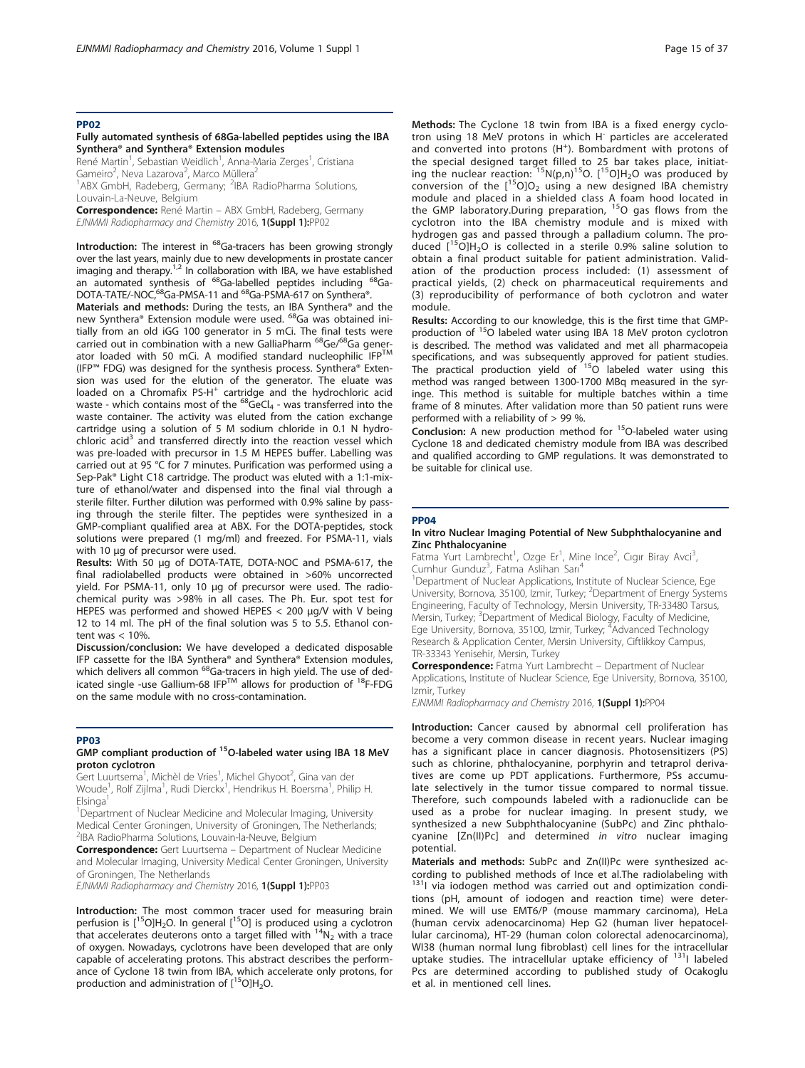#### PP02

Fully automated synthesis of 68Ga-labelled peptides using the IBA Synthera® and Synthera® Extension modules

René Martin<sup>1</sup>, Sebastian Weidlich<sup>1</sup>, Anna-Maria Zerges<sup>1</sup>, Cristiana Gameiro<sup>2</sup>, Neva Lazarova<sup>2</sup>, Marco Müllera<sup>2</sup>

<sup>1</sup>ABX GmbH, Radeberg, Germany; <sup>2</sup>IBA RadioPharma Solutions, Louvain-La-Neuve, Belgium

Correspondence: René Martin – ABX GmbH, Radeberg, Germany EJNMMI Radiopharmacy and Chemistry 2016, 1(Suppl 1):PP02

Introduction: The interest in <sup>68</sup>Ga-tracers has been growing strongly over the last years, mainly due to new developments in prostate cancer imaging and therapy.<sup>1,2</sup> In collaboration with IBA, we have established an automated synthesis of <sup>68</sup>Ga-labelled peptides including <sup>68</sup>Ga-DOTA-TATE/-NOC,<sup>68</sup>Ga-PMSA-11 and <sup>68</sup>Ga-PSMA-617 on Synthera®.

Materials and methods: During the tests, an IBA Synthera® and the new Synthera® Extension module were used. <sup>68</sup>Ga was obtained initially from an old iGG 100 generator in 5 mCi. The final tests were carried out in combination with a new GalliaPharm  $^{68}$ Ge/ $^{68}$ Ga generator loaded with 50 mCi. A modified standard nucleophilic IFPTM (IFP™ FDG) was designed for the synthesis process. Synthera® Extension was used for the elution of the generator. The eluate was loaded on a Chromafix PS-H<sup>+</sup> cartridge and the hydrochloric acid waste - which contains most of the <sup>68</sup>GeCl<sub>4</sub> - was transferred into the waste container. The activity was eluted from the cation exchange cartridge using a solution of 5 M sodium chloride in 0.1 N hydrochloric acid<sup>3</sup> and transferred directly into the reaction vessel which was pre-loaded with precursor in 1.5 M HEPES buffer. Labelling was carried out at 95 °C for 7 minutes. Purification was performed using a Sep-Pak® Light C18 cartridge. The product was eluted with a 1:1-mixture of ethanol/water and dispensed into the final vial through a sterile filter. Further dilution was performed with 0.9% saline by passing through the sterile filter. The peptides were synthesized in a GMP-compliant qualified area at ABX. For the DOTA-peptides, stock solutions were prepared (1 mg/ml) and freezed. For PSMA-11, vials

with 10 μg of precursor were used. Results: With 50 μg of DOTA-TATE, DOTA-NOC and PSMA-617, the final radiolabelled products were obtained in >60% uncorrected yield. For PSMA-11, only 10 μg of precursor were used. The radiochemical purity was >98% in all cases. The Ph. Eur. spot test for HEPES was performed and showed HEPES < 200 μg/V with V being 12 to 14 ml. The pH of the final solution was 5 to 5.5. Ethanol content was  $< 10%$ .

Discussion/conclusion: We have developed a dedicated disposable IFP cassette for the IBA Synthera® and Synthera® Extension modules, which delivers all common <sup>68</sup>Ga-tracers in high yield. The use of dedicated single -use Gallium-68 IFP<sup>TM</sup> allows for production of <sup>18</sup>F-FDG on the same module with no cross-contamination.

#### PP03

### GMP compliant production of <sup>15</sup>O-labeled water using IBA 18 MeV proton cyclotron

e<br>Gert Luurtsema<sup>1</sup>, Michèl de Vries<sup>1</sup>, Michel Ghyoot<sup>2</sup>, Gina van der Woude<sup>1</sup>, Rolf Zijlma<sup>1</sup>, Rudi Dierckx<sup>1</sup>, Hendrikus H. Boersma<sup>1</sup>, Philip H. **Elsinga** 

<sup>1</sup>Department of Nuclear Medicine and Molecular Imaging, University Medical Center Groningen, University of Groningen, The Netherlands; 2 IBA RadioPharma Solutions, Louvain-la-Neuve, Belgium

**Correspondence:** Gert Luurtsema – Department of Nuclear Medicine and Molecular Imaging, University Medical Center Groningen, University of Groningen, The Netherlands

EJNMMI Radiopharmacy and Chemistry 2016, 1(Suppl 1):PP03

Introduction: The most common tracer used for measuring brain perfusion is  $[150]$ H<sub>2</sub>O. In general  $[150]$  is produced using a cyclotron that accelerates deuterons onto a target filled with  $^{14}N_2$  with a trace of oxygen. Nowadays, cyclotrons have been developed that are only capable of accelerating protons. This abstract describes the performance of Cyclone 18 twin from IBA, which accelerate only protons, for production and administration of  $\int_{0}^{15}$ O]H<sub>2</sub>O.

Methods: The Cyclone 18 twin from IBA is a fixed energy cyclotron using 18 MeV protons in which H<sup>-</sup> particles are accelerated and converted into protons (H<sup>+</sup>). Bombardment with protons of the special designed target filled to 25 bar takes place, initiating the nuclear reaction:  ${}^{15}N(p,n){}^{15}O.$   $[{}^{15}O]H_2O$  was produced by conversion of the  $[15O]O<sub>2</sub>$  using a new designed IBA chemistry module and placed in a shielded class A foam hood located in the GMP laboratory.During preparation, 15O gas flows from the cyclotron into the IBA chemistry module and is mixed with hydrogen gas and passed through a palladium column. The produced  $[{}^{15}O]H_2O$  is collected in a sterile 0.9% saline solution to obtain a final product suitable for patient administration. Validation of the production process included: (1) assessment of practical yields, (2) check on pharmaceutical requirements and (3) reproducibility of performance of both cyclotron and water module.

Results: According to our knowledge, this is the first time that GMPproduction of 15O labeled water using IBA 18 MeV proton cyclotron is described. The method was validated and met all pharmacopeia specifications, and was subsequently approved for patient studies.<br>The practical production yield of <sup>15</sup>O labeled water using this method was ranged between 1300-1700 MBq measured in the syringe. This method is suitable for multiple batches within a time frame of 8 minutes. After validation more than 50 patient runs were performed with a reliability of > 99 %.

Conclusion: A new production method for <sup>15</sup>O-labeled water using Cyclone 18 and dedicated chemistry module from IBA was described and qualified according to GMP regulations. It was demonstrated to be suitable for clinical use.

#### PP04

#### In vitro Nuclear Imaging Potential of New Subphthalocyanine and Zinc Phthalocyanine

Fatma Yurt Lambrecht<sup>1</sup>, Ozge Er<sup>1</sup>, Mine Ince<sup>2</sup>, Cıgır Biray Avci<sup>3</sup> Cumhur Gunduz<sup>3</sup>, Fatma Aslihan Sarı<sup>4</sup>

<sup>1</sup>Department of Nuclear Applications, Institute of Nuclear Science, Ege University, Bornova, 35100, Izmir, Turkey; <sup>2</sup>Department of Energy Systems Engineering, Faculty of Technology, Mersin University, TR-33480 Tarsus, Mersin, Turkey; <sup>3</sup>Department of Medical Biology, Faculty of Medicine, Ege University, Bornova, 35100, Izmir, Turkey; <sup>4</sup>Advanced Technology Research & Application Center, Mersin University, Ciftlikkoy Campus, TR-33343 Yenisehir, Mersin, Turkey

**Correspondence:** Fatma Yurt Lambrecht – Department of Nuclear Applications, Institute of Nuclear Science, Ege University, Bornova, 35100, Izmir, Turkey

EJNMMI Radiopharmacy and Chemistry 2016, 1(Suppl 1):PP04

Introduction: Cancer caused by abnormal cell proliferation has become a very common disease in recent years. Nuclear imaging has a significant place in cancer diagnosis. Photosensitizers (PS) such as chlorine, phthalocyanine, porphyrin and tetraprol derivatives are come up PDT applications. Furthermore, PSs accumulate selectively in the tumor tissue compared to normal tissue. Therefore, such compounds labeled with a radionuclide can be used as a probe for nuclear imaging. In present study, we synthesized a new Subphthalocyanine (SubPc) and Zinc phthalocyanine [Zn(II)Pc] and determined in vitro nuclear imaging potential.

Materials and methods: SubPc and Zn(II)Pc were synthesized according to published methods of Ince et al.The radiolabeling with 131I via iodogen method was carried out and optimization conditions (pH, amount of iodogen and reaction time) were determined. We will use EMT6/P (mouse mammary carcinoma), HeLa (human cervix adenocarcinoma) Hep G2 (human liver hepatocellular carcinoma), HT-29 (human colon colorectal adenocarcinoma), WI38 (human normal lung fibroblast) cell lines for the intracellular uptake studies. The intracellular uptake efficiency of <sup>131</sup>l labeled Pcs are determined according to published study of Ocakoglu et al. in mentioned cell lines.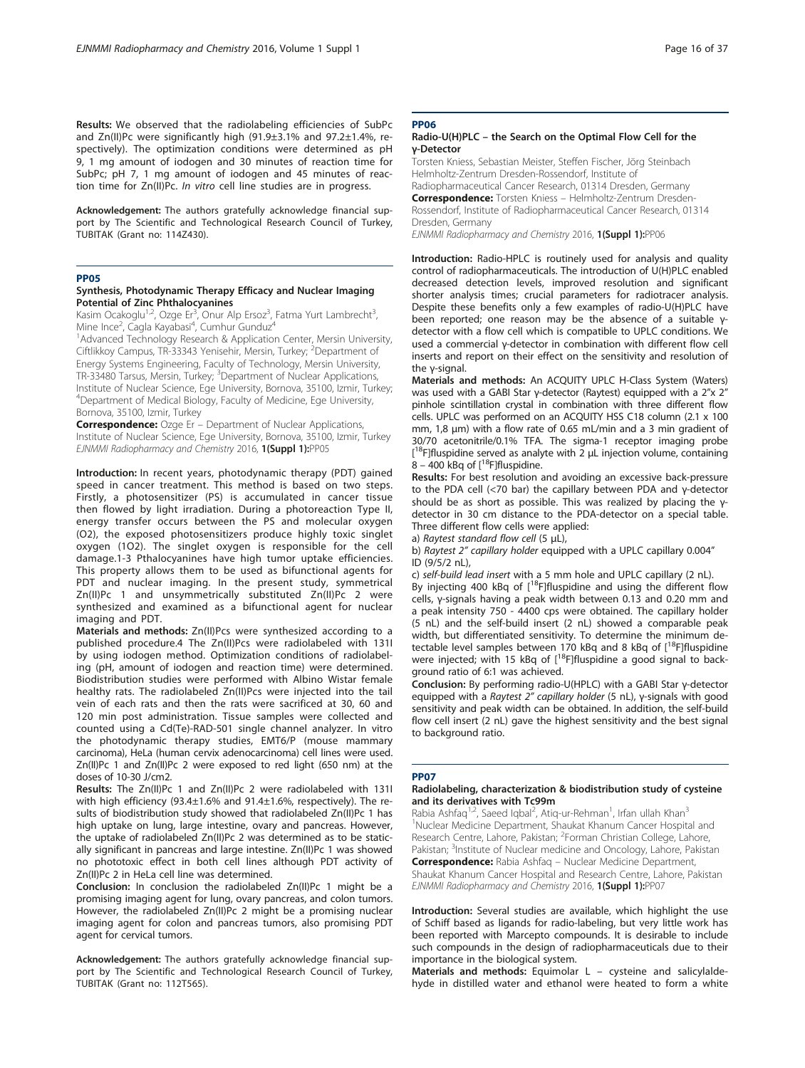Results: We observed that the radiolabeling efficiencies of SubPc and Zn(II)Pc were significantly high (91.9±3.1% and 97.2±1.4%, respectively). The optimization conditions were determined as pH 9, 1 mg amount of iodogen and 30 minutes of reaction time for SubPc; pH 7, 1 mg amount of iodogen and 45 minutes of reaction time for Zn(II)Pc. In vitro cell line studies are in progress.

Acknowledgement: The authors gratefully acknowledge financial support by The Scientific and Technological Research Council of Turkey, TUBITAK (Grant no: 114Z430).

#### PP05

#### Synthesis, Photodynamic Therapy Efficacy and Nuclear Imaging Potential of Zinc Phthalocyanines

Kasim Ocakoglu<sup>1,2</sup>, Ozge Er<sup>3</sup>, Onur Alp Ersoz<sup>3</sup>, Fatma Yurt Lambrecht<sup>3</sup> , Mine Ince<sup>2</sup>, Cagla Kayabasi<sup>4</sup>, Cumhur Gunduz<sup>4</sup>

<sup>1</sup>Advanced Technology Research & Application Center, Mersin University, Ciftlikkoy Campus, TR-33343 Yenisehir, Mersin, Turkey; <sup>2</sup>Department of Energy Systems Engineering, Faculty of Technology, Mersin University, TR-33480 Tarsus, Mersin, Turkey; <sup>3</sup> Department of Nuclear Applications, Institute of Nuclear Science, Ege University, Bornova, 35100, Izmir, Turkey; 4 Department of Medical Biology, Faculty of Medicine, Ege University, Bornova, 35100, Izmir, Turkey

**Correspondence:** Ozge Er - Department of Nuclear Applications, Institute of Nuclear Science, Ege University, Bornova, 35100, Izmir, Turkey EJNMMI Radiopharmacy and Chemistry 2016, 1(Suppl 1):PP05

Introduction: In recent years, photodynamic therapy (PDT) gained speed in cancer treatment. This method is based on two steps. Firstly, a photosensitizer (PS) is accumulated in cancer tissue then flowed by light irradiation. During a photoreaction Type II, energy transfer occurs between the PS and molecular oxygen (O2), the exposed photosensitizers produce highly toxic singlet oxygen (1O2). The singlet oxygen is responsible for the cell damage.1-3 Pthalocyanines have high tumor uptake efficiencies. This property allows them to be used as bifunctional agents for PDT and nuclear imaging. In the present study, symmetrical Zn(II)Pc 1 and unsymmetrically substituted Zn(II)Pc 2 were synthesized and examined as a bifunctional agent for nuclear imaging and PDT.

Materials and methods: Zn(II)Pcs were synthesized according to a published procedure.4 The Zn(II)Pcs were radiolabeled with 131I by using iodogen method. Optimization conditions of radiolabeling (pH, amount of iodogen and reaction time) were determined. Biodistribution studies were performed with Albino Wistar female healthy rats. The radiolabeled Zn(II)Pcs were injected into the tail vein of each rats and then the rats were sacrificed at 30, 60 and 120 min post administration. Tissue samples were collected and counted using a Cd(Te)-RAD-501 single channel analyzer. In vitro the photodynamic therapy studies, EMT6/P (mouse mammary carcinoma), HeLa (human cervix adenocarcinoma) cell lines were used. Zn(II)Pc 1 and Zn(II)Pc 2 were exposed to red light (650 nm) at the doses of 10-30 J/cm2.

Results: The Zn(II)Pc 1 and Zn(II)Pc 2 were radiolabeled with 131I with high efficiency (93.4±1.6% and 91.4±1.6%, respectively). The results of biodistribution study showed that radiolabeled Zn(II)Pc 1 has high uptake on lung, large intestine, ovary and pancreas. However, the uptake of radiolabeled Zn(II)Pc 2 was determined as to be statically significant in pancreas and large intestine. Zn(II)Pc 1 was showed no phototoxic effect in both cell lines although PDT activity of Zn(II)Pc 2 in HeLa cell line was determined.

Conclusion: In conclusion the radiolabeled Zn(II)Pc 1 might be a promising imaging agent for lung, ovary pancreas, and colon tumors. However, the radiolabeled Zn(II)Pc 2 might be a promising nuclear imaging agent for colon and pancreas tumors, also promising PDT agent for cervical tumors.

Acknowledgement: The authors gratefully acknowledge financial support by The Scientific and Technological Research Council of Turkey, TUBITAK (Grant no: 112T565).

### PP06

#### Radio-U(H)PLC – the Search on the Optimal Flow Cell for the γ-Detector

Torsten Kniess, Sebastian Meister, Steffen Fischer, Jörg Steinbach Helmholtz-Zentrum Dresden-Rossendorf, Institute of

Radiopharmaceutical Cancer Research, 01314 Dresden, Germany Correspondence: Torsten Kniess – Helmholtz-Zentrum Dresden-Rossendorf, Institute of Radiopharmaceutical Cancer Research, 01314 Dresden, Germany

EJNMMI Radiopharmacy and Chemistry 2016, 1(Suppl 1):PP06

Introduction: Radio-HPLC is routinely used for analysis and quality control of radiopharmaceuticals. The introduction of U(H)PLC enabled decreased detection levels, improved resolution and significant shorter analysis times; crucial parameters for radiotracer analysis. Despite these benefits only a few examples of radio-U(H)PLC have been reported; one reason may be the absence of a suitable γdetector with a flow cell which is compatible to UPLC conditions. We used a commercial γ-detector in combination with different flow cell inserts and report on their effect on the sensitivity and resolution of the γ-signal.

Materials and methods: An ACQUITY UPLC H-Class System (Waters) was used with a GABI Star γ-detector (Raytest) equipped with a 2"x 2" pinhole scintillation crystal in combination with three different flow cells. UPLC was performed on an ACQUITY HSS C18 column (2.1 x 100 mm, 1,8 μm) with a flow rate of 0.65 mL/min and a 3 min gradient of 30/70 acetonitrile/0.1% TFA. The sigma-1 receptor imaging probe [<sup>18</sup>F]fluspidine served as analyte with 2 µL injection volume, containing  $8 - 400$  kBq of  $[$ <sup>18</sup>F]fluspidine.

Results: For best resolution and avoiding an excessive back-pressure to the PDA cell (<70 bar) the capillary between PDA and γ-detector should be as short as possible. This was realized by placing the γdetector in 30 cm distance to the PDA-detector on a special table. Three different flow cells were applied:

a) Raytest standard flow cell (5 μL),

b) Raytest 2" capillary holder equipped with a UPLC capillary 0.004" ID (9/5/2 nL),

c) self-build lead insert with a 5 mm hole and UPLC capillary (2 nL).

By injecting 400 kBq of  $[18F]$ fluspidine and using the different flow cells, γ-signals having a peak width between 0.13 and 0.20 mm and a peak intensity 750 - 4400 cps were obtained. The capillary holder (5 nL) and the self-build insert (2 nL) showed a comparable peak width, but differentiated sensitivity. To determine the minimum detectable level samples between 170 kBq and 8 kBq of  $[^{18}F]$ fluspidine were injected; with 15 kBq of [<sup>18</sup>F]fluspidine a good signal to background ratio of 6:1 was achieved.

Conclusion: By performing radio-U(HPLC) with a GABI Star γ-detector equipped with a Raytest 2" capillary holder (5 nL), γ-signals with good sensitivity and peak width can be obtained. In addition, the self-build flow cell insert (2 nL) gave the highest sensitivity and the best signal to background ratio.

#### PP07

#### Radiolabeling, characterization & biodistribution study of cysteine and its derivatives with Tc99m

Rabia Ashfaq<sup>1,2</sup>, Saeed Iqbal<sup>2</sup>, Atiq-ur-Rehman<sup>1</sup>, Irfan ullah Khan<sup>3</sup> <sup>1</sup>Nuclear Medicine Department, Shaukat Khanum Cancer Hospital and Research Centre, Lahore, Pakistan; <sup>2</sup>Forman Christian College, Lahore, Pakistan; <sup>3</sup>Institute of Nuclear medicine and Oncology, Lahore, Pakistan Correspondence: Rabia Ashfaq – Nuclear Medicine Department, Shaukat Khanum Cancer Hospital and Research Centre, Lahore, Pakistan EJNMMI Radiopharmacy and Chemistry 2016, 1(Suppl 1):PP07

Introduction: Several studies are available, which highlight the use of Schiff based as ligands for radio-labeling, but very little work has been reported with Marcepto compounds. It is desirable to include such compounds in the design of radiopharmaceuticals due to their importance in the biological system.

Materials and methods: Equimolar L - cysteine and salicylaldehyde in distilled water and ethanol were heated to form a white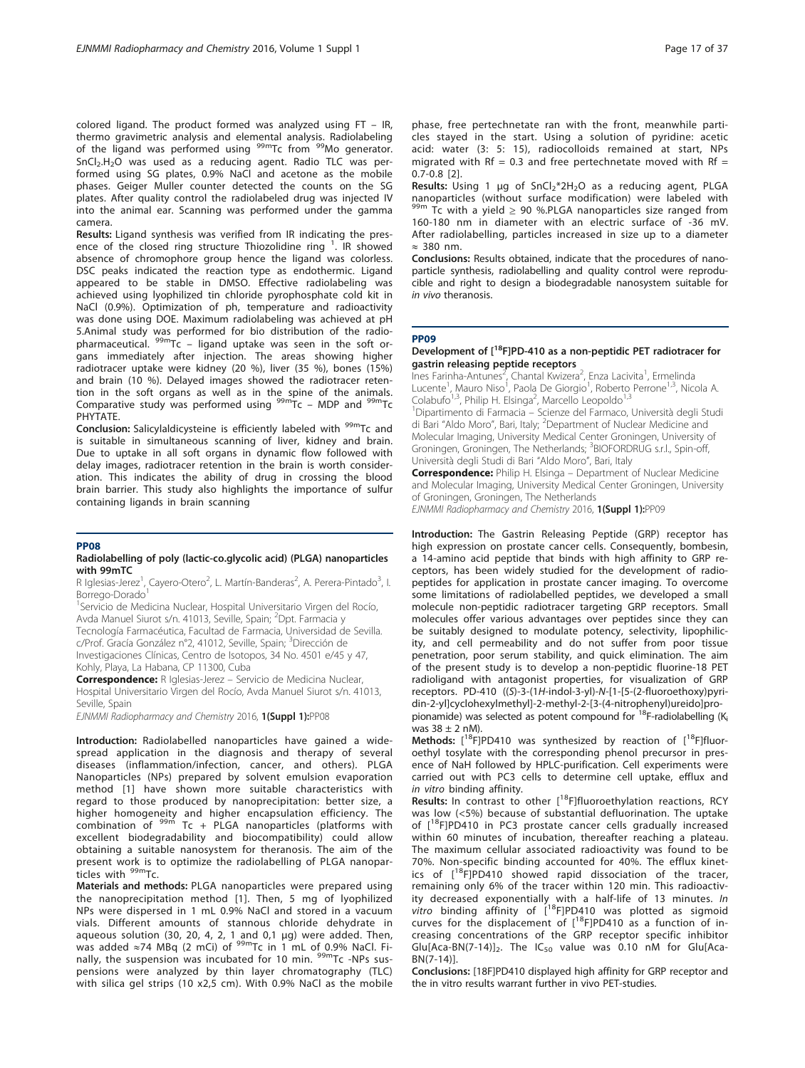colored ligand. The product formed was analyzed using FT – IR, thermo gravimetric analysis and elemental analysis. Radiolabeling<br>of the ligand was performed using <sup>99m</sup>Tc from <sup>99</sup>Mo generator.  $SnCl<sub>2</sub>H<sub>2</sub>O$  was used as a reducing agent. Radio TLC was performed using SG plates, 0.9% NaCl and acetone as the mobile phases. Geiger Muller counter detected the counts on the SG plates. After quality control the radiolabeled drug was injected IV into the animal ear. Scanning was performed under the gamma camera.

Results: Ligand synthesis was verified from IR indicating the presence of the closed ring structure Thiozolidine ring  $1$ . IR showed absence of chromophore group hence the ligand was colorless. DSC peaks indicated the reaction type as endothermic. Ligand appeared to be stable in DMSO. Effective radiolabeling was achieved using lyophilized tin chloride pyrophosphate cold kit in NaCl (0.9%). Optimization of ph, temperature and radioactivity was done using DOE. Maximum radiolabeling was achieved at pH 5.Animal study was performed for bio distribution of the radio $p$ harmaceutical.  $99mTc$  – ligand uptake was seen in the soft organs immediately after injection. The areas showing higher radiotracer uptake were kidney (20 %), liver (35 %), bones (15%) and brain (10 %). Delayed images showed the radiotracer retention in the soft organs as well as in the spine of the animals. Comparative study was performed using 99mTc – MDP and 99mTc PHYTATE.

Conclusion: Salicylaldicysteine is efficiently labeled with <sup>99m</sup>Tc and is suitable in simultaneous scanning of liver, kidney and brain. Due to uptake in all soft organs in dynamic flow followed with delay images, radiotracer retention in the brain is worth consideration. This indicates the ability of drug in crossing the blood brain barrier. This study also highlights the importance of sulfur containing ligands in brain scanning

### PP08

#### Radiolabelling of poly (lactic-co.glycolic acid) (PLGA) nanoparticles with 99mTC

R Iglesias-Jerez<sup>1</sup>, Cayero-Otero<sup>2</sup>, L. Martín-Banderas<sup>2</sup>, A. Perera-Pintado<sup>3</sup>, I. Borrego-Dorado<sup>1</sup>

1 Servicio de Medicina Nuclear, Hospital Universitario Virgen del Rocío, Avda Manuel Siurot s/n. 41013, Seville, Spain; <sup>2</sup>Dpt. Farmacia y Tecnología Farmacéutica, Facultad de Farmacia, Universidad de Sevilla. c/Prof. Gracía González nº2, 41012, Seville, Spain; <sup>3</sup>Dirección de Investigaciones Clínicas, Centro de Isotopos, 34 No. 4501 e/45 y 47, Kohly, Playa, La Habana, CP 11300, Cuba

Correspondence: R Iglesias-Jerez – Servicio de Medicina Nuclear, Hospital Universitario Virgen del Rocío, Avda Manuel Siurot s/n. 41013, Seville, Spain

EJNMMI Radiopharmacy and Chemistry 2016, 1(Suppl 1):PP08

Introduction: Radiolabelled nanoparticles have gained a widespread application in the diagnosis and therapy of several diseases (inflammation/infection, cancer, and others). PLGA Nanoparticles (NPs) prepared by solvent emulsion evaporation method [1] have shown more suitable characteristics with regard to those produced by nanoprecipitation: better size, a higher homogeneity and higher encapsulation efficiency. The<br>combination of <sup>99m</sup> Tc + PLGA nanoparticles (platforms with excellent biodegradability and biocompatibility) could allow obtaining a suitable nanosystem for theranosis. The aim of the present work is to optimize the radiolabelling of PLGA nanoparticles with <sup>99m</sup>Tc.

Materials and methods: PLGA nanoparticles were prepared using the nanoprecipitation method [1]. Then, 5 mg of lyophilized NPs were dispersed in 1 mL 0.9% NaCl and stored in a vacuum vials. Different amounts of stannous chloride dehydrate in aqueous solution (30, 20, 4, 2, 1 and 0,1  $\mu$ g) were added. Then, was added  $\approx$ 74 MBq (2 mCi) of <sup>99m</sup>Tc in 1 mL of 0.9% NaCl. Finally, the suspension was incubated for 10 min. 99mTc -NPs suspensions were analyzed by thin layer chromatography (TLC) with silica gel strips (10 x2,5 cm). With 0.9% NaCl as the mobile

phase, free pertechnetate ran with the front, meanwhile particles stayed in the start. Using a solution of pyridine: acetic acid: water (3: 5: 15), radiocolloids remained at start, NPs migrated with Rf = 0.3 and free pertechnetate moved with Rf = 0.7-0.8 [2].

Results: Using 1  $\mu$ g of SnCl<sub>2</sub>\*2H<sub>2</sub>O as a reducing agent, PLGA nanoparticles (without surface modification) were labeled with 99m Tc with a yield  $\geq$  90 %.PLGA nanoparticles size ranged from 160-180 nm in diameter with an electric surface of -36 mV. After radiolabelling, particles increased in size up to a diameter ≈ 380 nm.

Conclusions: Results obtained, indicate that the procedures of nanoparticle synthesis, radiolabelling and quality control were reproducible and right to design a biodegradable nanosystem suitable for in vivo theranosis.

#### PP09

### Development of [18F]PD-410 as a non-peptidic PET radiotracer for gastrin releasing peptide receptors

unes Farinha-Antunes<sup>2</sup>, Chantal Kwizera<sup>2</sup>, Enza Lacivita<sup>1</sup>, Ermelinda<br>Lucente<sup>1</sup>, Mauro Niso<sup>1</sup>, Paola De Giorgio<sup>1</sup>, Roberto Perrone<sup>1,3</sup>, Nicola A. Colabufo<sup>1,3</sup>, Philip H. Elsinga<sup>2</sup>, Marcello Leopoldo<sup>1,3</sup>

1 Dipartimento di Farmacia – Scienze del Farmaco, Università degli Studi di Bari "Aldo Moro", Bari, Italy; <sup>2</sup>Department of Nuclear Medicine and Molecular Imaging, University Medical Center Groningen, University of Groningen, Groningen, The Netherlands; <sup>3</sup>BIOFORDRUG s.r.l., Spin-off, Università degli Studi di Bari "Aldo Moro", Bari, Italy

**Correspondence:** Philip H. Elsinga – Department of Nuclear Medicine and Molecular Imaging, University Medical Center Groningen, University of Groningen, Groningen, The Netherlands

EJNMMI Radiopharmacy and Chemistry 2016, 1(Suppl 1):PP09

Introduction: The Gastrin Releasing Peptide (GRP) receptor has high expression on prostate cancer cells. Consequently, bombesin, a 14-amino acid peptide that binds with high affinity to GRP receptors, has been widely studied for the development of radiopeptides for application in prostate cancer imaging. To overcome some limitations of radiolabelled peptides, we developed a small molecule non-peptidic radiotracer targeting GRP receptors. Small molecules offer various advantages over peptides since they can be suitably designed to modulate potency, selectivity, lipophilicity, and cell permeability and do not suffer from poor tissue penetration, poor serum stability, and quick elimination. The aim of the present study is to develop a non-peptidic fluorine-18 PET radioligand with antagonist properties, for visualization of GRP receptors. PD-410 ((S)-3-(1H-indol-3-yl)-N-[1-[5-(2-fluoroethoxy)pyridin-2-yl]cyclohexylmethyl]-2-methyl-2-[3-(4-nitrophenyl)ureido]propionamide) was selected as potent compound for  $^{18}$ F-radiolabelling (K<sub>i</sub>

was  $38 \pm 2$  nM).

Methods: [<sup>18</sup>F]PD410 was synthesized by reaction of [<sup>18</sup>F]fluoroethyl tosylate with the corresponding phenol precursor in presence of NaH followed by HPLC-purification. Cell experiments were carried out with PC3 cells to determine cell uptake, efflux and in vitro binding affinity.

Results: In contrast to other  $[18F]$ fluoroethylation reactions, RCY was low (<5%) because of substantial defluorination. The uptake of [<sup>18</sup>F]PD410 in PC3 prostate cancer cells gradually increased within 60 minutes of incubation, thereafter reaching a plateau. The maximum cellular associated radioactivity was found to be 70%. Non-specific binding accounted for 40%. The efflux kinetics of [18F]PD410 showed rapid dissociation of the tracer, remaining only 6% of the tracer within 120 min. This radioactivity decreased exponentially with a half-life of 13 minutes. In<br>vitro binding affinity of [<sup>18</sup>F]PD410 was plotted as sigmoid curves for the displacement of  $[{}^{18}F]PD410$  as a function of increasing concentrations of the GRP receptor specific inhibitor Glu[Aca-BN(7-14)]<sub>2</sub>. The IC<sub>50</sub> value was 0.10 nM for Glu[Aca-BN(7-14)].

Conclusions: [18F]PD410 displayed high affinity for GRP receptor and the in vitro results warrant further in vivo PET-studies.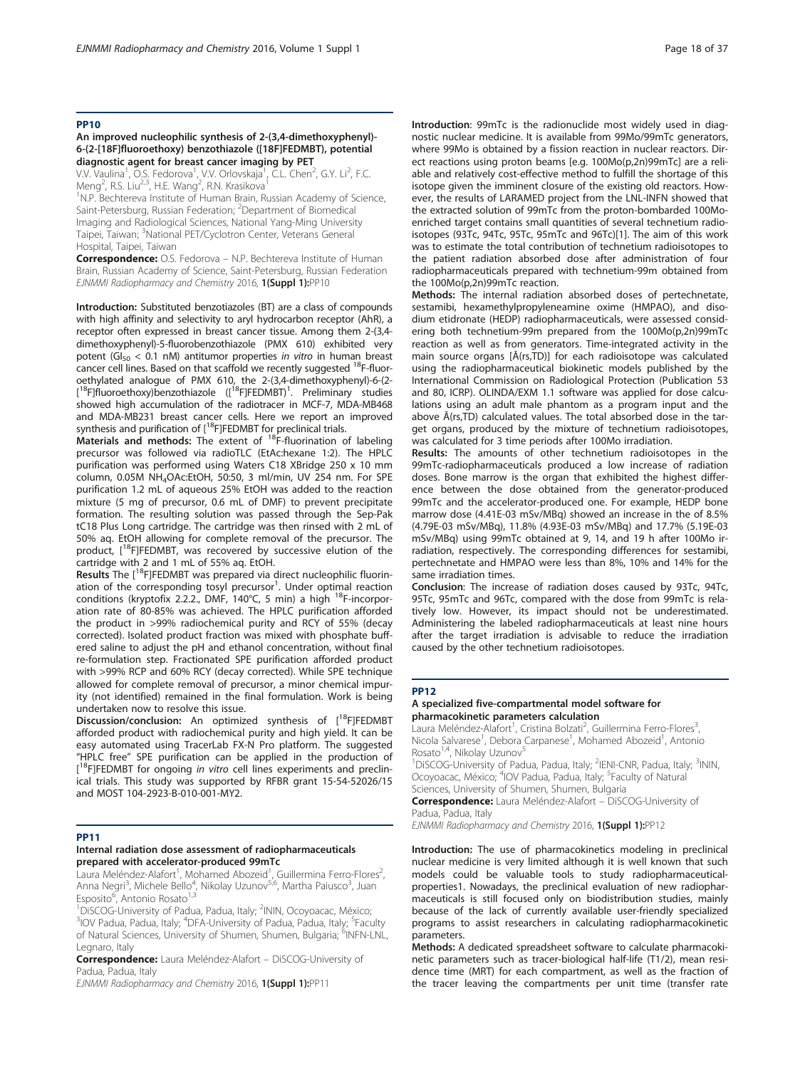### PP10

#### An improved nucleophilic synthesis of 2-(3,4-dimethoxyphenyl)- 6-(2-[18F]fluoroethoxy) benzothiazole ([18F]FEDMBT), potential diagnostic agent for breast cancer imaging by PET

V.V. Vaulina<sup>1</sup>, O.S. Fedorova<sup>1</sup>, V.V. Orlovskaja<sup>1</sup>, Č.L. Chen<sup>2</sup>, G.Y. Li<sup>2</sup>, F.C.<br>Meng<sup>2</sup>, R.S. Liu<sup>2,3</sup>, H.E. Wang<sup>2</sup>, R.N. Krasikova<sup>1</sup>

<sup>1</sup>N.P. Bechtereva Institute of Human Brain, Russian Academy of Science, Saint-Petersburg, Russian Federation; <sup>2</sup>Department of Biomedical Imaging and Radiological Sciences, National Yang-Ming University Taipei, Taiwan; <sup>3</sup>National PET/Cyclotron Center, Veterans General Hospital, Taipei, Taiwan

Correspondence: O.S. Fedorova – N.P. Bechtereva Institute of Human Brain, Russian Academy of Science, Saint-Petersburg, Russian Federation EJNMMI Radiopharmacy and Chemistry 2016, 1(Suppl 1):PP10

Introduction: Substituted benzotiazoles (BT) are a class of compounds with high affinity and selectivity to aryl hydrocarbon receptor (AhR), a receptor often expressed in breast cancer tissue. Among them 2-(3,4 dimethoxyphenyl)-5-fluorobenzothiazole (PMX 610) exhibited very potent (GI<sub>50</sub> < 0.1 nM) antitumor properties *in vitro* in human breast cancer cell lines. Based on that scaffold we recently suggested <sup>18</sup>F-fluoroethylated analogue of PMX 610, the 2-(3,4-dimethoxyphenyl)-6-(2- [<sup>18</sup>F]fluoroethoxy)benzothiazole ([<sup>18</sup>F]FEDMBT)<sup>1</sup>. Preliminary studies showed high accumulation of the radiotracer in MCF-7, MDA-MB468 and MDA-MB231 breast cancer cells. Here we report an improved synthesis and purification of [<sup>18</sup>F]FEDMBT for preclinical trials.

Materials and methods: The extent of  $18F$ -fluorination of labeling precursor was followed via radioTLC (EtAc:hexane 1:2). The HPLC purification was performed using Waters C18 XBridge 250 x 10 mm column, 0.05M NH4OAc:EtOH, 50:50, 3 ml/min, UV 254 nm. For SPE purification 1.2 mL of aqueous 25% EtOH was added to the reaction mixture (5 mg of precursor, 0.6 mL of DMF) to prevent precipitate formation. The resulting solution was passed through the Sep-Pak tC18 Plus Long cartridge. The cartridge was then rinsed with 2 mL of 50% aq. EtOH allowing for complete removal of the precursor. The product, [<sup>18</sup>F]FEDMBT, was recovered by successive elution of the cartridge with 2 and 1 mL of 55% aq. EtOH.

Results The [<sup>18</sup>F]FEDMBT was prepared via direct nucleophilic fluorination of the corresponding tosyl precursor<sup>1</sup>. Under optimal reaction conditions (kryptofix 2.2.2., DMF, 140°C, 5 min) a high 18F-incorporation rate of 80-85% was achieved. The HPLC purification afforded the product in >99% radiochemical purity and RCY of 55% (decay corrected). Isolated product fraction was mixed with phosphate buffered saline to adjust the pH and ethanol concentration, without final re-formulation step. Fractionated SPE purification afforded product with >99% RCP and 60% RCY (decay corrected). While SPE technique allowed for complete removal of precursor, a minor chemical impurity (not identified) remained in the final formulation. Work is being undertaken now to resolve this issue.

Discussion/conclusion: An optimized synthesis of [<sup>18</sup>F]FEDMBT afforded product with radiochemical purity and high yield. It can be easy automated using TracerLab FX-N Pro platform. The suggested "HPLC free" SPE purification can be applied in the production of [<sup>18</sup>F]FEDMBT for ongoing in vitro cell lines experiments and preclinical trials. This study was supported by RFBR grant 15-54-52026/15 and MOST 104-2923-B-010-001-MY2.

#### PP11

#### Internal radiation dose assessment of radiopharmaceuticals prepared with accelerator-produced 99mTc

Laura Meléndez-Alafort<sup>1</sup>, Mohamed Abozeid<sup>1</sup>, Guillermina Ferro-Flores<sup>2</sup> , Anna Negri<sup>3</sup>, Michele Bello<sup>4</sup>, Nikolay Uzunov<sup>5,6</sup>, Martha Paiusco<sup>3</sup>, Juan Esposito<sup>6</sup>, Antonio Rosato<sup>1,3</sup>

<sup>1</sup> DiSCOG-University of Padua, Padua, Italy; <sup>2</sup>ININ, Ocoyoacac, México;<br><sup>3</sup>IOV Radua, Radua, Italy: <sup>4</sup>DEA, University of Radua, Radua, Italy: <sup>5</sup>Each IOV Padua, Padua, Italy; <sup>4</sup>DFA-University of Padua, Padua, Italy; <sup>5</sup>Faculty of Natural Sciences, University of Shumen, Shumen, Bulgaria; <sup>6</sup>INFN-LNL, Legnaro, Italy

Correspondence: Laura Meléndez-Alafort – DiSCOG-University of Padua, Padua, Italy

EJNMMI Radiopharmacy and Chemistry 2016, 1(Suppl 1):PP11

Introduction: 99mTc is the radionuclide most widely used in diagnostic nuclear medicine. It is available from 99Mo/99mTc generators, where 99Mo is obtained by a fission reaction in nuclear reactors. Direct reactions using proton beams [e.g. 100Mo(p,2n)99mTc] are a reliable and relatively cost-effective method to fulfill the shortage of this isotope given the imminent closure of the existing old reactors. However, the results of LARAMED project from the LNL-INFN showed that the extracted solution of 99mTc from the proton-bombarded 100Moenriched target contains small quantities of several technetium radioisotopes (93Tc, 94Tc, 95Tc, 95mTc and 96Tc)[1]. The aim of this work was to estimate the total contribution of technetium radioisotopes to the patient radiation absorbed dose after administration of four radiopharmaceuticals prepared with technetium-99m obtained from the 100Mo(p,2n)99mTc reaction.

Methods: The internal radiation absorbed doses of pertechnetate, sestamibi, hexamethylpropyleneamine oxime (HMPAO), and disodium etidronate (HEDP) radiopharmaceuticals, were assessed considering both technetium-99m prepared from the 100Mo(p,2n)99mTc reaction as well as from generators. Time-integrated activity in the main source organs [Ã(rs,TD)] for each radioisotope was calculated using the radiopharmaceutical biokinetic models published by the International Commission on Radiological Protection (Publication 53 and 80, ICRP). OLINDA/EXM 1.1 software was applied for dose calculations using an adult male phantom as a program input and the above Ã(rs,TD) calculated values. The total absorbed dose in the target organs, produced by the mixture of technetium radioisotopes, was calculated for 3 time periods after 100Mo irradiation.

Results: The amounts of other technetium radioisotopes in the 99mTc-radiopharmaceuticals produced a low increase of radiation doses. Bone marrow is the organ that exhibited the highest difference between the dose obtained from the generator-produced 99mTc and the accelerator-produced one. For example, HEDP bone marrow dose (4.41E-03 mSv/MBq) showed an increase in the of 8.5% (4.79E-03 mSv/MBq), 11.8% (4.93E-03 mSv/MBq) and 17.7% (5.19E-03 mSv/MBq) using 99mTc obtained at 9, 14, and 19 h after 100Mo irradiation, respectively. The corresponding differences for sestamibi, pertechnetate and HMPAO were less than 8%, 10% and 14% for the same irradiation times.

Conclusion: The increase of radiation doses caused by 93Tc, 94Tc, 95Tc, 95mTc and 96Tc, compared with the dose from 99mTc is relatively low. However, its impact should not be underestimated. Administering the labeled radiopharmaceuticals at least nine hours after the target irradiation is advisable to reduce the irradiation caused by the other technetium radioisotopes.

#### PP12

#### A specialized five-compartmental model software for pharmacokinetic parameters calculation

Laura Meléndez-Alafort<sup>1</sup>, Cristina Bolzati<sup>2</sup>, Guillermina Ferro-Flores<sup>3</sup> , Nicola Salvarese<sup>1</sup>, Debora Carpanese<sup>1</sup>, Mohamed Abozeid<sup>1</sup>, Antonic Rosato<sup>1,4</sup>, Nikolay Uzunov<sup>5</sup>

<sup>1</sup>DiSCOG-University of Padua, Padua, Italy; <sup>2</sup>IENI-CNR, Padua, Italy; <sup>3</sup>ININ Ocoyoacac, México; <sup>4</sup>IOV Padua, Padua, Italy; <sup>5</sup>Faculty of Natural

Sciences, University of Shumen, Shumen, Bulgaria

Correspondence: Laura Meléndez-Alafort – DiSCOG-University of Padua, Padua, Italy

EJNMMI Radiopharmacy and Chemistry 2016, 1(Suppl 1):PP12

Introduction: The use of pharmacokinetics modeling in preclinical nuclear medicine is very limited although it is well known that such models could be valuable tools to study radiopharmaceuticalproperties1. Nowadays, the preclinical evaluation of new radiopharmaceuticals is still focused only on biodistribution studies, mainly because of the lack of currently available user-friendly specialized programs to assist researchers in calculating radiopharmacokinetic parameters.

Methods: A dedicated spreadsheet software to calculate pharmacokinetic parameters such as tracer-biological half-life (T1/2), mean residence time (MRT) for each compartment, as well as the fraction of the tracer leaving the compartments per unit time (transfer rate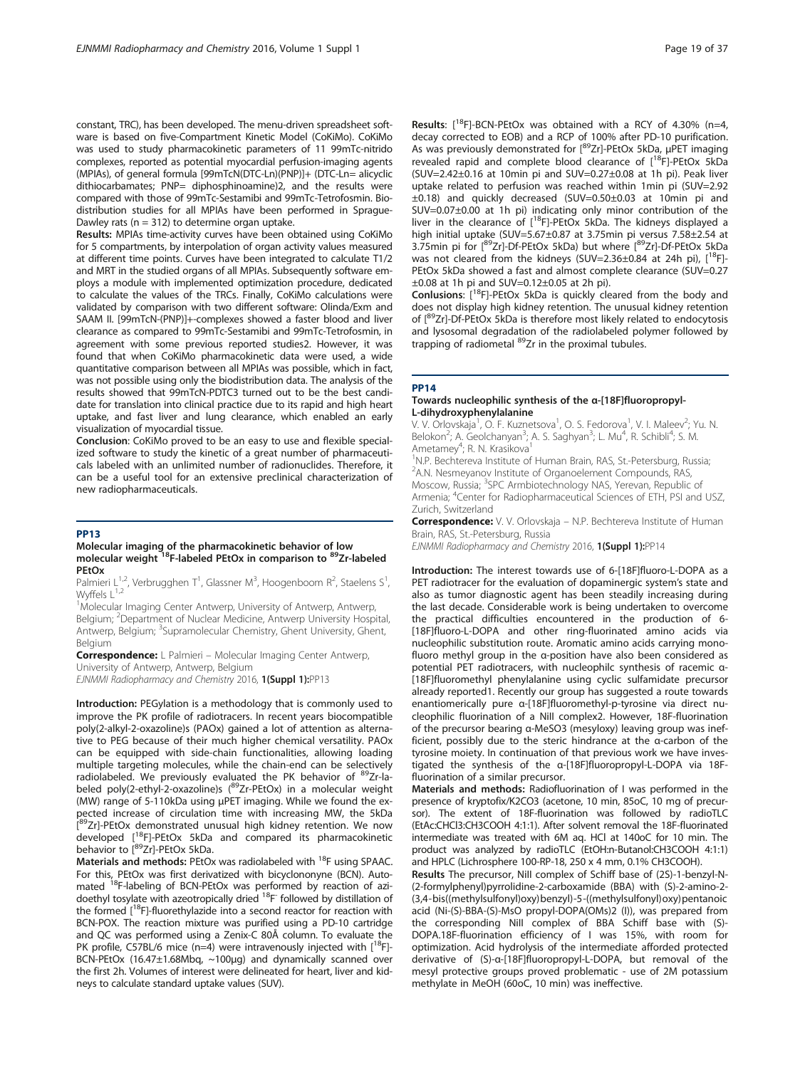constant, TRC), has been developed. The menu-driven spreadsheet software is based on five-Compartment Kinetic Model (CoKiMo). CoKiMo was used to study pharmacokinetic parameters of 11 99mTc-nitrido complexes, reported as potential myocardial perfusion-imaging agents (MPIAs), of general formula [99mTcN(DTC-Ln)(PNP)]+ (DTC-Ln= alicyclic dithiocarbamates; PNP= diphosphinoamine)2, and the results were compared with those of 99mTc-Sestamibi and 99mTc-Tetrofosmin. Biodistribution studies for all MPIAs have been performed in Sprague-Dawley rats ( $n = 312$ ) to determine organ uptake.

Results: MPIAs time-activity curves have been obtained using CoKiMo for 5 compartments, by interpolation of organ activity values measured at different time points. Curves have been integrated to calculate T1/2 and MRT in the studied organs of all MPIAs. Subsequently software employs a module with implemented optimization procedure, dedicated to calculate the values of the TRCs. Finally, CoKiMo calculations were validated by comparison with two different software: Olinda/Exm and SAAM II. [99mTcN-(PNP)]+-complexes showed a faster blood and liver clearance as compared to 99mTc-Sestamibi and 99mTc-Tetrofosmin, in agreement with some previous reported studies2. However, it was found that when CoKiMo pharmacokinetic data were used, a wide quantitative comparison between all MPIAs was possible, which in fact, was not possible using only the biodistribution data. The analysis of the results showed that 99mTcN-PDTC3 turned out to be the best candidate for translation into clinical practice due to its rapid and high heart uptake, and fast liver and lung clearance, which enabled an early visualization of myocardial tissue.

Conclusion: CoKiMo proved to be an easy to use and flexible specialized software to study the kinetic of a great number of pharmaceuticals labeled with an unlimited number of radionuclides. Therefore, it can be a useful tool for an extensive preclinical characterization of new radiopharmaceuticals.

#### PP13

# Molecular imaging of the pharmacokinetic behavior of low molecular weight<sup>18</sup>F-labeled PEtOx in comparison to <sup>89</sup>Zr-labeled

**PEtOx**<br>Palmieri L<sup>1,2</sup>, Verbrugghen T<sup>1</sup>, Glassner M<sup>3</sup>, Hoogenboom R<sup>2</sup>, Staelens S<sup>1</sup> , Wyffels  $L^{1,2}$ 

<sup>1</sup>Molecular Imaging Center Antwerp, University of Antwerp, Antwerp,

Belgium; <sup>2</sup>Department of Nuclear Medicine, Antwerp University Hospital, Antwerp, Belgium; <sup>3</sup>Supramolecular Chemistry, Ghent University, Ghent, Belgium

**Correspondence:** L Palmieri – Molecular Imaging Center Antwerp, University of Antwerp, Antwerp, Belgium EJNMMI Radiopharmacy and Chemistry 2016, 1(Suppl 1):PP13

Introduction: PEGylation is a methodology that is commonly used to improve the PK profile of radiotracers. In recent years biocompatible poly(2-alkyl-2-oxazoline)s (PAOx) gained a lot of attention as alternative to PEG because of their much higher chemical versatility. PAOx can be equipped with side-chain functionalities, allowing loading multiple targeting molecules, while the chain-end can be selectively radiolabeled. We previously evaluated the PK behavior of <sup>89</sup>Zr-labeled poly(2-ethyl-2-oxazoline)s (89Zr-PEtOx) in a molecular weight (MW) range of 5-110kDa using μPET imaging. While we found the expected increase of circulation time with increasing MW, the 5kDa [<sup>89</sup>Zr]-PEtOx demonstrated unusual high kidney retention. We now<br>developed [<sup>18</sup>F]-PEtOx 5kDa and compared its pharmacokinetic <sup>89</sup>Zr]-PEtOx demonstrated unusual high kidney retention. We now behavior to [<sup>89</sup>Zr]-PEtOx 5kDa.

Materials and methods: PEtOx was radiolabeled with <sup>18</sup>F using SPAAC. For this, PEtOx was first derivatized with bicyclononyne (BCN). Automated 18F-labeling of BCN-PEtOx was performed by reaction of azidoethyl tosylate with azeotropically dried <sup>18</sup>F<sup>-</sup> followed by distillation of the formed [<sup>18</sup>F]-fluorethylazide into a second reactor for reaction with BCN-POX. The reaction mixture was purified using a PD-10 cartridge and QC was performed using a Zenix-C 80Å column. To evaluate the PK profile, C57BL/6 mice (n=4) were intravenously injected with  $\int_{0}^{18}F$ ]-BCN-PEtOx (16.47±1.68Mbq, ~100μg) and dynamically scanned over the first 2h. Volumes of interest were delineated for heart, liver and kidneys to calculate standard uptake values (SUV).

**Results:**  $[{}^{18}F]$ -BCN-PEtOx was obtained with a RCY of 4.30% (n=4, decay corrected to EOB) and a RCP of 100% after PD-10 purification.<br>As was previously demonstrated for [<sup>89</sup>Zr]-PEtOx 5kDa, μPET imaging revealed rapid and complete blood clearance of [<sup>18</sup>F]-PEtOx 5kDa  $(SUV=2.42\pm0.16$  at 10min pi and  $SUV=0.27\pm0.08$  at 1h pi). Peak liver uptake related to perfusion was reached within 1min pi (SUV=2.92 ±0.18) and quickly decreased (SUV=0.50±0.03 at 10min pi and SUV=0.07±0.00 at 1h pi) indicating only minor contribution of the liver in the clearance of  $[18F]$ -PEtOx 5kDa. The kidneys displayed a high initial uptake (SUV=5.67±0.87 at 3.75min pi versus 7.58±2.54 at 3.75min pi for [<sup>89</sup>Zr]-Df-PEtOx 5kDa) but where [<sup>89</sup>Zr]-Df-PEtOx 5kDa was not cleared from the kidneys (SUV=2.36 $\pm$ 0.84 at 24h pi),  $[^{18}F]$ -PEtOx 5kDa showed a fast and almost complete clearance (SUV=0.27  $\pm 0.08$  at 1h pi and SUV=0.12 $\pm 0.05$  at 2h pi).

Conlusions: [18F]-PEtOx 5kDa is quickly cleared from the body and does not display high kidney retention. The unusual kidney retention of [<sup>89</sup>Zr]-Df-PEtOx 5kDa is therefore most likely related to endocytosis and lysosomal degradation of the radiolabeled polymer followed by trapping of radiometal <sup>89</sup>Zr in the proximal tubules.

#### PP14

#### Towards nucleophilic synthesis of the α-[18F]fluoropropyl-L-dihydroxyphenylalanine

V. V. Orlovskaja<sup>1</sup>, O. F. Kuznetsova<sup>1</sup>, O. S. Fedorova<sup>1</sup>, V. I. Maleev<sup>2</sup>; Yu. N. Belokon<sup>2</sup>; A. Geolchanyan<sup>3</sup>; A. S. Saghyan<sup>3</sup>; L. Mu<sup>4</sup>, R. Schibli<sup>4</sup>; S. M. Ametamey<sup>4</sup>; R. N. Krasikova<sup>1</sup>

<sup>1</sup>N.P. Bechtereva Institute of Human Brain, RAS, St.-Petersburg, Russia <sup>2</sup>A.N. Nesmeyanov Institute of Organoelement Compounds, RAS Moscow, Russia; <sup>3</sup>SPC Armbiotechnology NAS, Yerevan, Republic of Armenia; <sup>4</sup> Center for Radiopharmaceutical Sciences of ETH, PSI and USZ, Zurich, Switzerland

Correspondence: V. V. Orlovskaja – N.P. Bechtereva Institute of Human Brain, RAS, St.-Petersburg, Russia

EJNMMI Radiopharmacy and Chemistry 2016, 1(Suppl 1):PP14

Introduction: The interest towards use of 6-[18F]fluoro-L-DOPA as a PET radiotracer for the evaluation of dopaminergic system's state and also as tumor diagnostic agent has been steadily increasing during the last decade. Considerable work is being undertaken to overcome the practical difficulties encountered in the production of 6- [18F]fluoro-L-DOPA and other ring-fluorinated amino acids via nucleophilic substitution route. Aromatic amino acids carrying monofluoro methyl group in the α-position have also been considered as potential PET radiotracers, with nucleophilc synthesis of racemic α- [18F]fluoromethyl phenylalanine using cyclic sulfamidate precursor already reported1. Recently our group has suggested a route towards enantiomerically pure α-[18F]fluoromethyl-p-tyrosine via direct nucleophilic fluorination of a NiII complex2. However, 18F-fluorination of the precursor bearing α-MeSO3 (mesyloxy) leaving group was inefficient, possibly due to the steric hindrance at the α-carbon of the tyrosine moiety. In continuation of that previous work we have investigated the synthesis of the α-[18F]fluoropropyl-L-DOPA via 18Ffluorination of a similar precursor.

Materials and methods: Radiofluorination of I was performed in the presence of kryptofix/K2CO3 (acetone, 10 min, 85oC, 10 mg of precursor). The extent of 18F-fluorination was followed by radioTLC (EtAc:CHCl3:CH3COOH 4:1:1). After solvent removal the 18F-fluorinated intermediate was treated with 6M aq. HCl at 140oC for 10 min. The product was analyzed by radioTLC (EtOH:n-Butanol:CH3COOH 4:1:1) and HPLC (Lichrosphere 100-RP-18, 250 x 4 mm, 0.1% CH3COOH).

Results The precursor, NiII complex of Schiff base of (2S)-1-benzyl-N- (2-formylphenyl)pyrrolidine-2-carboxamide (BBA) with (S)-2-amino-2- (3,4-bis((methylsulfonyl)oxy)benzyl)-5-((methylsulfonyl)oxy)pentanoic acid (Ni-(S)-BBA-(S)-MsO propyl-DOPA(OMs)2 (I)), was prepared from the corresponding NiII complex of BBA Schiff base with (S)- DOPA.18F-fluorination efficiency of I was 15%, with room for optimization. Acid hydrolysis of the intermediate afforded protected derivative of (S)-α-[18F]fluoropropyl-L-DOPA, but removal of the mesyl protective groups proved problematic - use of 2M potassium methylate in MeOH (60oC, 10 min) was ineffective.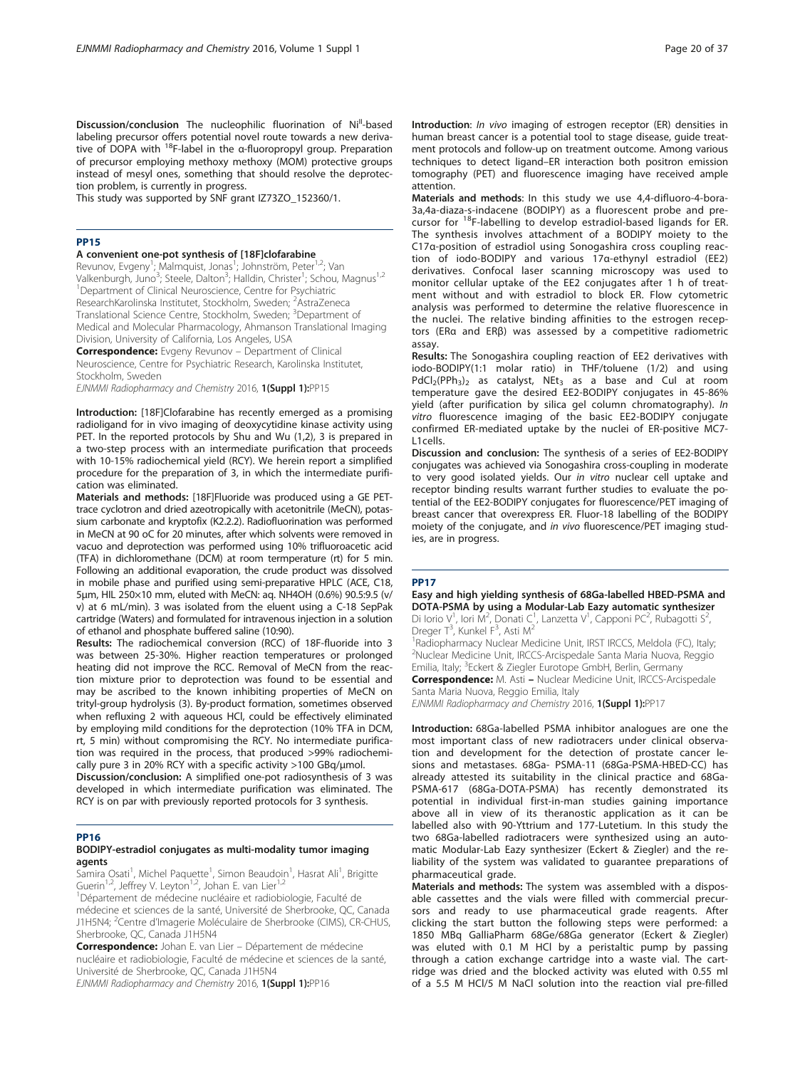Discussion/conclusion The nucleophilic fluorination of Ni<sup>II</sup>-based labeling precursor offers potential novel route towards a new deriva-<br>tive of DOPA with <sup>18</sup>F-label in the α-fluoropropyl group. Preparation of precursor employing methoxy methoxy (MOM) protective groups instead of mesyl ones, something that should resolve the deprotection problem, is currently in progress.

This study was supported by SNF grant IZ73ZO\_152360/1.

### PP15

#### A convenient one-pot synthesis of [18F]clofarabine

Revunov, Evgeny<sup>1</sup>; Malmquist, Jonas<sup>1</sup>; Johnström, Peter<sup>1,2</sup>; Van Valkenburgh, Juno<sup>3</sup>; Steele, Dalton<sup>3</sup>; Halldin, Christer<sup>1</sup>; Schou, Magnus<sup>1,2</sup> 1 Department of Clinical Neuroscience, Centre for Psychiatric ResearchKarolinska Institutet, Stockholm, Sweden; <sup>2</sup>ÁstraZeneca Translational Science Centre, Stockholm, Sweden; <sup>3</sup>Department of Medical and Molecular Pharmacology, Ahmanson Translational Imaging Division, University of California, Los Angeles, USA

**Correspondence:** Evgeny Revunov - Department of Clinical Neuroscience, Centre for Psychiatric Research, Karolinska Institutet, Stockholm, Sweden

EJNMMI Radiopharmacy and Chemistry 2016, 1(Suppl 1):PP15

Introduction: [18F]Clofarabine has recently emerged as a promising radioligand for in vivo imaging of deoxycytidine kinase activity using PET. In the reported protocols by Shu and Wu (1,2), 3 is prepared in a two-step process with an intermediate purification that proceeds with 10-15% radiochemical yield (RCY). We herein report a simplified procedure for the preparation of 3, in which the intermediate purification was eliminated.

Materials and methods: [18F]Fluoride was produced using a GE PETtrace cyclotron and dried azeotropically with acetonitrile (MeCN), potassium carbonate and kryptofix (K2.2.2). Radiofluorination was performed in MeCN at 90 oC for 20 minutes, after which solvents were removed in vacuo and deprotection was performed using 10% trifluoroacetic acid (TFA) in dichloromethane (DCM) at room termperature (rt) for 5 min. Following an additional evaporation, the crude product was dissolved in mobile phase and purified using semi-preparative HPLC (ACE, C18, 5μm, HIL 250×10 mm, eluted with MeCN: aq. NH4OH (0.6%) 90.5:9.5 (v/ v) at 6 mL/min). 3 was isolated from the eluent using a C-18 SepPak cartridge (Waters) and formulated for intravenous injection in a solution of ethanol and phosphate buffered saline (10:90).

Results: The radiochemical conversion (RCC) of 18F-fluoride into 3 was between 25-30%. Higher reaction temperatures or prolonged heating did not improve the RCC. Removal of MeCN from the reaction mixture prior to deprotection was found to be essential and may be ascribed to the known inhibiting properties of MeCN on trityl-group hydrolysis (3). By-product formation, sometimes observed when refluxing 2 with aqueous HCl, could be effectively eliminated by employing mild conditions for the deprotection (10% TFA in DCM, rt, 5 min) without compromising the RCY. No intermediate purification was required in the process, that produced >99% radiochemically pure 3 in 20% RCY with a specific activity >100 GBq/μmol.

Discussion/conclusion: A simplified one-pot radiosynthesis of 3 was developed in which intermediate purification was eliminated. The RCY is on par with previously reported protocols for 3 synthesis.

### PP16

#### BODIPY-estradiol conjugates as multi-modality tumor imaging agents

Samira Osati<sup>1</sup>, Michel Paquette<sup>1</sup>, Simon Beaudoin<sup>1</sup>, Hasrat Ali<sup>1</sup>, Brigitte Guerin<sup>1,2</sup>, Jeffrey V. Leyton<sup>1,2</sup>, Johan E. van Lier

1 Département de médecine nucléaire et radiobiologie, Faculté de médecine et sciences de la santé, Université de Sherbrooke, QC, Canada J1H5N4; <sup>2</sup>Centre d'Imagerie Moléculaire de Sherbrooke (CIMS), CR-CHUS, Sherbrooke, QC, Canada J1H5N4

Correspondence: Johan E. van Lier - Département de médecine nucléaire et radiobiologie, Faculté de médecine et sciences de la santé, Université de Sherbrooke, QC, Canada J1H5N4

EJNMMI Radiopharmacy and Chemistry 2016, 1(Suppl 1):PP16

Introduction: *In vivo* imaging of estrogen receptor (ER) densities in human breast cancer is a potential tool to stage disease, guide treatment protocols and follow-up on treatment outcome. Among various techniques to detect ligand–ER interaction both positron emission tomography (PET) and fluorescence imaging have received ample attention.

Materials and methods: In this study we use 4,4-difluoro-4-bora-3a,4a-diaza-s-indacene (BODIPY) as a fluorescent probe and precursor for 18F-labelling to develop estradiol-based ligands for ER. The synthesis involves attachment of a BODIPY moiety to the C17α-position of estradiol using Sonogashira cross coupling reaction of iodo-BODIPY and various 17α-ethynyl estradiol (EE2) derivatives. Confocal laser scanning microscopy was used to monitor cellular uptake of the EE2 conjugates after 1 h of treatment without and with estradiol to block ER. Flow cytometric analysis was performed to determine the relative fluorescence in the nuclei. The relative binding affinities to the estrogen receptors (ERα and ERβ) was assessed by a competitive radiometric assay.

Results: The Sonogashira coupling reaction of EE2 derivatives with iodo-BODIPY(1:1 molar ratio) in THF/toluene (1/2) and using  $PdCl<sub>2</sub>(PPh<sub>3</sub>)<sub>2</sub>$  as catalyst, NEt<sub>3</sub> as a base and CuI at room temperature gave the desired EE2-BODIPY conjugates in 45-86% yield (after purification by silica gel column chromatography). In vitro fluorescence imaging of the basic EE2-BODIPY conjugate confirmed ER-mediated uptake by the nuclei of ER-positive MC7- L1cells.

Discussion and conclusion: The synthesis of a series of EE2-BODIPY conjugates was achieved via Sonogashira cross-coupling in moderate to very good isolated yields. Our in vitro nuclear cell uptake and receptor binding results warrant further studies to evaluate the potential of the EE2-BODIPY conjugates for fluorescence/PET imaging of breast cancer that overexpress ER. Fluor-18 labelling of the BODIPY moiety of the conjugate, and in vivo fluorescence/PET imaging studies, are in progress.

#### PP17

Easy and high yielding synthesis of 68Ga-labelled HBED-PSMA and DOTA-PSMA by using a Modular-Lab Eazy automatic synthesizer Di lorio V<sup>1</sup>, lori M<sup>2</sup>, Donati C<sup>1</sup>, Lanzetta V<sup>1</sup>, Capponi PC<sup>2</sup>, Rubagotti S<sup>2</sup> ,

Dreger T<sup>3</sup>, Kunkel F<sup>3</sup>, Asti M<sup>2</sup> <sup>1</sup>Radiopharmacy Nuclear Medicine Unit, IRST IRCCS, Meldola (FC), Italy, 2 Nuclear Medicine Unit, IRCCS-Arcispedale Santa Maria Nuova, Reggio Emilia, Italy; <sup>3</sup>Eckert & Ziegler Eurotope GmbH, Berlin, Germany

Correspondence: M. Asti – Nuclear Medicine Unit, IRCCS-Arcispedale Santa Maria Nuova, Reggio Emilia, Italy

EJNMMI Radiopharmacy and Chemistry 2016, 1(Suppl 1):PP17

Introduction: 68Ga-labelled PSMA inhibitor analogues are one the most important class of new radiotracers under clinical observation and development for the detection of prostate cancer lesions and metastases. 68Ga- PSMA-11 (68Ga-PSMA-HBED-CC) has already attested its suitability in the clinical practice and 68Ga-PSMA-617 (68Ga-DOTA-PSMA) has recently demonstrated its potential in individual first-in-man studies gaining importance above all in view of its theranostic application as it can be labelled also with 90-Yttrium and 177-Lutetium. In this study the two 68Ga-labelled radiotracers were synthesized using an automatic Modular-Lab Eazy synthesizer (Eckert & Ziegler) and the reliability of the system was validated to guarantee preparations of pharmaceutical grade.

Materials and methods: The system was assembled with a disposable cassettes and the vials were filled with commercial precursors and ready to use pharmaceutical grade reagents. After clicking the start button the following steps were performed: a 1850 MBq GalliaPharm 68Ge/68Ga generator (Eckert & Ziegler) was eluted with 0.1 M HCl by a peristaltic pump by passing through a cation exchange cartridge into a waste vial. The cartridge was dried and the blocked activity was eluted with 0.55 ml of a 5.5 M HCl/5 M NaCl solution into the reaction vial pre-filled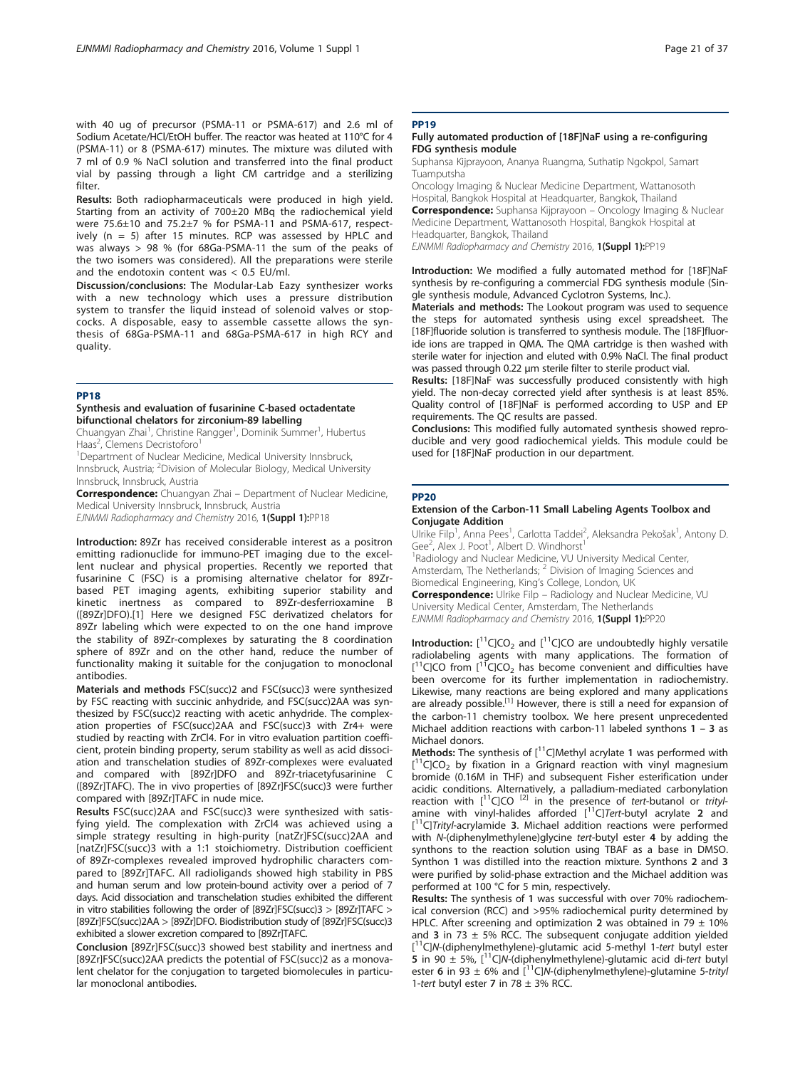with 40 ug of precursor (PSMA-11 or PSMA-617) and 2.6 ml of Sodium Acetate/HCl/EtOH buffer. The reactor was heated at 110°C for 4 (PSMA-11) or 8 (PSMA-617) minutes. The mixture was diluted with 7 ml of 0.9 % NaCl solution and transferred into the final product vial by passing through a light CM cartridge and a sterilizing filter.

Results: Both radiopharmaceuticals were produced in high yield. Starting from an activity of 700±20 MBq the radiochemical yield were 75.6±10 and 75.2±7 % for PSMA-11 and PSMA-617, respectively (n = 5) after 15 minutes. RCP was assessed by HPLC and was always > 98 % (for 68Ga-PSMA-11 the sum of the peaks of the two isomers was considered). All the preparations were sterile and the endotoxin content was < 0.5 EU/ml.

Discussion/conclusions: The Modular-Lab Eazy synthesizer works with a new technology which uses a pressure distribution system to transfer the liquid instead of solenoid valves or stopcocks. A disposable, easy to assemble cassette allows the synthesis of 68Ga-PSMA-11 and 68Ga-PSMA-617 in high RCY and quality.

#### PP18

#### Synthesis and evaluation of fusarinine C-based octadentate bifunctional chelators for zirconium-89 labelling

Chuangyan Zhai<sup>1</sup>, Christine Rangger<sup>1</sup>, Dominik Summer<sup>1</sup>, Hubertus Haas<sup>2</sup>, Clemens Decristoforo<sup>1</sup>

<sup>1</sup> Department of Nuclear Medicine, Medical University Innsbruck, Innsbruck, Austria; <sup>2</sup>Division of Molecular Biology, Medical University Innsbruck, Innsbruck, Austria

**Correspondence:** Chuangyan Zhai - Department of Nuclear Medicine, Medical University Innsbruck, Innsbruck, Austria

EJNMMI Radiopharmacy and Chemistry 2016, 1(Suppl 1):PP18

Introduction: 89Zr has received considerable interest as a positron emitting radionuclide for immuno-PET imaging due to the excellent nuclear and physical properties. Recently we reported that fusarinine C (FSC) is a promising alternative chelator for 89Zrbased PET imaging agents, exhibiting superior stability and kinetic inertness as compared to 89Zr-desferrioxamine B ([89Zr]DFO).[1] Here we designed FSC derivatized chelators for 89Zr labeling which were expected to on the one hand improve the stability of 89Zr-complexes by saturating the 8 coordination sphere of 89Zr and on the other hand, reduce the number of functionality making it suitable for the conjugation to monoclonal antibodies.

Materials and methods FSC(succ)2 and FSC(succ)3 were synthesized by FSC reacting with succinic anhydride, and FSC(succ)2AA was synthesized by FSC(succ)2 reacting with acetic anhydride. The complexation properties of FSC(succ)2AA and FSC(succ)3 with Zr4+ were studied by reacting with ZrCl4. For in vitro evaluation partition coefficient, protein binding property, serum stability as well as acid dissociation and transchelation studies of 89Zr-complexes were evaluated and compared with [89Zr]DFO and 89Zr-triacetyfusarinine C ([89Zr]TAFC). The in vivo properties of [89Zr]FSC(succ)3 were further compared with [89Zr]TAFC in nude mice.

Results FSC(succ)2AA and FSC(succ)3 were synthesized with satisfying yield. The complexation with ZrCl4 was achieved using a simple strategy resulting in high-purity [natZr]FSC(succ)2AA and [natZr]FSC(succ)3 with a 1:1 stoichiometry. Distribution coefficient of 89Zr-complexes revealed improved hydrophilic characters compared to [89Zr]TAFC. All radioligands showed high stability in PBS and human serum and low protein-bound activity over a period of 7 days. Acid dissociation and transchelation studies exhibited the different in vitro stabilities following the order of [89Zr]FSC(succ)3 > [89Zr]TAFC > [89Zr]FSC(succ)2AA > [89Zr]DFO. Biodistribution study of [89Zr]FSC(succ)3 exhibited a slower excretion compared to [89Zr]TAFC.

Conclusion [89Zr]FSC(succ)3 showed best stability and inertness and [89Zr]FSC(succ)2AA predicts the potential of FSC(succ)2 as a monovalent chelator for the conjugation to targeted biomolecules in particular monoclonal antibodies.

### PP19

#### Fully automated production of [18F]NaF using a re-configuring FDG synthesis module

Suphansa Kijprayoon, Ananya Ruangma, Suthatip Ngokpol, Samart Tuamputsha

Oncology Imaging & Nuclear Medicine Department, Wattanosoth Hospital, Bangkok Hospital at Headquarter, Bangkok, Thailand

Correspondence: Suphansa Kijprayoon – Oncology Imaging & Nuclear Medicine Department, Wattanosoth Hospital, Bangkok Hospital at Headquarter, Bangkok, Thailand

EJNMMI Radiopharmacy and Chemistry 2016, 1(Suppl 1):PP19

Introduction: We modified a fully automated method for [18F]NaF synthesis by re-configuring a commercial FDG synthesis module (Single synthesis module, Advanced Cyclotron Systems, Inc.).

Materials and methods: The Lookout program was used to sequence the steps for automated synthesis using excel spreadsheet. The [18F]fluoride solution is transferred to synthesis module. The [18F]fluoride ions are trapped in QMA. The QMA cartridge is then washed with sterile water for injection and eluted with 0.9% NaCl. The final product was passed through 0.22 μm sterile filter to sterile product vial.

Results: [18F]NaF was successfully produced consistently with high yield. The non-decay corrected yield after synthesis is at least 85%. Quality control of [18F]NaF is performed according to USP and EP requirements. The QC results are passed.

Conclusions: This modified fully automated synthesis showed reproducible and very good radiochemical yields. This module could be used for [18F]NaF production in our department.

### PP20

### Extension of the Carbon-11 Small Labeling Agents Toolbox and Conjugate Addition

Ulrike Filp<sup>1</sup>, Anna Pees<sup>1</sup>, Carlotta Taddei<sup>2</sup>, Aleksandra Pekošak<sup>1</sup>, Antony D. Gee<sup>2</sup>, Alex J. Poot<sup>1</sup>, Albert D. Windhorst<sup>1</sup>

<sup>1</sup>Radiology and Nuclear Medicine, VU University Medical Center, Amsterdam, The Netherlands; <sup>2</sup> Division of Imaging Sciences and Biomedical Engineering, King's College, London, UK

**Correspondence:** Ulrike Filp – Radiology and Nuclear Medicine, VU University Medical Center, Amsterdam, The Netherlands EJNMMI Radiopharmacy and Chemistry 2016, 1(Suppl 1):PP20

**Introduction:**  $[^{11}C]CO<sub>2</sub>$  and  $[^{11}C]CO$  are undoubtedly highly versatile radiolabeling agents with many applications. The formation of [  $^{11}$ CJCO from  $[$ <sup>11</sup>CJCO<sub>2</sub> has become convenient and difficulties have been overcome for its further implementation in radiochemistry. Likewise, many reactions are being explored and many applications are already possible.<sup>[1]</sup> However, there is still a need for expansion of the carbon-11 chemistry toolbox. We here present unprecedented Michael addition reactions with carbon-11 labeled synthons  $1 - 3$  as Michael donors.

Methods: The synthesis of  $[^{11}C]$ Methyl acrylate 1 was performed with [<sup>11</sup>C]CO<sub>2</sub> by fixation in a Grignard reaction with vinyl magnesium bromide (0.16M in THF) and subsequent Fisher esterification under acidic conditions. Alternatively, a palladium-mediated carbonylation reaction with  $[^{11}C]CO$ <sup>[2]</sup> in the presence of tert-butanol or tritylamine with vinyl-halides afforded  $[^{11}C]$ Tert-butyl acrylate 2 and [<sup>11</sup>C]Trityl-acrylamide 3. Michael addition reactions were performed with N-(diphenylmethylene)glycine tert-butyl ester 4 by adding the synthons to the reaction solution using TBAF as a base in DMSO. Synthon 1 was distilled into the reaction mixture. Synthons 2 and 3 were purified by solid-phase extraction and the Michael addition was performed at 100 °C for 5 min, respectively.

Results: The synthesis of 1 was successful with over 70% radiochemical conversion (RCC) and >95% radiochemical purity determined by HPLC. After screening and optimization 2 was obtained in 79  $\pm$  10% and 3 in 73  $\pm$  5% RCC. The subsequent conjugate addition yielded [<sup>11</sup>C]N-(diphenylmethylene)-glutamic acid 5-methyl 1-tert butyl ester 5 in 90  $\pm$  5%,  $[{}^{11}$ CJN-(diphenylmethylene)-glutamic acid di-tert butyl ester 6 in 93  $\pm$  6% and  $\left[$ <sup>11</sup>CJN-(diphenylmethylene)-glutamine 5-trityl 1-tert butyl ester  $7$  in  $78 \pm 3\%$  RCC.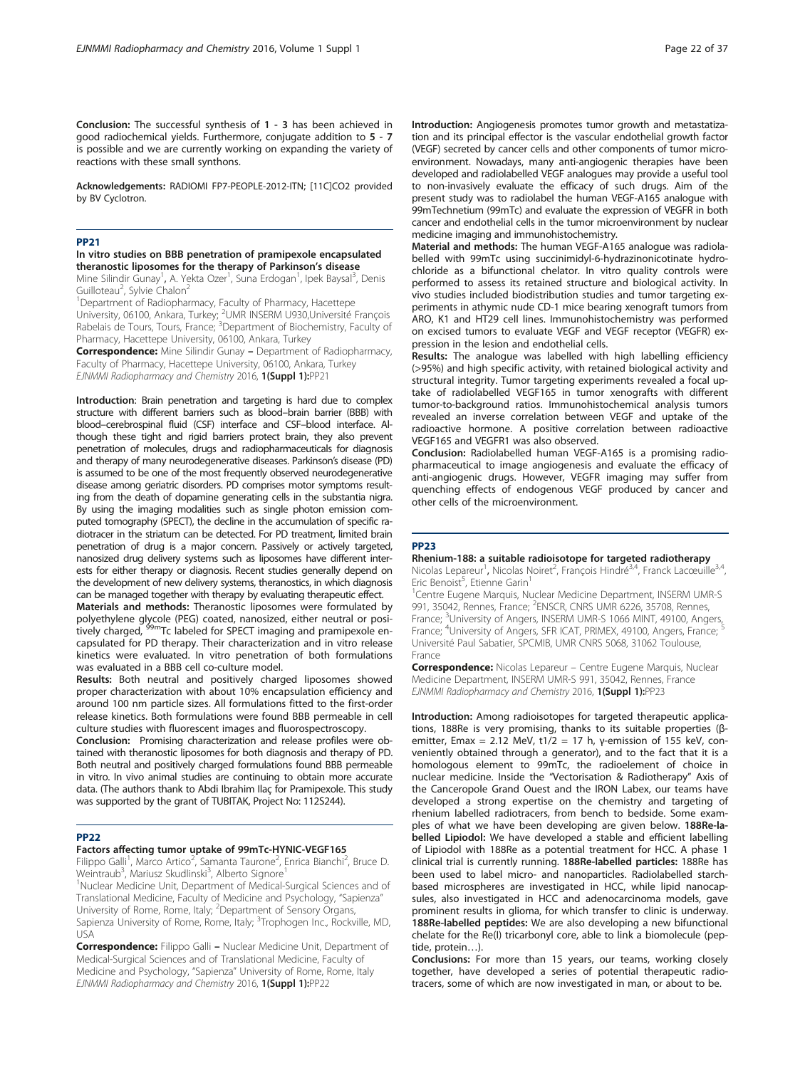Conclusion: The successful synthesis of 1-3 has been achieved in good radiochemical yields. Furthermore, conjugate addition to 5-7 is possible and we are currently working on expanding the variety of reactions with these small synthons.

Acknowledgements: RADIOMI FP7-PEOPLE-2012-ITN; [11C]CO2 provided by BV Cyclotron.

#### PP21

In vitro studies on BBB penetration of pramipexole encapsulated theranostic liposomes for the therapy of Parkinson's disease

Mine Silindir Gunay<sup>1</sup>, A. Yekta Ozer<sup>1</sup>, Suna Erdogan<sup>1</sup>, Ipek Baysal<sup>3</sup>, Denis Guilloteau<sup>2</sup>, Sylvie Chalon<sup>2</sup>

<sup>1</sup>Department of Radiopharmacy, Faculty of Pharmacy, Hacettepe

University, 06100, Ankara, Turkey; <sup>2</sup>UMR INSERM U930,Université François<br>Rabelais de Tours, Tours, France; <sup>3</sup>Department of Biochemistry, Faculty of Pharmacy, Hacettepe University, 06100, Ankara, Turkey

**Correspondence:** Mine Silindir Gunay - Department of Radiopharmacy, Faculty of Pharmacy, Hacettepe University, 06100, Ankara, Turkey EJNMMI Radiopharmacy and Chemistry 2016, 1(Suppl 1):PP21

Introduction: Brain penetration and targeting is hard due to complex structure with different barriers such as blood–brain barrier (BBB) with blood–cerebrospinal fluid (CSF) interface and CSF–blood interface. Although these tight and rigid barriers protect brain, they also prevent penetration of molecules, drugs and radiopharmaceuticals for diagnosis and therapy of many neurodegenerative diseases. Parkinson's disease (PD) is assumed to be one of the most frequently observed neurodegenerative disease among geriatric disorders. PD comprises motor symptoms resulting from the death of dopamine generating cells in the substantia nigra. By using the imaging modalities such as single photon emission computed tomography (SPECT), the decline in the accumulation of specific radiotracer in the striatum can be detected. For PD treatment, limited brain penetration of drug is a major concern. Passively or actively targeted, nanosized drug delivery systems such as liposomes have different interests for either therapy or diagnosis. Recent studies generally depend on the development of new delivery systems, theranostics, in which diagnosis can be managed together with therapy by evaluating therapeutic effect.

Materials and methods: Theranostic liposomes were formulated by polyethylene glycole (PEG) coated, nanosized, either neutral or posi-<br>tively charged, <sup>99m</sup>Tc labeled for SPECT imaging and pramipexole encapsulated for PD therapy. Their characterization and in vitro release kinetics were evaluated. In vitro penetration of both formulations was evaluated in a BBB cell co-culture model.

Results: Both neutral and positively charged liposomes showed proper characterization with about 10% encapsulation efficiency and around 100 nm particle sizes. All formulations fitted to the first-order release kinetics. Both formulations were found BBB permeable in cell culture studies with fluorescent images and fluorospectroscopy.

Conclusion: Promising characterization and release profiles were obtained with theranostic liposomes for both diagnosis and therapy of PD. Both neutral and positively charged formulations found BBB permeable in vitro. In vivo animal studies are continuing to obtain more accurate data. (The authors thank to Abdi Ibrahim Ilaç for Pramipexole. This study was supported by the grant of TUBITAK, Project No: 112S244).

### PP22

#### Factors affecting tumor uptake of 99mTc-HYNIC-VEGF165

Filippo Galli<sup>1</sup>, Marco Artico<sup>2</sup>, Samanta Taurone<sup>2</sup>, Enrica Bianchi<sup>2</sup>, Bruce D. Weintraub<sup>3</sup>, Mariusz Skudlinski<sup>3</sup>, Alberto Signore<sup>1</sup>

<sup>1</sup>Nuclear Medicine Unit, Department of Medical-Surgical Sciences and of Translational Medicine, Faculty of Medicine and Psychology, "Sapienza" University of Rome, Rome, Italy; <sup>2</sup>Department of Sensory Organs, Sapienza University of Rome, Rome, Italy; <sup>3</sup>Trophogen Inc., Rockville, MD, USA

**Correspondence:** Filippo Galli - Nuclear Medicine Unit, Department of Medical-Surgical Sciences and of Translational Medicine, Faculty of Medicine and Psychology, "Sapienza" University of Rome, Rome, Italy EJNMMI Radiopharmacy and Chemistry 2016, 1(Suppl 1):PP22

Introduction: Angiogenesis promotes tumor growth and metastatization and its principal effector is the vascular endothelial growth factor (VEGF) secreted by cancer cells and other components of tumor microenvironment. Nowadays, many anti-angiogenic therapies have been developed and radiolabelled VEGF analogues may provide a useful tool to non-invasively evaluate the efficacy of such drugs. Aim of the present study was to radiolabel the human VEGF-A165 analogue with 99mTechnetium (99mTc) and evaluate the expression of VEGFR in both cancer and endothelial cells in the tumor microenvironment by nuclear medicine imaging and immunohistochemistry.

Material and methods: The human VEGF-A165 analogue was radiolabelled with 99mTc using succinimidyl-6-hydrazinonicotinate hydrochloride as a bifunctional chelator. In vitro quality controls were performed to assess its retained structure and biological activity. In vivo studies included biodistribution studies and tumor targeting experiments in athymic nude CD-1 mice bearing xenograft tumors from ARO, K1 and HT29 cell lines. Immunohistochemistry was performed on excised tumors to evaluate VEGF and VEGF receptor (VEGFR) expression in the lesion and endothelial cells.

Results: The analogue was labelled with high labelling efficiency (>95%) and high specific activity, with retained biological activity and structural integrity. Tumor targeting experiments revealed a focal uptake of radiolabelled VEGF165 in tumor xenografts with different tumor-to-background ratios. Immunohistochemical analysis tumors revealed an inverse correlation between VEGF and uptake of the radioactive hormone. A positive correlation between radioactive VEGF165 and VEGFR1 was also observed.

Conclusion: Radiolabelled human VEGF-A165 is a promising radiopharmaceutical to image angiogenesis and evaluate the efficacy of anti-angiogenic drugs. However, VEGFR imaging may suffer from quenching effects of endogenous VEGF produced by cancer and other cells of the microenvironment.

#### PP23

Rhenium-188: a suitable radioisotope for targeted radiotherapy Nicolas Lepareur<sup>1</sup>, Nicolas Noiret<sup>2</sup>, François Hindré<sup>3,4</sup>, Franck Lacœuille<sup>3,4</sup> Eric Benoist<sup>5</sup>, Etienne Garin<sup>1</sup>

<sup>1</sup>Centre Eugene Marquis, Nuclear Medicine Department, INSERM UMR-S 991, 35042, Rennes, France; <sup>2</sup>ENSCR, CNRS UMR 6226, 35708, Rennes, France; <sup>3</sup>University of Angers, INSERM UMR-S 1066 MINT, 49100, Angers France; <sup>4</sup>University of Angers, SFR ICAT, PRIMEX, 49100, Angers, France; <sup>5</sup> Université Paul Sabatier, SPCMIB, UMR CNRS 5068, 31062 Toulouse, France

Correspondence: Nicolas Lepareur - Centre Eugene Marquis, Nuclear Medicine Department, INSERM UMR-S 991, 35042, Rennes, France EJNMMI Radiopharmacy and Chemistry 2016, 1(Suppl 1):PP23

Introduction: Among radioisotopes for targeted therapeutic applications, 188Re is very promising, thanks to its suitable properties (βemitter, Emax = 2.12 MeV, t1/2 = 17 h, y-emission of 155 keV, conveniently obtained through a generator), and to the fact that it is a homologous element to 99mTc, the radioelement of choice in nuclear medicine. Inside the "Vectorisation & Radiotherapy" Axis of the Canceropole Grand Ouest and the IRON Labex, our teams have developed a strong expertise on the chemistry and targeting of rhenium labelled radiotracers, from bench to bedside. Some examples of what we have been developing are given below. 188Re-labelled Lipiodol: We have developed a stable and efficient labelling of Lipiodol with 188Re as a potential treatment for HCC. A phase 1 clinical trial is currently running. 188Re-labelled particles: 188Re has been used to label micro- and nanoparticles. Radiolabelled starchbased microspheres are investigated in HCC, while lipid nanocapsules, also investigated in HCC and adenocarcinoma models, gave prominent results in glioma, for which transfer to clinic is underway. 188Re-labelled peptides: We are also developing a new bifunctional chelate for the Re(I) tricarbonyl core, able to link a biomolecule (peptide, protein…).

Conclusions: For more than 15 years, our teams, working closely together, have developed a series of potential therapeutic radiotracers, some of which are now investigated in man, or about to be.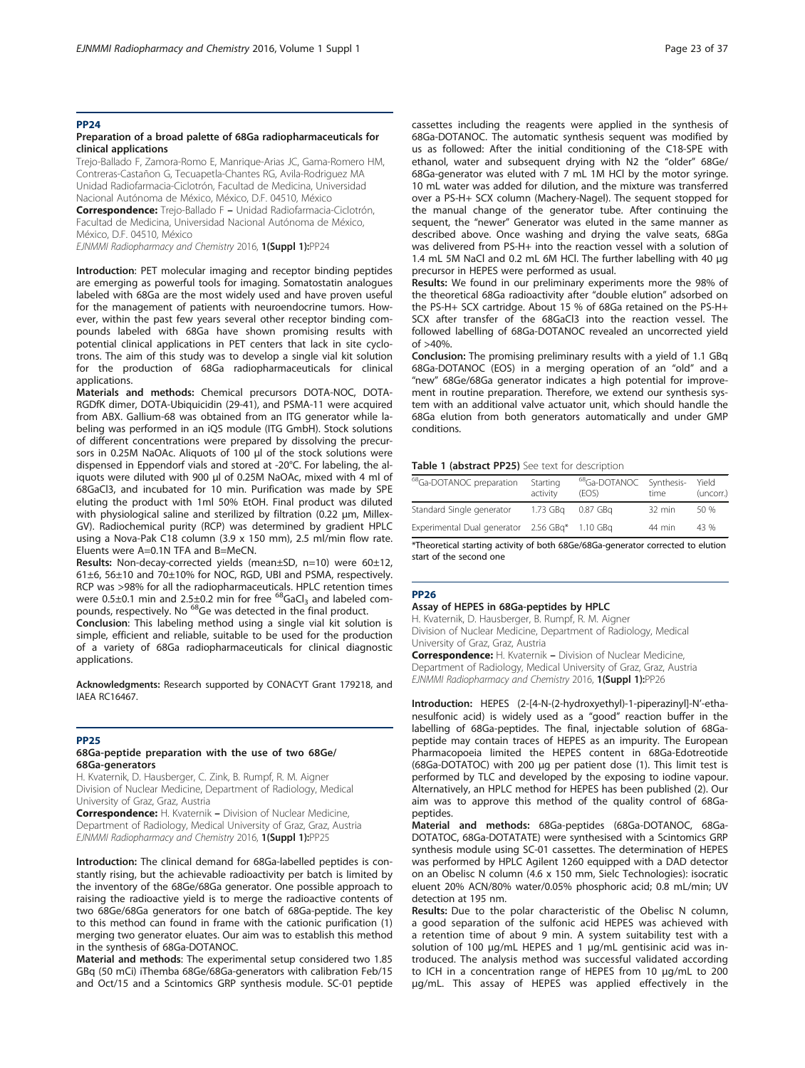### PP24

#### Preparation of a broad palette of 68Ga radiopharmaceuticals for clinical applications

Trejo-Ballado F, Zamora-Romo E, Manrique-Arias JC, Gama-Romero HM, Contreras-Castañon G, Tecuapetla-Chantes RG, Avila-Rodriguez MA Unidad Radiofarmacia-Ciclotrón, Facultad de Medicina, Universidad Nacional Autónoma de México, México, D.F. 04510, México

Correspondence: Trejo-Ballado F – Unidad Radiofarmacia-Ciclotrón, Facultad de Medicina, Universidad Nacional Autónoma de México, México, D.F. 04510, México

EJNMMI Radiopharmacy and Chemistry 2016, 1(Suppl 1):PP24

Introduction: PET molecular imaging and receptor binding peptides are emerging as powerful tools for imaging. Somatostatin analogues labeled with 68Ga are the most widely used and have proven useful for the management of patients with neuroendocrine tumors. However, within the past few years several other receptor binding compounds labeled with 68Ga have shown promising results with potential clinical applications in PET centers that lack in site cyclotrons. The aim of this study was to develop a single vial kit solution for the production of 68Ga radiopharmaceuticals for clinical applications.

Materials and methods: Chemical precursors DOTA-NOC, DOTA-RGDfK dimer, DOTA-Ubiquicidin (29-41), and PSMA-11 were acquired from ABX. Gallium-68 was obtained from an ITG generator while labeling was performed in an iQS module (ITG GmbH). Stock solutions of different concentrations were prepared by dissolving the precursors in 0.25M NaOAc. Aliquots of 100 μl of the stock solutions were dispensed in Eppendorf vials and stored at -20°C. For labeling, the aliquots were diluted with 900 μl of 0.25M NaOAc, mixed with 4 ml of 68GaCl3, and incubated for 10 min. Purification was made by SPE eluting the product with 1ml 50% EtOH. Final product was diluted with physiological saline and sterilized by filtration (0.22 μm, Millex-GV). Radiochemical purity (RCP) was determined by gradient HPLC using a Nova-Pak C18 column (3.9 x 150 mm), 2.5 ml/min flow rate. Eluents were A=0.1N TFA and B=MeCN.

Results: Non-decay-corrected yields (mean±SD, n=10) were 60±12, 61±6, 56±10 and 70±10% for NOC, RGD, UBI and PSMA, respectively. RCP was >98% for all the radiopharmaceuticals. HPLC retention times were 0.5 $\pm$ 0.1 min and 2.5 $\pm$ 0.2 min for free  $^{68}$ GaCl<sub>3</sub> and labeled compounds, respectively. No 68Ge was detected in the final product.

Conclusion: This labeling method using a single vial kit solution is simple, efficient and reliable, suitable to be used for the production of a variety of 68Ga radiopharmaceuticals for clinical diagnostic applications.

Acknowledgments: Research supported by CONACYT Grant 179218, and IAEA RC16467.

#### PP25

#### 68Ga-peptide preparation with the use of two 68Ge/ 68Ga-generators

H. Kvaternik, D. Hausberger, C. Zink, B. Rumpf, R. M. Aigner Division of Nuclear Medicine, Department of Radiology, Medical University of Graz, Graz, Austria

Correspondence: H. Kvaternik – Division of Nuclear Medicine, Department of Radiology, Medical University of Graz, Graz, Austria EJNMMI Radiopharmacy and Chemistry 2016, 1(Suppl 1):PP25

Introduction: The clinical demand for 68Ga-labelled peptides is constantly rising, but the achievable radioactivity per batch is limited by the inventory of the 68Ge/68Ga generator. One possible approach to raising the radioactive yield is to merge the radioactive contents of two 68Ge/68Ga generators for one batch of 68Ga-peptide. The key to this method can found in frame with the cationic purification (1) merging two generator eluates. Our aim was to establish this method in the synthesis of 68Ga-DOTANOC.

Material and methods: The experimental setup considered two 1.85 GBq (50 mCi) iThemba 68Ge/68Ga-generators with calibration Feb/15 and Oct/15 and a Scintomics GRP synthesis module. SC-01 peptide cassettes including the reagents were applied in the synthesis of 68Ga-DOTANOC. The automatic synthesis sequent was modified by us as followed: After the initial conditioning of the C18-SPE with ethanol, water and subsequent drying with N2 the "older" 68Ge/ 68Ga-generator was eluted with 7 mL 1M HCl by the motor syringe. 10 mL water was added for dilution, and the mixture was transferred over a PS-H+ SCX column (Machery-Nagel). The sequent stopped for the manual change of the generator tube. After continuing the sequent, the "newer" Generator was eluted in the same manner as described above. Once washing and drying the valve seats, 68Ga was delivered from PS-H+ into the reaction vessel with a solution of 1.4 mL 5M NaCl and 0.2 mL 6M HCl. The further labelling with 40 μg precursor in HEPES were performed as usual.

Results: We found in our preliminary experiments more the 98% of the theoretical 68Ga radioactivity after "double elution" adsorbed on the PS-H+ SCX cartridge. About 15 % of 68Ga retained on the PS-H+ SCX after transfer of the 68GaCl3 into the reaction vessel. The followed labelling of 68Ga-DOTANOC revealed an uncorrected yield  $of > 40%$ 

Conclusion: The promising preliminary results with a yield of 1.1 GBq 68Ga-DOTANOC (EOS) in a merging operation of an "old" and a "new" 68Ge/68Ga generator indicates a high potential for improvement in routine preparation. Therefore, we extend our synthesis system with an additional valve actuator unit, which should handle the 68Ga elution from both generators automatically and under GMP conditions.

#### Table 1 (abstract PP25) See text for description

| <sup>68</sup> Ga-DOTANOC preparation | Starting<br>activity | <sup>68</sup> Ga-DOTANOC Synthesis-<br>(EOS) | time   | Yield<br>(uncorr.) |
|--------------------------------------|----------------------|----------------------------------------------|--------|--------------------|
| Standard Single generator            |                      |                                              | 32 min | 50 %               |
| Experimental Dual generator          | 2.56 GBa* 1.10 GBa   |                                              | 44 min | 43 %               |

\*Theoretical starting activity of both 68Ge/68Ga-generator corrected to elution start of the second one

#### PP26

### Assay of HEPES in 68Ga-peptides by HPLC

H. Kvaternik, D. Hausberger, B. Rumpf, R. M. Aigner Division of Nuclear Medicine, Department of Radiology, Medical

University of Graz, Graz, Austria **Correspondence:** H. Kvaternik - Division of Nuclear Medicine,

Department of Radiology, Medical University of Graz, Graz, Austria EJNMMI Radiopharmacy and Chemistry 2016, 1(Suppl 1):PP26

Introduction: HEPES (2-[4-N-(2-hydroxyethyl)-1-piperazinyl]-N'-ethanesulfonic acid) is widely used as a "good" reaction buffer in the labelling of 68Ga-peptides. The final, injectable solution of 68Gapeptide may contain traces of HEPES as an impurity. The European Pharmacopoeia limited the HEPES content in 68Ga-Edotreotide (68Ga-DOTATOC) with 200 μg per patient dose (1). This limit test is performed by TLC and developed by the exposing to iodine vapour. Alternatively, an HPLC method for HEPES has been published (2). Our aim was to approve this method of the quality control of 68Gapeptides.

Material and methods: 68Ga-peptides (68Ga-DOTANOC, 68Ga-DOTATOC, 68Ga-DOTATATE) were synthesised with a Scintomics GRP synthesis module using SC-01 cassettes. The determination of HEPES was performed by HPLC Agilent 1260 equipped with a DAD detector on an Obelisc N column (4.6 x 150 mm, Sielc Technologies): isocratic eluent 20% ACN/80% water/0.05% phosphoric acid; 0.8 mL/min; UV detection at 195 nm.

Results: Due to the polar characteristic of the Obelisc N column, a good separation of the sulfonic acid HEPES was achieved with a retention time of about 9 min. A system suitability test with a solution of 100 μg/mL HEPES and 1 μg/mL gentisinic acid was introduced. The analysis method was successful validated according to ICH in a concentration range of HEPES from 10 μg/mL to 200 μg/mL. This assay of HEPES was applied effectively in the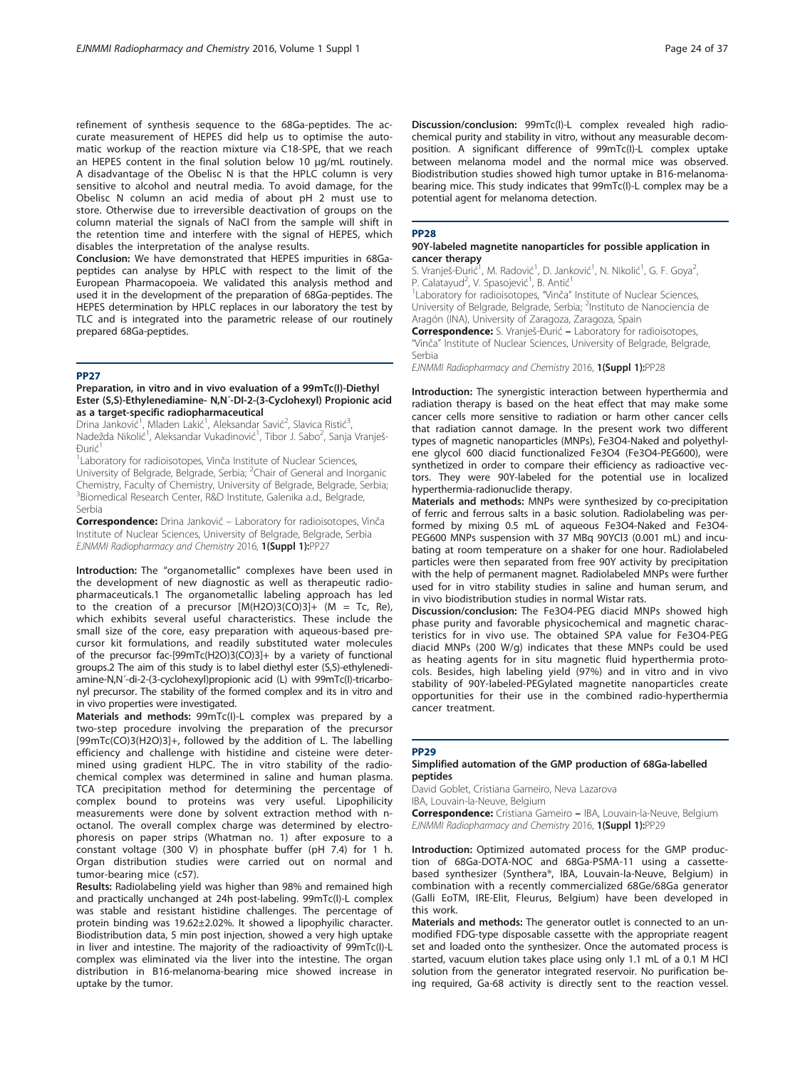refinement of synthesis sequence to the 68Ga-peptides. The accurate measurement of HEPES did help us to optimise the automatic workup of the reaction mixture via C18-SPE, that we reach an HEPES content in the final solution below 10 μg/mL routinely. A disadvantage of the Obelisc N is that the HPLC column is very sensitive to alcohol and neutral media. To avoid damage, for the Obelisc N column an acid media of about pH 2 must use to store. Otherwise due to irreversible deactivation of groups on the column material the signals of NaCl from the sample will shift in the retention time and interfere with the signal of HEPES, which disables the interpretation of the analyse results.

Conclusion: We have demonstrated that HEPES impurities in 68Gapeptides can analyse by HPLC with respect to the limit of the European Pharmacopoeia. We validated this analysis method and used it in the development of the preparation of 68Ga-peptides. The HEPES determination by HPLC replaces in our laboratory the test by TLC and is integrated into the parametric release of our routinely prepared 68Ga-peptides.

#### **PP27**

### Preparation, in vitro and in vivo evaluation of a 99mTc(I)-Diethyl Ester (S,S)-Ethylenediamine- N,N´-DI-2-(3-Cyclohexyl) Propionic acid as a target-specific radiopharmaceutical

Drina Janković<sup>1</sup>, Mladen Lakić<sup>1</sup>, Aleksandar Savić<sup>2</sup>, Slavica Ristić<sup>3</sup> , Nadežda Nikolić<sup>1</sup>, Aleksandar Vukadinović<sup>1</sup>, Tibor J. Sabo<sup>2</sup>, Sanja Vranješ-Đurić 1

<sup>1</sup> Laboratory for radioisotopes, Vinča Institute of Nuclear Sciences, University of Belgrade, Belgrade, Serbia; <sup>2</sup>Chair of General and Inorganic Chemistry, Faculty of Chemistry, University of Belgrade, Belgrade, Serbia; 3 Biomedical Research Center, R&D Institute, Galenika a.d., Belgrade, Serbia

Correspondence: Drina Janković - Laboratory for radioisotopes, Vinča Institute of Nuclear Sciences, University of Belgrade, Belgrade, Serbia EJNMMI Radiopharmacy and Chemistry 2016, 1(Suppl 1):PP27

Introduction: The "organometallic" complexes have been used in the development of new diagnostic as well as therapeutic radiopharmaceuticals.1 The organometallic labeling approach has led to the creation of a precursor [M(H2O)3(CO)3]+ (M = Tc, Re), which exhibits several useful characteristics. These include the small size of the core, easy preparation with aqueous-based precursor kit formulations, and readily substituted water molecules of the precursor fac-[99mTc(H2O)3(CO)3]+ by a variety of functional groups.2 The aim of this study is to label diethyl ester (S,S)-ethylenediamine-N,N´-di-2-(3-cyclohexyl)propionic acid (L) with 99mTc(I)-tricarbonyl precursor. The stability of the formed complex and its in vitro and in vivo properties were investigated.

Materials and methods: 99mTc(I)-L complex was prepared by a two-step procedure involving the preparation of the precursor [99mTc(CO)3(H2O)3]+, followed by the addition of L. The labelling efficiency and challenge with histidine and cisteine were determined using gradient HLPC. The in vitro stability of the radiochemical complex was determined in saline and human plasma. TCA precipitation method for determining the percentage of complex bound to proteins was very useful. Lipophilicity measurements were done by solvent extraction method with noctanol. The overall complex charge was determined by electrophoresis on paper strips (Whatman no. 1) after exposure to a constant voltage (300 V) in phosphate buffer (pH 7.4) for 1 h. Organ distribution studies were carried out on normal and tumor-bearing mice (c57).

Results: Radiolabeling yield was higher than 98% and remained high and practically unchanged at 24h post-labeling. 99mTc(I)-L complex was stable and resistant histidine challenges. The percentage of protein binding was 19.62±2.02%. It showed a lipophyilic character. Biodistribution data, 5 min post injection, showed a very high uptake in liver and intestine. The majority of the radioactivity of 99mTc(I)-L complex was eliminated via the liver into the intestine. The organ distribution in B16-melanoma-bearing mice showed increase in uptake by the tumor.

Discussion/conclusion: 99mTc(I)-L complex revealed high radiochemical purity and stability in vitro, without any measurable decomposition. A significant difference of 99mTc(I)-L complex uptake between melanoma model and the normal mice was observed. Biodistribution studies showed high tumor uptake in B16-melanomabearing mice. This study indicates that 99mTc(I)-L complex may be a potential agent for melanoma detection.

#### PP28

Serbia

#### 90Y-labeled magnetite nanoparticles for possible application in cancer therapy

S. Vranješ-Đurić<sup>1</sup>, M. Radović<sup>1</sup>, D. Janković<sup>1</sup>, N. Nikolić<sup>1</sup>, G. F. Goya<sup>2</sup> , P. Calatayud<sup>2</sup>, V. Spasojević<sup>1</sup>, B. Antić<sup>1</sup>

<sup>1</sup> Laboratory for radioisotopes, "Vinča" Institute of Nuclear Sciences, University of Belgrade, Belgrade, Serbia; <sup>2</sup>Instituto de Nanociencia de Aragón (INA), University of Zaragoza, Zaragoza, Spain

Correspondence: S. Vranješ-Đurić – Laboratory for radioisotopes, "Vinča" Institute of Nuclear Sciences, University of Belgrade, Belgrade,

EJNMMI Radiopharmacy and Chemistry 2016, 1(Suppl 1):PP28

Introduction: The synergistic interaction between hyperthermia and radiation therapy is based on the heat effect that may make some cancer cells more sensitive to radiation or harm other cancer cells that radiation cannot damage. In the present work two different types of magnetic nanoparticles (MNPs), Fe3O4-Naked and polyethylene glycol 600 diacid functionalized Fe3O4 (Fe3O4-PEG600), were synthetized in order to compare their efficiency as radioactive vectors. They were 90Y-labeled for the potential use in localized hyperthermia-radionuclide therapy.

Materials and methods: MNPs were synthesized by co-precipitation of ferric and ferrous salts in a basic solution. Radiolabeling was performed by mixing 0.5 mL of aqueous Fe3O4-Naked and Fe3O4- PEG600 MNPs suspension with 37 MBq 90YCl3 (0.001 mL) and incubating at room temperature on a shaker for one hour. Radiolabeled particles were then separated from free 90Y activity by precipitation with the help of permanent magnet. Radiolabeled MNPs were further used for in vitro stability studies in saline and human serum, and in vivo biodistribution studies in normal Wistar rats.

Discussion/conclusion: The Fe3O4-PEG diacid MNPs showed high phase purity and favorable physicochemical and magnetic characteristics for in vivo use. The obtained SPA value for Fe3O4-PEG diacid MNPs (200 W/g) indicates that these MNPs could be used as heating agents for in situ magnetic fluid hyperthermia protocols. Besides, high labeling yield (97%) and in vitro and in vivo stability of 90Y-labeled-PEGylated magnetite nanoparticles create opportunities for their use in the combined radio-hyperthermia cancer treatment.

#### PP29

#### Simplified automation of the GMP production of 68Ga-labelled peptides

David Goblet, Cristiana Gameiro, Neva Lazarova

IBA, Louvain-la-Neuve, Belgium

Correspondence: Cristiana Gameiro – IBA, Louvain-la-Neuve, Belgium EJNMMI Radiopharmacy and Chemistry 2016, 1(Suppl 1):PP29

Introduction: Optimized automated process for the GMP production of 68Ga-DOTA-NOC and 68Ga-PSMA-11 using a cassettebased synthesizer (Synthera®, IBA, Louvain-la-Neuve, Belgium) in combination with a recently commercialized 68Ge/68Ga generator (Galli EoTM, IRE-Elit, Fleurus, Belgium) have been developed in this work.

Materials and methods: The generator outlet is connected to an unmodified FDG-type disposable cassette with the appropriate reagent set and loaded onto the synthesizer. Once the automated process is started, vacuum elution takes place using only 1.1 mL of a 0.1 M HCl solution from the generator integrated reservoir. No purification being required, Ga-68 activity is directly sent to the reaction vessel.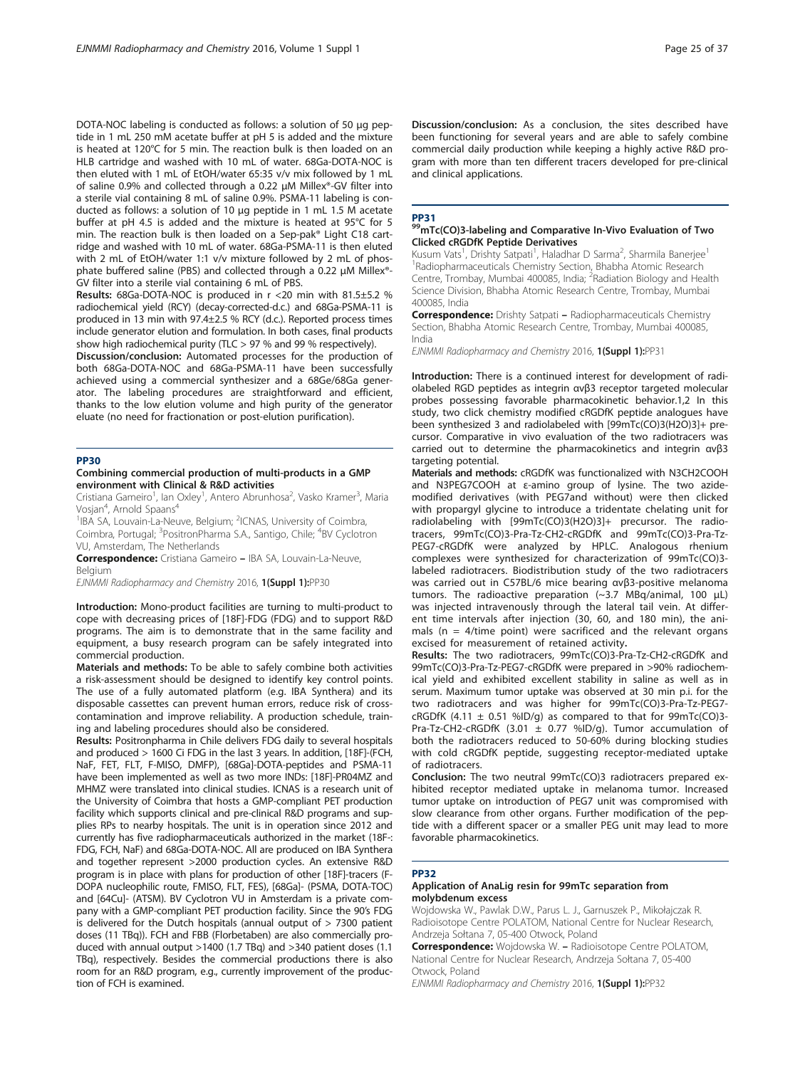DOTA-NOC labeling is conducted as follows: a solution of 50 μg peptide in 1 mL 250 mM acetate buffer at pH 5 is added and the mixture is heated at 120°C for 5 min. The reaction bulk is then loaded on an HLB cartridge and washed with 10 mL of water. 68Ga-DOTA-NOC is then eluted with 1 mL of EtOH/water 65:35 v/v mix followed by 1 mL of saline 0.9% and collected through a 0.22 μM Millex®-GV filter into a sterile vial containing 8 mL of saline 0.9%. PSMA-11 labeling is conducted as follows: a solution of 10 μg peptide in 1 mL 1.5 M acetate buffer at pH 4.5 is added and the mixture is heated at 95°C for 5 min. The reaction bulk is then loaded on a Sep-pak® Light C18 cartridge and washed with 10 mL of water. 68Ga-PSMA-11 is then eluted with 2 mL of EtOH/water 1:1 v/v mixture followed by 2 mL of phosphate buffered saline (PBS) and collected through a 0.22 μM Millex®- GV filter into a sterile vial containing 6 mL of PBS.

Results: 68Ga-DOTA-NOC is produced in r <20 min with 81.5±5.2 % radiochemical yield (RCY) (decay-corrected-d.c.) and 68Ga-PSMA-11 is produced in 13 min with 97.4±2.5 % RCY (d.c.). Reported process times include generator elution and formulation. In both cases, final products show high radiochemical purity (TLC > 97 % and 99 % respectively).

Discussion/conclusion: Automated processes for the production of both 68Ga-DOTA-NOC and 68Ga-PSMA-11 have been successfully achieved using a commercial synthesizer and a 68Ge/68Ga generator. The labeling procedures are straightforward and efficient, thanks to the low elution volume and high purity of the generator eluate (no need for fractionation or post-elution purification).

#### PP30

#### Combining commercial production of multi-products in a GMP environment with Clinical & R&D activities

Cristiana Gameiro<sup>1</sup>, lan Oxley<sup>1</sup>, Antero Abrunhosa<sup>2</sup>, Vasko Kramer<sup>3</sup>, Maria Vosjan<sup>4</sup>, Arnold Spaans<sup>4</sup>

<sup>1</sup>IBA SA, Louvain-La-Neuve, Belgium; <sup>2</sup>ICNAS, University of Coimbra, Coimbra, Portugal; <sup>3</sup>PositronPharma S.A., Santigo, Chile; <sup>4</sup>BV Cyclotron VU, Amsterdam, The Netherlands

Correspondence: Cristiana Gameiro – IBA SA, Louvain-La-Neuve, Belgium

EJNMMI Radiopharmacy and Chemistry 2016, 1(Suppl 1):PP30

Introduction: Mono-product facilities are turning to multi-product to cope with decreasing prices of [18F]-FDG (FDG) and to support R&D programs. The aim is to demonstrate that in the same facility and equipment, a busy research program can be safely integrated into commercial production.

Materials and methods: To be able to safely combine both activities a risk-assessment should be designed to identify key control points. The use of a fully automated platform (e.g. IBA Synthera) and its disposable cassettes can prevent human errors, reduce risk of crosscontamination and improve reliability. A production schedule, training and labeling procedures should also be considered.

Results: Positronpharma in Chile delivers FDG daily to several hospitals and produced > 1600 Ci FDG in the last 3 years. In addition, [18F]-(FCH, NaF, FET, FLT, F-MISO, DMFP), [68Ga]-DOTA-peptides and PSMA-11 have been implemented as well as two more INDs: [18F]-PR04MZ and MHMZ were translated into clinical studies. ICNAS is a research unit of the University of Coimbra that hosts a GMP-compliant PET production facility which supports clinical and pre-clinical R&D programs and supplies RPs to nearby hospitals. The unit is in operation since 2012 and currently has five radiopharmaceuticals authorized in the market (18F-: FDG, FCH, NaF) and 68Ga-DOTA-NOC. All are produced on IBA Synthera and together represent >2000 production cycles. An extensive R&D program is in place with plans for production of other [18F]-tracers (F-DOPA nucleophilic route, FMISO, FLT, FES), [68Ga]- (PSMA, DOTA-TOC) and [64Cu]- (ATSM). BV Cyclotron VU in Amsterdam is a private company with a GMP-compliant PET production facility. Since the 90's FDG is delivered for the Dutch hospitals (annual output of  $> 7300$  patient doses (11 TBq)). FCH and FBB (Florbetaben) are also commercially produced with annual output >1400 (1.7 TBq) and >340 patient doses (1.1 TBq), respectively. Besides the commercial productions there is also room for an R&D program, e.g., currently improvement of the production of FCH is examined.

Discussion/conclusion: As a conclusion, the sites described have been functioning for several years and are able to safely combine commercial daily production while keeping a highly active R&D program with more than ten different tracers developed for pre-clinical and clinical applications.

#### PP31

#### <sup>99</sup>mTc(CO)3-labeling and Comparative In-Vivo Evaluation of Two Clicked cRGDfK Peptide Derivatives

Kusum Vats<sup>1</sup>, Drishty Satpati<sup>1</sup>, Haladhar D Sarma<sup>2</sup>, Sharmila Banerjee<sup>1</sup> <sup>1</sup>Radiopharmaceuticals Chemistry Section, Bhabha Atomic Research Centre, Trombay, Mumbai 400085, India; <sup>2</sup>Radiation Biology and Health Science Division, Bhabha Atomic Research Centre, Trombay, Mumbai 400085, India

**Correspondence:** Drishty Satpati - Radiopharmaceuticals Chemistry Section, Bhabha Atomic Research Centre, Trombay, Mumbai 400085, India

EJNMMI Radiopharmacy and Chemistry 2016, 1(Suppl 1):PP31

Introduction: There is a continued interest for development of radiolabeled RGD peptides as integrin αvβ3 receptor targeted molecular probes possessing favorable pharmacokinetic behavior.1,2 In this study, two click chemistry modified cRGDfK peptide analogues have been synthesized 3 and radiolabeled with [99mTc(CO)3(H2O)3]+ precursor. Comparative in vivo evaluation of the two radiotracers was carried out to determine the pharmacokinetics and integrin αvβ3 targeting potential.

Materials and methods: cRGDfK was functionalized with N3CH2COOH and N3PEG7COOH at ε-amino group of lysine. The two azidemodified derivatives (with PEG7and without) were then clicked with propargyl glycine to introduce a tridentate chelating unit for radiolabeling with [99mTc(CO)3(H2O)3]+ precursor. The radiotracers, 99mTc(CO)3-Pra-Tz-CH2-cRGDfK and 99mTc(CO)3-Pra-Tz-PEG7-cRGDfK were analyzed by HPLC. Analogous rhenium complexes were synthesized for characterization of 99mTc(CO)3 labeled radiotracers. Biodistribution study of the two radiotracers was carried out in C57BL/6 mice bearing αvβ3-positive melanoma tumors. The radioactive preparation (~3.7 MBq/animal, 100 μL) was injected intravenously through the lateral tail vein. At different time intervals after injection (30, 60, and 180 min), the animals ( $n = 4$ /time point) were sacrificed and the relevant organs excised for measurement of retained activity.

Results: The two radiotracers, 99mTc(CO)3-Pra-Tz-CH2-cRGDfK and 99mTc(CO)3-Pra-Tz-PEG7-cRGDfK were prepared in >90% radiochemical yield and exhibited excellent stability in saline as well as in serum. Maximum tumor uptake was observed at 30 min p.i. for the two radiotracers and was higher for 99mTc(CO)3-Pra-Tz-PEG7 cRGDfK (4.11  $\pm$  0.51 %ID/g) as compared to that for 99mTc(CO)3-Pra-Tz-CH2-cRGDfK (3.01  $\pm$  0.77 %ID/g). Tumor accumulation of both the radiotracers reduced to 50-60% during blocking studies with cold cRGDfK peptide, suggesting receptor-mediated uptake of radiotracers.

Conclusion: The two neutral 99mTc(CO)3 radiotracers prepared exhibited receptor mediated uptake in melanoma tumor. Increased tumor uptake on introduction of PEG7 unit was compromised with slow clearance from other organs. Further modification of the peptide with a different spacer or a smaller PEG unit may lead to more favorable pharmacokinetics.

#### PP32

#### Application of AnaLig resin for 99mTc separation from molybdenum excess

Wojdowska W., Pawlak D.W., Parus L. J., Garnuszek P., Mikołajczak R. Radioisotope Centre POLATOM, National Centre for Nuclear Research, Andrzeja Sołtana 7, 05-400 Otwock, Poland

Correspondence: Wojdowska W. – Radioisotope Centre POLATOM, National Centre for Nuclear Research, Andrzeja Sołtana 7, 05-400 Otwock, Poland

EJNMMI Radiopharmacy and Chemistry 2016, 1(Suppl 1):PP32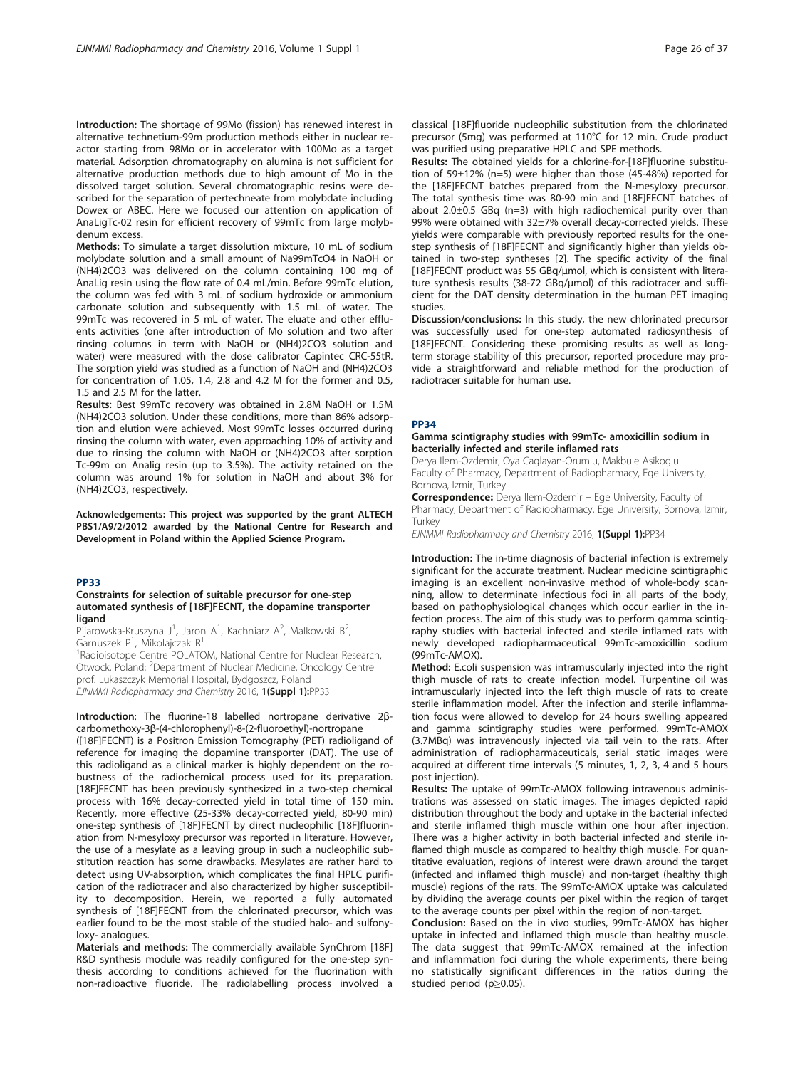Introduction: The shortage of 99Mo (fission) has renewed interest in alternative technetium-99m production methods either in nuclear reactor starting from 98Mo or in accelerator with 100Mo as a target material. Adsorption chromatography on alumina is not sufficient for alternative production methods due to high amount of Mo in the dissolved target solution. Several chromatographic resins were described for the separation of pertechneate from molybdate including Dowex or ABEC. Here we focused our attention on application of AnaLigTc-02 resin for efficient recovery of 99mTc from large molybdenum excess.

Methods: To simulate a target dissolution mixture, 10 mL of sodium molybdate solution and a small amount of Na99mTcO4 in NaOH or (NH4)2CO3 was delivered on the column containing 100 mg of AnaLig resin using the flow rate of 0.4 mL/min. Before 99mTc elution, the column was fed with 3 mL of sodium hydroxide or ammonium carbonate solution and subsequently with 1.5 mL of water. The 99mTc was recovered in 5 mL of water. The eluate and other effluents activities (one after introduction of Mo solution and two after rinsing columns in term with NaOH or (NH4)2CO3 solution and water) were measured with the dose calibrator Capintec CRC-55tR. The sorption yield was studied as a function of NaOH and (NH4)2CO3 for concentration of 1.05, 1.4, 2.8 and 4.2 M for the former and 0.5, 1.5 and 2.5 M for the latter.

Results: Best 99mTc recovery was obtained in 2.8M NaOH or 1.5M (NH4)2CO3 solution. Under these conditions, more than 86% adsorption and elution were achieved. Most 99mTc losses occurred during rinsing the column with water, even approaching 10% of activity and due to rinsing the column with NaOH or (NH4)2CO3 after sorption Tc-99m on Analig resin (up to 3.5%). The activity retained on the column was around 1% for solution in NaOH and about 3% for (NH4)2CO3, respectively.

Acknowledgements: This project was supported by the grant ALTECH PBS1/A9/2/2012 awarded by the National Centre for Research and Development in Poland within the Applied Science Program.

### PP33

#### Constraints for selection of suitable precursor for one-step automated synthesis of [18F]FECNT, the dopamine transporter ligand

Pijarowska-Kruszyna J<sup>1</sup>, Jaron A<sup>1</sup>, Kachniarz A<sup>2</sup>, Malkowski B<sup>2</sup> , Garnuszek P<sup>1</sup>, Mikolajczak R<sup>1</sup>

<sup>1</sup>Radioisotope Centre POLATOM, National Centre for Nuclear Research, Otwock, Poland; <sup>2</sup>Department of Nuclear Medicine, Oncology Centre prof. Lukaszczyk Memorial Hospital, Bydgoszcz, Poland EJNMMI Radiopharmacy and Chemistry 2016, 1(Suppl 1):PP33

Introduction: The fluorine-18 labelled nortropane derivative 2βcarbomethoxy-3β-(4-chlorophenyl)-8-(2-fluoroethyl)-nortropane ([18F]FECNT) is a Positron Emission Tomography (PET) radioligand of reference for imaging the dopamine transporter (DAT). The use of this radioligand as a clinical marker is highly dependent on the robustness of the radiochemical process used for its preparation. [18F]FECNT has been previously synthesized in a two-step chemical process with 16% decay-corrected yield in total time of 150 min. Recently, more effective (25-33% decay-corrected yield, 80-90 min) one-step synthesis of [18F]FECNT by direct nucleophilic [18F]fluorination from N-mesyloxy precursor was reported in literature. However, the use of a mesylate as a leaving group in such a nucleophilic substitution reaction has some drawbacks. Mesylates are rather hard to detect using UV-absorption, which complicates the final HPLC purification of the radiotracer and also characterized by higher susceptibility to decomposition. Herein, we reported a fully automated synthesis of [18F]FECNT from the chlorinated precursor, which was earlier found to be the most stable of the studied halo- and sulfonyloxy- analogues.

Materials and methods: The commercially available SynChrom [18F] R&D synthesis module was readily configured for the one-step synthesis according to conditions achieved for the fluorination with non-radioactive fluoride. The radiolabelling process involved a classical [18F]fluoride nucleophilic substitution from the chlorinated precursor (5mg) was performed at 110°C for 12 min. Crude product was purified using preparative HPLC and SPE methods.

Results: The obtained yields for a chlorine-for-[18F]fluorine substitution of 59±12% (n=5) were higher than those (45-48%) reported for the [18F]FECNT batches prepared from the N-mesyloxy precursor. The total synthesis time was 80-90 min and [18F]FECNT batches of about 2.0±0.5 GBq (n=3) with high radiochemical purity over than 99% were obtained with 32±7% overall decay-corrected yields. These yields were comparable with previously reported results for the onestep synthesis of [18F]FECNT and significantly higher than yields obtained in two-step syntheses [2]. The specific activity of the final [18F]FECNT product was 55 GBq/umol, which is consistent with literature synthesis results (38-72 GBq/μmol) of this radiotracer and sufficient for the DAT density determination in the human PET imaging studies.

Discussion/conclusions: In this study, the new chlorinated precursor was successfully used for one-step automated radiosynthesis of [18F]FECNT. Considering these promising results as well as longterm storage stability of this precursor, reported procedure may provide a straightforward and reliable method for the production of radiotracer suitable for human use.

#### PP34

#### Gamma scintigraphy studies with 99mTc- amoxicillin sodium in bacterially infected and sterile inflamed rats

Derya Ilem-Ozdemir, Oya Caglayan-Orumlu, Makbule Asikoglu Faculty of Pharmacy, Department of Radiopharmacy, Ege University, Bornova, Izmir, Turkey

Correspondence: Derya Ilem-Ozdemir - Ege University, Faculty of Pharmacy, Department of Radiopharmacy, Ege University, Bornova, Izmir, Turkey

EJNMMI Radiopharmacy and Chemistry 2016, 1(Suppl 1):PP34

Introduction: The in-time diagnosis of bacterial infection is extremely significant for the accurate treatment. Nuclear medicine scintigraphic imaging is an excellent non-invasive method of whole-body scanning, allow to determinate infectious foci in all parts of the body, based on pathophysiological changes which occur earlier in the infection process. The aim of this study was to perform gamma scintigraphy studies with bacterial infected and sterile inflamed rats with newly developed radiopharmaceutical 99mTc-amoxicillin sodium (99mTc-AMOX).

Method: E.coli suspension was intramuscularly injected into the right thigh muscle of rats to create infection model. Turpentine oil was intramuscularly injected into the left thigh muscle of rats to create sterile inflammation model. After the infection and sterile inflammation focus were allowed to develop for 24 hours swelling appeared and gamma scintigraphy studies were performed. 99mTc-AMOX (3.7MBq) was intravenously injected via tail vein to the rats. After administration of radiopharmaceuticals, serial static images were acquired at different time intervals (5 minutes, 1, 2, 3, 4 and 5 hours post injection).

Results: The uptake of 99mTc-AMOX following intravenous administrations was assessed on static images. The images depicted rapid distribution throughout the body and uptake in the bacterial infected and sterile inflamed thigh muscle within one hour after injection. There was a higher activity in both bacterial infected and sterile inflamed thigh muscle as compared to healthy thigh muscle. For quantitative evaluation, regions of interest were drawn around the target (infected and inflamed thigh muscle) and non-target (healthy thigh muscle) regions of the rats. The 99mTc-AMOX uptake was calculated by dividing the average counts per pixel within the region of target to the average counts per pixel within the region of non-target.

Conclusion: Based on the in vivo studies, 99mTc-AMOX has higher uptake in infected and inflamed thigh muscle than healthy muscle. The data suggest that 99mTc-AMOX remained at the infection and inflammation foci during the whole experiments, there being no statistically significant differences in the ratios during the studied period (p≥0.05).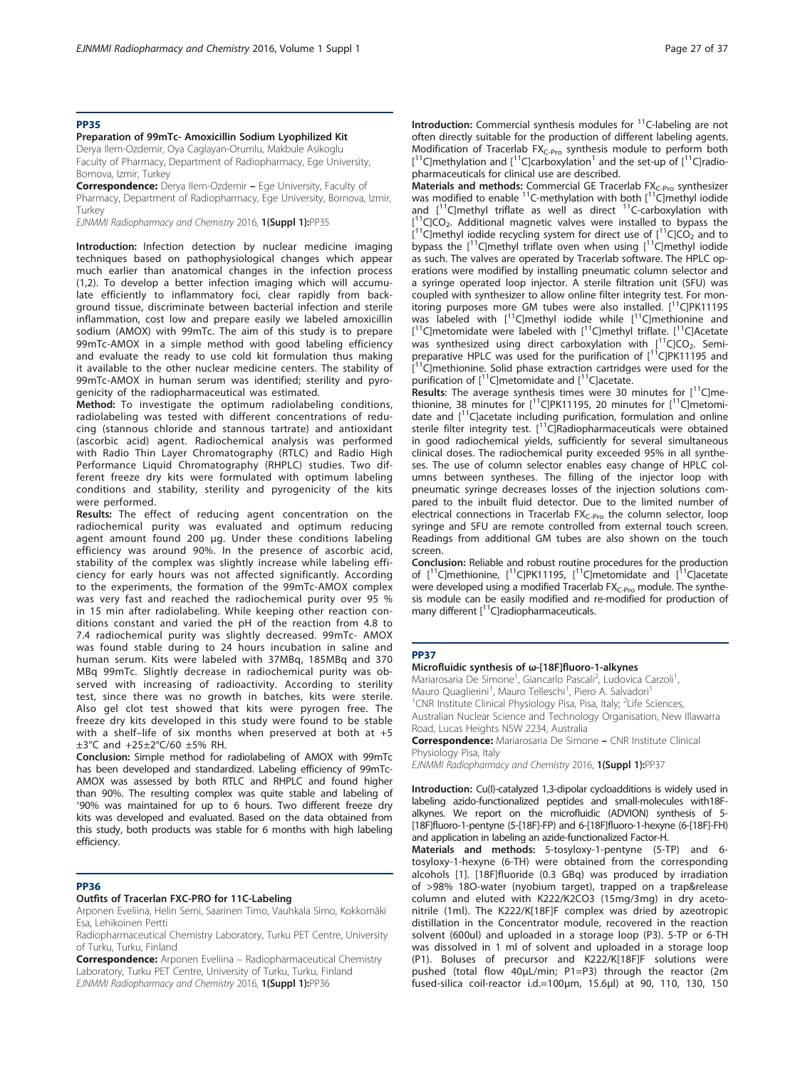#### PP35

### Preparation of 99mTc- Amoxicillin Sodium Lyophilized Kit

Derya Ilem-Ozdemir, Oya Caglayan-Orumlu, Makbule Asikoglu Faculty of Pharmacy, Department of Radiopharmacy, Ege University, Bornova, Izmir, Turkey

**Correspondence:** Derya Ilem-Ozdemir - Ege University, Faculty of Pharmacy, Department of Radiopharmacy, Ege University, Bornova, Izmir, Turkey

EJNMMI Radiopharmacy and Chemistry 2016, 1(Suppl 1):PP35

Introduction: Infection detection by nuclear medicine imaging techniques based on pathophysiological changes which appear much earlier than anatomical changes in the infection process (1,2). To develop a better infection imaging which will accumulate efficiently to inflammatory foci, clear rapidly from background tissue, discriminate between bacterial infection and sterile inflammation, cost low and prepare easily we labeled amoxicillin sodium (AMOX) with 99mTc. The aim of this study is to prepare 99mTc-AMOX in a simple method with good labeling efficiency and evaluate the ready to use cold kit formulation thus making it available to the other nuclear medicine centers. The stability of 99mTc-AMOX in human serum was identified; sterility and pyrogenicity of the radiopharmaceutical was estimated.

Method: To investigate the optimum radiolabeling conditions, radiolabeling was tested with different concentrations of reducing (stannous chloride and stannous tartrate) and antioxidant (ascorbic acid) agent. Radiochemical analysis was performed with Radio Thin Layer Chromatography (RTLC) and Radio High Performance Liquid Chromatography (RHPLC) studies. Two different freeze dry kits were formulated with optimum labeling conditions and stability, sterility and pyrogenicity of the kits were performed.

Results: The effect of reducing agent concentration on the radiochemical purity was evaluated and optimum reducing agent amount found 200 μg. Under these conditions labeling efficiency was around 90%. In the presence of ascorbic acid, stability of the complex was slightly increase while labeling efficiency for early hours was not affected significantly. According to the experiments, the formation of the 99mTc-AMOX complex was very fast and reached the radiochemical purity over 95 % in 15 min after radiolabeling. While keeping other reaction conditions constant and varied the pH of the reaction from 4.8 to 7.4 radiochemical purity was slightly decreased. 99mTc- AMOX was found stable during to 24 hours incubation in saline and human serum. Kits were labeled with 37MBq, 185MBq and 370 MBq 99mTc. Slightly decrease in radiochemical purity was observed with increasing of radioactivity. According to sterility test, since there was no growth in batches, kits were sterile. Also gel clot test showed that kits were pyrogen free. The freeze dry kits developed in this study were found to be stable with a shelf-life of six months when preserved at both at  $+5$ ±3°C and +25±2°C/60 ±5% RH.

Conclusion: Simple method for radiolabeling of AMOX with 99mTc has been developed and standardized. Labeling efficiency of 99mTc-AMOX was assessed by both RTLC and RHPLC and found higher than 90%. The resulting complex was quite stable and labeling of ˃90% was maintained for up to 6 hours. Two different freeze dry kits was developed and evaluated. Based on the data obtained from this study, both products was stable for 6 months with high labeling efficiency.

#### PP36

### Outfits of Tracerlan FXC-PRO for 11C-Labeling

Arponen Eveliina, Helin Semi, Saarinen Timo, Vauhkala Simo, Kokkomäki Esa, Lehikoinen Pertti

Radiopharmaceutical Chemistry Laboratory, Turku PET Centre, University of Turku, Turku, Finland

**Correspondence:** Arponen Eveliina - Radiopharmaceutical Chemistry Laboratory, Turku PET Centre, University of Turku, Turku, Finland EJNMMI Radiopharmacy and Chemistry 2016, 1(Suppl 1):PP36

Introduction: Commercial synthesis modules for  $11$ C-labeling are not often directly suitable for the production of different labeling agents. Modification of Tracerlab  $FX_{C-Pro}$  synthesis module to perform both [<sup>11</sup>C]methylation and [<sup>11</sup>C]carboxylation<sup>1</sup> and the set-up of [<sup>11</sup>C]radiopharmaceuticals for clinical use are described.

Materials and methods: Commercial GE Tracerlab FX<sub>C-Pro</sub> synthesizer<br>was modified to enable <sup>11</sup>C-methylation with both [<sup>11</sup>C]methyl iodide and  $[11]$ C]methyl triflate as well as direct  $[11]$ C-carboxylation with [  $1^1$ CJCO<sub>2</sub>. Additional magnetic valves were installed to bypass the [<sup>11</sup>C]methyl iodide recycling system for direct use of [<sup>11</sup>C]CO<sub>2</sub> and to bypass the  $\lceil$ <sup>11</sup>C]methyl triflate oven when using  $\lceil$ <sup>11</sup>C]methyl iodide as such. The valves are operated by Tracerlab software. The HPLC operations were modified by installing pneumatic column selector and a syringe operated loop injector. A sterile filtration unit (SFU) was coupled with synthesizer to allow online filter integrity test. For monitoring purposes more GM tubes were also installed.  $[11C]PK11195$ was labeled with  $[11C]$ methyl iodide while  $[11C]$ methionine and [<sup>11</sup>C]metomidate were labeled with [<sup>11</sup>C]methyl triflate. [<sup>11</sup>C]Acetate was synthesized using direct carboxylation with  $[^{11}C]CO_{2}$ . Semipreparative HPLC was used for the purification of  $[11C]$ PK11195 and [<sup>11</sup>C]methionine. Solid phase extraction cartridges were used for the purification of  $[^{11}C]$ metomidate and  $[^{11}C]$ acetate.

Results: The average synthesis times were 30 minutes for  $[11]$ C|methionine, 38 minutes for  $[11C]$ PK11195, 20 minutes for  $[11C]$ metomidate and  $\int_0^{11}$ C acetate including purification, formulation and online sterile filter integrity test.  $[$ <sup>11</sup>C]Radiopharmaceuticals were obtained in good radiochemical yields, sufficiently for several simultaneous clinical doses. The radiochemical purity exceeded 95% in all syntheses. The use of column selector enables easy change of HPLC columns between syntheses. The filling of the injector loop with pneumatic syringe decreases losses of the injection solutions compared to the inbuilt fluid detector. Due to the limited number of electrical connections in Tracerlab  $FX_{C\text{-Pro}}$  the column selector, loop syringe and SFU are remote controlled from external touch screen. Readings from additional GM tubes are also shown on the touch screen.

Conclusion: Reliable and robust routine procedures for the production of  $[11]$ C]methionine,  $[11]$ C]PK11195,  $[11]$ C]metomidate and  $[11]$ C]acetate were developed using a modified Tracerlab FX<sub>C-Pro</sub> module. The synthesis module can be easily modified and re-modified for production of many different [<sup>11</sup>C]radiopharmaceuticals.

#### PP37

#### Microfluidic synthesis of ω-[18F]fluoro-1-alkynes

Mariarosaria De Simone<sup>1</sup>, Giancarlo Pascali<sup>2</sup>, Ludovica Carzoli<sup>1</sup> , Mauro Quaglierini<sup>1</sup>, Mauro Telleschi<sup>1</sup>, Piero A. Salvadori<sup>1</sup> <sup>1</sup>CNR Institute Clinical Physiology Pisa, Pisa, Italy; <sup>2</sup>Life Sciences, Australian Nuclear Science and Technology Organisation, New Illawarra Road, Lucas Heights NSW 2234, Australia

**Correspondence:** Mariarosaria De Simone - CNR Institute Clinical Physiology Pisa, Italy

EJNMMI Radiopharmacy and Chemistry 2016, 1(Suppl 1):PP37

Introduction: Cu(I)-catalyzed 1,3-dipolar cycloadditions is widely used in labeling azido-functionalized peptides and small-molecules with18Falkynes. We report on the microfluidic (ADVION) synthesis of 5- [18F]fluoro-1-pentyne (5-[18F]-FP) and 6-[18F]fluoro-1-hexyne (6-[18F]-FH) and application in labeling an azide-functionalized Factor-H.

Materials and methods: 5-tosyloxy-1-pentyne (5-TP) and 6 tosyloxy-1-hexyne (6-TH) were obtained from the corresponding alcohols [1]. [18F]fluoride (0.3 GBq) was produced by irradiation of >98% 18O-water (nyobium target), trapped on a trap&release column and eluted with K222/K2CO3 (15mg/3mg) in dry acetonitrile (1ml). The K222/K[18F]F complex was dried by azeotropic distillation in the Concentrator module, recovered in the reaction solvent (600ul) and uploaded in a storage loop (P3). 5-TP or 6-TH was dissolved in 1 ml of solvent and uploaded in a storage loop (P1). Boluses of precursor and K222/K[18F]F solutions were pushed (total flow 40μL/min; P1=P3) through the reactor (2m fused-silica coil-reactor i.d.=100μm, 15.6μl) at 90, 110, 130, 150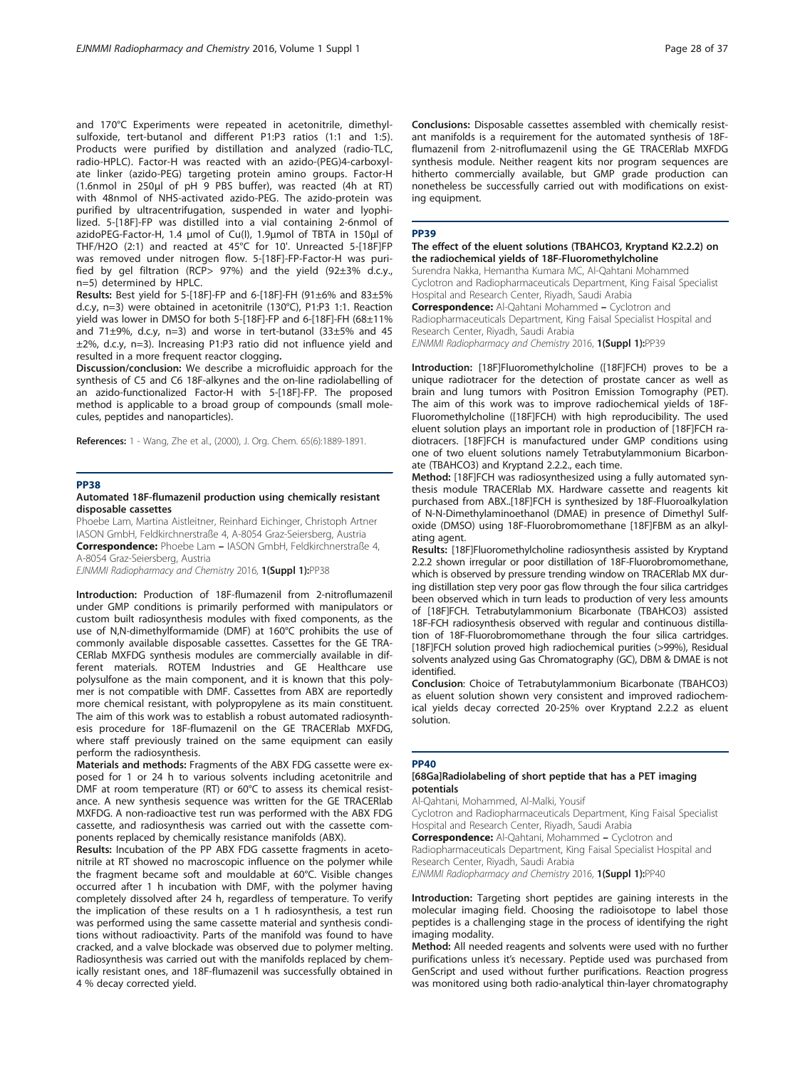and 170°C Experiments were repeated in acetonitrile, dimethylsulfoxide, tert-butanol and different P1:P3 ratios (1:1 and 1:5). Products were purified by distillation and analyzed (radio-TLC, radio-HPLC). Factor-H was reacted with an azido-(PEG)4-carboxylate linker (azido-PEG) targeting protein amino groups. Factor-H (1.6nmol in 250μl of pH 9 PBS buffer), was reacted (4h at RT) with 48nmol of NHS-activated azido-PEG. The azido-protein was purified by ultracentrifugation, suspended in water and lyophilized. 5-[18F]-FP was distilled into a vial containing 2-6nmol of azidoPEG-Factor-H, 1.4 μmol of Cu(I), 1.9μmol of TBTA in 150μl of THF/H2O (2:1) and reacted at 45°C for 10'. Unreacted 5-[18F]FP was removed under nitrogen flow. 5-[18F]-FP-Factor-H was purified by gel filtration (RCP> 97%) and the yield (92 $\pm$ 3% d.c.y., n=5) determined by HPLC.

Results: Best yield for 5-[18F]-FP and 6-[18F]-FH (91±6% and 83±5% d.c.y, n=3) were obtained in acetonitrile (130°C), P1:P3 1:1. Reaction yield was lower in DMSO for both 5-[18F]-FP and 6-[18F]-FH (68±11% and 71 $\pm$ 9%, d.c.y, n=3) and worse in tert-butanol (33 $\pm$ 5% and 45 ±2%, d.c.y, n=3). Increasing P1:P3 ratio did not influence yield and resulted in a more frequent reactor clogging.

Discussion/conclusion: We describe a microfluidic approach for the synthesis of C5 and C6 18F-alkynes and the on-line radiolabelling of an azido-functionalized Factor-H with 5-[18F]-FP. The proposed method is applicable to a broad group of compounds (small molecules, peptides and nanoparticles).

References: 1 - Wang, Zhe et al., (2000), J. Org. Chem. 65(6):1889-1891.

#### **PP38**

#### Automated 18F-flumazenil production using chemically resistant disposable cassettes

Phoebe Lam, Martina Aistleitner, Reinhard Eichinger, Christoph Artner IASON GmbH, Feldkirchnerstraße 4, A-8054 Graz-Seiersberg, Austria

Correspondence: Phoebe Lam - IASON GmbH, Feldkirchnerstraße 4, A-8054 Graz-Seiersberg, Austria

EJNMMI Radiopharmacy and Chemistry 2016, 1(Suppl 1):PP38

Introduction: Production of 18F-flumazenil from 2-nitroflumazenil under GMP conditions is primarily performed with manipulators or custom built radiosynthesis modules with fixed components, as the use of N,N-dimethylformamide (DMF) at 160°C prohibits the use of commonly available disposable cassettes. Cassettes for the GE TRA-CERlab MXFDG synthesis modules are commercially available in different materials. ROTEM Industries and GE Healthcare use polysulfone as the main component, and it is known that this polymer is not compatible with DMF. Cassettes from ABX are reportedly more chemical resistant, with polypropylene as its main constituent. The aim of this work was to establish a robust automated radiosynthesis procedure for 18F-flumazenil on the GE TRACERlab MXFDG, where staff previously trained on the same equipment can easily perform the radiosynthesis.

Materials and methods: Fragments of the ABX FDG cassette were exposed for 1 or 24 h to various solvents including acetonitrile and DMF at room temperature (RT) or 60°C to assess its chemical resistance. A new synthesis sequence was written for the GE TRACERlab MXFDG. A non-radioactive test run was performed with the ABX FDG cassette, and radiosynthesis was carried out with the cassette components replaced by chemically resistance manifolds (ABX).

Results: Incubation of the PP ABX FDG cassette fragments in acetonitrile at RT showed no macroscopic influence on the polymer while the fragment became soft and mouldable at 60°C. Visible changes occurred after 1 h incubation with DMF, with the polymer having completely dissolved after 24 h, regardless of temperature. To verify the implication of these results on a 1 h radiosynthesis, a test run was performed using the same cassette material and synthesis conditions without radioactivity. Parts of the manifold was found to have cracked, and a valve blockade was observed due to polymer melting. Radiosynthesis was carried out with the manifolds replaced by chemically resistant ones, and 18F-flumazenil was successfully obtained in 4 % decay corrected yield.

Conclusions: Disposable cassettes assembled with chemically resistant manifolds is a requirement for the automated synthesis of 18Fflumazenil from 2-nitroflumazenil using the GE TRACERlab MXFDG synthesis module. Neither reagent kits nor program sequences are hitherto commercially available, but GMP grade production can nonetheless be successfully carried out with modifications on existing equipment.

#### PP39

#### The effect of the eluent solutions (TBAHCO3, Kryptand K2.2.2) on the radiochemical yields of 18F-Fluoromethylcholine

Surendra Nakka, Hemantha Kumara MC, Al-Qahtani Mohammed Cyclotron and Radiopharmaceuticals Department, King Faisal Specialist Hospital and Research Center, Riyadh, Saudi Arabia Correspondence: Al-Qahtani Mohammed – Cyclotron and

Radiopharmaceuticals Department, King Faisal Specialist Hospital and Research Center, Riyadh, Saudi Arabia

EJNMMI Radiopharmacy and Chemistry 2016, 1(Suppl 1):PP39

Introduction: [18F]Fluoromethylcholine ([18F]FCH) proves to be a unique radiotracer for the detection of prostate cancer as well as brain and lung tumors with Positron Emission Tomography (PET). The aim of this work was to improve radiochemical yields of 18F-Fluoromethylcholine ([18F]FCH) with high reproducibility. The used eluent solution plays an important role in production of [18F]FCH radiotracers. [18F]FCH is manufactured under GMP conditions using one of two eluent solutions namely Tetrabutylammonium Bicarbonate (TBAHCO3) and Kryptand 2.2.2., each time.

Method: [18F]FCH was radiosynthesized using a fully automated synthesis module TRACERlab MX. Hardware cassette and reagents kit purchased from ABX..[18F]FCH is synthesized by 18F-Fluoroalkylation of N-N-Dimethylaminoethanol (DMAE) in presence of Dimethyl Sulfoxide (DMSO) using 18F-Fluorobromomethane [18F]FBM as an alkylating agent.

Results: [18F]Fluoromethylcholine radiosynthesis assisted by Kryptand 2.2.2 shown irregular or poor distillation of 18F-Fluorobromomethane, which is observed by pressure trending window on TRACERlab MX during distillation step very poor gas flow through the four silica cartridges been observed which in turn leads to production of very less amounts of [18F]FCH. Tetrabutylammonium Bicarbonate (TBAHCO3) assisted 18F-FCH radiosynthesis observed with regular and continuous distillation of 18F-Fluorobromomethane through the four silica cartridges. [18F]FCH solution proved high radiochemical purities (>99%), Residual solvents analyzed using Gas Chromatography (GC), DBM & DMAE is not identified.

Conclusion: Choice of Tetrabutylammonium Bicarbonate (TBAHCO3) as eluent solution shown very consistent and improved radiochemical yields decay corrected 20-25% over Kryptand 2.2.2 as eluent solution.

#### PP40

#### [68Ga]Radiolabeling of short peptide that has a PET imaging potentials

Al-Qahtani, Mohammed, Al-Malki, Yousif

Cyclotron and Radiopharmaceuticals Department, King Faisal Specialist Hospital and Research Center, Riyadh, Saudi Arabia

Correspondence: Al-Qahtani, Mohammed – Cyclotron and

Radiopharmaceuticals Department, King Faisal Specialist Hospital and Research Center, Riyadh, Saudi Arabia

EJNMMI Radiopharmacy and Chemistry 2016, 1(Suppl 1):PP40

Introduction: Targeting short peptides are gaining interests in the molecular imaging field. Choosing the radioisotope to label those peptides is a challenging stage in the process of identifying the right imaging modality.

Method: All needed reagents and solvents were used with no further purifications unless it's necessary. Peptide used was purchased from GenScript and used without further purifications. Reaction progress was monitored using both radio-analytical thin-layer chromatography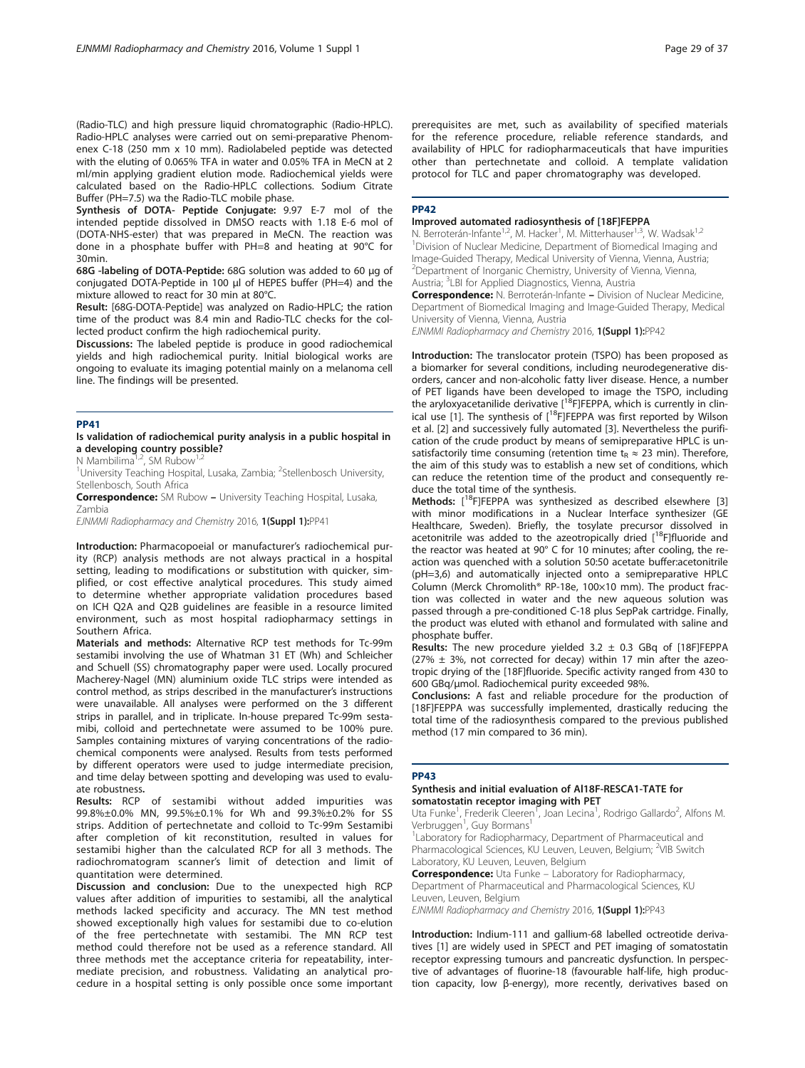(Radio-TLC) and high pressure liquid chromatographic (Radio-HPLC). Radio-HPLC analyses were carried out on semi-preparative Phenomenex C-18 (250 mm x 10 mm). Radiolabeled peptide was detected with the eluting of 0.065% TFA in water and 0.05% TFA in MeCN at 2 ml/min applying gradient elution mode. Radiochemical yields were calculated based on the Radio-HPLC collections. Sodium Citrate Buffer (PH=7.5) wa the Radio-TLC mobile phase.

Synthesis of DOTA- Peptide Conjugate: 9.97 E-7 mol of the intended peptide dissolved in DMSO reacts with 1.18 E-6 mol of (DOTA-NHS-ester) that was prepared in MeCN. The reaction was done in a phosphate buffer with PH=8 and heating at 90°C for 30min.

68G -labeling of DOTA-Peptide: 68G solution was added to 60 μg of conjugated DOTA-Peptide in 100 μl of HEPES buffer (PH=4) and the mixture allowed to react for 30 min at 80°C.

Result: [68G-DOTA-Peptide] was analyzed on Radio-HPLC; the ration time of the product was 8.4 min and Radio-TLC checks for the collected product confirm the high radiochemical purity.

Discussions: The labeled peptide is produce in good radiochemical yields and high radiochemical purity. Initial biological works are ongoing to evaluate its imaging potential mainly on a melanoma cell line. The findings will be presented.

### PP41

# Is validation of radiochemical purity analysis in a public hospital in **a developing country possible?**<br>N Mambilima<sup>1,2</sup>, SM Rubow<sup>1,2</sup>

<sup>1</sup>University Teaching Hospital, Lusaka, Zambia; <sup>2</sup>Stellenbosch University, Stellenbosch, South Africa

**Correspondence:** SM Rubow - University Teaching Hospital, Lusaka, Zambia

EJNMMI Radiopharmacy and Chemistry 2016, 1(Suppl 1):PP41

Introduction: Pharmacopoeial or manufacturer's radiochemical purity (RCP) analysis methods are not always practical in a hospital setting, leading to modifications or substitution with quicker, simplified, or cost effective analytical procedures. This study aimed to determine whether appropriate validation procedures based on ICH Q2A and Q2B guidelines are feasible in a resource limited environment, such as most hospital radiopharmacy settings in Southern Africa.

Materials and methods: Alternative RCP test methods for Tc-99m sestamibi involving the use of Whatman 31 ET (Wh) and Schleicher and Schuell (SS) chromatography paper were used. Locally procured Macherey-Nagel (MN) aluminium oxide TLC strips were intended as control method, as strips described in the manufacturer's instructions were unavailable. All analyses were performed on the 3 different strips in parallel, and in triplicate. In-house prepared Tc-99m sestamibi, colloid and pertechnetate were assumed to be 100% pure. Samples containing mixtures of varying concentrations of the radiochemical components were analysed. Results from tests performed by different operators were used to judge intermediate precision, and time delay between spotting and developing was used to evaluate robustness.

Results: RCP of sestamibi without added impurities was 99.8%±0.0% MN, 99.5%±0.1% for Wh and 99.3%±0.2% for SS strips. Addition of pertechnetate and colloid to Tc-99m Sestamibi after completion of kit reconstitution, resulted in values for sestamibi higher than the calculated RCP for all 3 methods. The radiochromatogram scanner's limit of detection and limit of quantitation were determined.

Discussion and conclusion: Due to the unexpected high RCP values after addition of impurities to sestamibi, all the analytical methods lacked specificity and accuracy. The MN test method showed exceptionally high values for sestamibi due to co-elution of the free pertechnetate with sestamibi. The MN RCP test method could therefore not be used as a reference standard. All three methods met the acceptance criteria for repeatability, intermediate precision, and robustness. Validating an analytical procedure in a hospital setting is only possible once some important

prerequisites are met, such as availability of specified materials for the reference procedure, reliable reference standards, and availability of HPLC for radiopharmaceuticals that have impurities other than pertechnetate and colloid. A template validation protocol for TLC and paper chromatography was developed.

#### PP42

#### Improved automated radiosynthesis of [18F]FEPPA

N. Berroterán-Infante<sup>1,2</sup>, M. Hacker<sup>1</sup>, M. Mitterhauser<sup>1,3</sup>, W. Wadsak<sup>1,2</sup> <sup>1</sup> Division of Nuclear Medicine, Department of Biomedical Imaging and Image-Guided Therapy, Medical University of Vienna, Vienna, Austria; 2 Department of Inorganic Chemistry, University of Vienna, Vienna, Austria; <sup>3</sup> LBI for Applied Diagnostics, Vienna, Austria

Correspondence: N. Berroterán-Infante - Division of Nuclear Medicine, Department of Biomedical Imaging and Image-Guided Therapy, Medical University of Vienna, Vienna, Austria

EJNMMI Radiopharmacy and Chemistry 2016, 1(Suppl 1):PP42

Introduction: The translocator protein (TSPO) has been proposed as a biomarker for several conditions, including neurodegenerative disorders, cancer and non-alcoholic fatty liver disease. Hence, a number of PET ligands have been developed to image the TSPO, including<br>the aryloxyacetanilide derivative [<sup>18</sup>F]FEPPA, which is currently in clinical use [1]. The synthesis of  $[18F]$ FEPPA was first reported by Wilson et al. [2] and successively fully automated [3]. Nevertheless the purification of the crude product by means of semipreparative HPLC is unsatisfactorily time consuming (retention time  $t_R \approx 23$  min). Therefore, the aim of this study was to establish a new set of conditions, which can reduce the retention time of the product and consequently reduce the total time of the synthesis.

Methods: [<sup>18</sup>F]FEPPA was synthesized as described elsewhere [3] with minor modifications in a Nuclear Interface synthesizer (GE Healthcare, Sweden). Briefly, the tosylate precursor dissolved in acetonitrile was added to the azeotropically dried [<sup>18</sup>F]fluoride and the reactor was heated at 90° C for 10 minutes; after cooling, the reaction was quenched with a solution 50:50 acetate buffer:acetonitrile (pH=3,6) and automatically injected onto a semipreparative HPLC Column (Merck Chromolith® RP-18e, 100×10 mm). The product fraction was collected in water and the new aqueous solution was passed through a pre-conditioned C-18 plus SepPak cartridge. Finally, the product was eluted with ethanol and formulated with saline and phosphate buffer.

Results: The new procedure yielded  $3.2 \pm 0.3$  GBq of [18F]FEPPA (27%  $\pm$  3%, not corrected for decay) within 17 min after the azeotropic drying of the [18F]fluoride. Specific activity ranged from 430 to 600 GBq/μmol. Radiochemical purity exceeded 98%.

Conclusions: A fast and reliable procedure for the production of [18F]FEPPA was successfully implemented, drastically reducing the total time of the radiosynthesis compared to the previous published method (17 min compared to 36 min).

#### PP43

#### Synthesis and initial evaluation of Al18F-RESCA1-TATE for somatostatin receptor imaging with PET

Uta Funke<sup>1</sup>, Frederik Cleeren<sup>1</sup>, Joan Lecina<sup>1</sup>, Rodrigo Gallardo<sup>2</sup>, Alfons M. Verbruggen<sup>1</sup>, Guy Bormans<sup>1</sup>

<sup>1</sup> Laboratory for Radiopharmacy, Department of Pharmaceutical and Pharmacological Sciences, KU Leuven, Leuven, Belgium; <sup>2</sup>VIB Switch Laboratory, KU Leuven, Leuven, Belgium

**Correspondence:** Uta Funke – Laboratory for Radiopharmacy, Department of Pharmaceutical and Pharmacological Sciences, KU Leuven, Leuven, Belgium

EJNMMI Radiopharmacy and Chemistry 2016, 1(Suppl 1):PP43

Introduction: Indium-111 and gallium-68 labelled octreotide derivatives [1] are widely used in SPECT and PET imaging of somatostatin receptor expressing tumours and pancreatic dysfunction. In perspective of advantages of fluorine-18 (favourable half-life, high production capacity, low β-energy), more recently, derivatives based on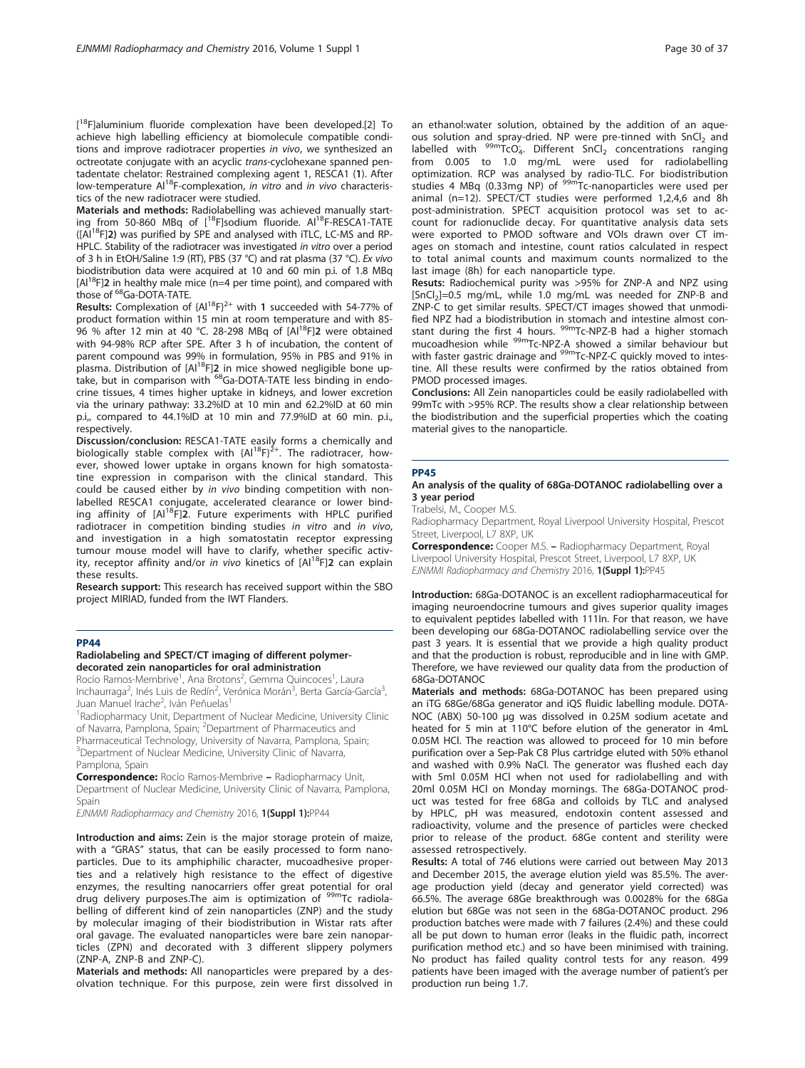[<sup>18</sup>F]aluminium fluoride complexation have been developed.[2] To achieve high labelling efficiency at biomolecule compatible conditions and improve radiotracer properties in vivo, we synthesized an octreotate conjugate with an acyclic trans-cyclohexane spanned pentadentate chelator: Restrained complexing agent 1, RESCA1 (1). After low-temperature Al<sup>18</sup>F-complexation, in vitro and in vivo characteristics of the new radiotracer were studied.

Materials and methods: Radiolabelling was achieved manually starting from 50-860 MBq of [<sup>18</sup>F]sodium fluoride. Al<sup>18</sup>F-RESCA1-TATE ([Al18F]2) was purified by SPE and analysed with iTLC, LC-MS and RP-HPLC. Stability of the radiotracer was investigated in vitro over a period of 3 h in EtOH/Saline 1:9 (RT), PBS (37 °C) and rat plasma (37 °C). Ex vivo biodistribution data were acquired at 10 and 60 min p.i. of 1.8 MBq  $[A<sup>18</sup>F]$ 2 in healthy male mice (n=4 per time point), and compared with those of <sup>68</sup>Ga-DOTA-TATE.

**Results:** Complexation of  ${A1^{18}F}^{2+}$  with 1 succeeded with 54-77% of product formation within 15 min at room temperature and with 85- 96 % after 12 min at 40 °C. 28-298 MBq of  $[A]^{18}F[2]$  were obtained with 94-98% RCP after SPE. After 3 h of incubation, the content of parent compound was 99% in formulation, 95% in PBS and 91% in plasma. Distribution of [Al<sup>18</sup>F]2 in mice showed negligible bone uptake, but in comparison with <sup>68</sup>Ga-DOTA-TATE less binding in endocrine tissues, 4 times higher uptake in kidneys, and lower excretion via the urinary pathway: 33.2%ID at 10 min and 62.2%ID at 60 min p.i,, compared to 44.1%ID at 10 min and 77.9%ID at 60 min. p.i., respectively.

Discussion/conclusion: RESCA1-TATE easily forms a chemically and biologically stable complex with  ${Al}^{18}F_1^{2+}$ . The radiotracer, however, showed lower uptake in organs known for high somatostatine expression in comparison with the clinical standard. This could be caused either by in vivo binding competition with nonlabelled RESCA1 conjugate, accelerated clearance or lower binding affinity of [Al<sup>18</sup>F]2. Future experiments with HPLC purified radiotracer in competition binding studies in vitro and in vivo, and investigation in a high somatostatin receptor expressing tumour mouse model will have to clarify, whether specific activity, receptor affinity and/or in vivo kinetics of  $[A]^{18}F[2]$  can explain these results.

Research support: This research has received support within the SBO project MIRIAD, funded from the IWT Flanders.

#### PP44

#### Radiolabeling and SPECT/CT imaging of different polymerdecorated zein nanoparticles for oral administration

Rocío Ramos-Membrive<sup>1</sup>, Ana Brotons<sup>2</sup>, Gemma Quincoces<sup>1</sup>, Laura Inchaurraga<sup>2</sup>, Inés Luis de Redín<sup>2</sup>, Verónica Morán<sup>3</sup>, Berta García-García<sup>3</sup> , Juan Manuel Irache<sup>2</sup>, Iván Peñuelas<sup>1</sup>

<sup>1</sup> Radiopharmacy Unit, Department of Nuclear Medicine, University Clinic of Navarra, Pamplona, Spain; <sup>2</sup>Department of Pharmaceutics and Pharmaceutical Technology, University of Navarra, Pamplona, Spain;

<sup>3</sup>Department of Nuclear Medicine, University Clinic of Navarra, Pamplona, Spain

Correspondence: Rocío Ramos-Membrive – Radiopharmacy Unit, Department of Nuclear Medicine, University Clinic of Navarra, Pamplona, Spain

EJNMMI Radiopharmacy and Chemistry 2016, 1(Suppl 1):PP44

Introduction and aims: Zein is the major storage protein of maize, with a "GRAS" status, that can be easily processed to form nanoparticles. Due to its amphiphilic character, mucoadhesive properties and a relatively high resistance to the effect of digestive enzymes, the resulting nanocarriers offer great potential for oral drug delivery purposes.The aim is optimization of <sup>99m</sup>Tc radiolabelling of different kind of zein nanoparticles (ZNP) and the study by molecular imaging of their biodistribution in Wistar rats after oral gavage. The evaluated nanoparticles were bare zein nanoparticles (ZPN) and decorated with 3 different slippery polymers (ZNP-A, ZNP-B and ZNP-C).

Materials and methods: All nanoparticles were prepared by a desolvation technique. For this purpose, zein were first dissolved in an ethanol:water solution, obtained by the addition of an aqueous solution and spray-dried. NP were pre-tinned with SnCl<sub>2</sub> and<br>labelled with <sup>99m</sup>TcO<sub>4</sub>. Different SnCl<sub>2</sub> concentrations ranging from 0.005 to 1.0 mg/mL were used for radiolabelling optimization. RCP was analysed by radio-TLC. For biodistribution studies 4 MBq (0.33mg NP) of 99mTc-nanoparticles were used per animal (n=12). SPECT/CT studies were performed 1,2,4,6 and 8h post-administration. SPECT acquisition protocol was set to account for radionuclide decay. For quantitative analysis data sets were exported to PMOD software and VOIs drawn over CT images on stomach and intestine, count ratios calculated in respect to total animal counts and maximum counts normalized to the last image (8h) for each nanoparticle type.

Resuts: Radiochemical purity was >95% for ZNP-A and NPZ using  $[SnCl<sub>2</sub>]=0.5$  mg/mL, while 1.0 mg/mL was needed for ZNP-B and ZNP-C to get similar results. SPECT/CT images showed that unmodified NPZ had a biodistribution in stomach and intestine almost constant during the first 4 hours. <sup>99m</sup>Tc-NPZ-B had a higher stomach mucoadhesion while <sup>99m</sup>Tc-NPZ-A showed a similar behaviour but with faster gastric drainage and <sup>99m</sup>Tc-NPZ-C quickly moved to intestine. All these results were confirmed by the ratios obtained from PMOD processed images.

Conclusions: All Zein nanoparticles could be easily radiolabelled with 99mTc with >95% RCP. The results show a clear relationship between the biodistribution and the superficial properties which the coating material gives to the nanoparticle.

#### PP45

#### An analysis of the quality of 68Ga-DOTANOC radiolabelling over a 3 year period

Trabelsi, M., Cooper M.S.

Radiopharmacy Department, Royal Liverpool University Hospital, Prescot Street, Liverpool, L7 8XP, UK

Correspondence: Cooper M.S. - Radiopharmacy Department, Royal Liverpool University Hospital, Prescot Street, Liverpool, L7 8XP, UK EJNMMI Radiopharmacy and Chemistry 2016, 1(Suppl 1):PP45

Introduction: 68Ga-DOTANOC is an excellent radiopharmaceutical for imaging neuroendocrine tumours and gives superior quality images to equivalent peptides labelled with 111In. For that reason, we have been developing our 68Ga-DOTANOC radiolabelling service over the past 3 years. It is essential that we provide a high quality product and that the production is robust, reproducible and in line with GMP. Therefore, we have reviewed our quality data from the production of 68Ga-DOTANOC

Materials and methods: 68Ga-DOTANOC has been prepared using an iTG 68Ge/68Ga generator and iQS fluidic labelling module. DOTA-NOC (ABX) 50-100 μg was dissolved in 0.25M sodium acetate and heated for 5 min at 110°C before elution of the generator in 4mL 0.05M HCl. The reaction was allowed to proceed for 10 min before purification over a Sep-Pak C8 Plus cartridge eluted with 50% ethanol and washed with 0.9% NaCl. The generator was flushed each day with 5ml 0.05M HCl when not used for radiolabelling and with 20ml 0.05M HCl on Monday mornings. The 68Ga-DOTANOC product was tested for free 68Ga and colloids by TLC and analysed by HPLC, pH was measured, endotoxin content assessed and radioactivity, volume and the presence of particles were checked prior to release of the product. 68Ge content and sterility were assessed retrospectively.

Results: A total of 746 elutions were carried out between May 2013 and December 2015, the average elution yield was 85.5%. The average production yield (decay and generator yield corrected) was 66.5%. The average 68Ge breakthrough was 0.0028% for the 68Ga elution but 68Ge was not seen in the 68Ga-DOTANOC product. 296 production batches were made with 7 failures (2.4%) and these could all be put down to human error (leaks in the fluidic path, incorrect purification method etc.) and so have been minimised with training. No product has failed quality control tests for any reason. 499 patients have been imaged with the average number of patient's per production run being 1.7.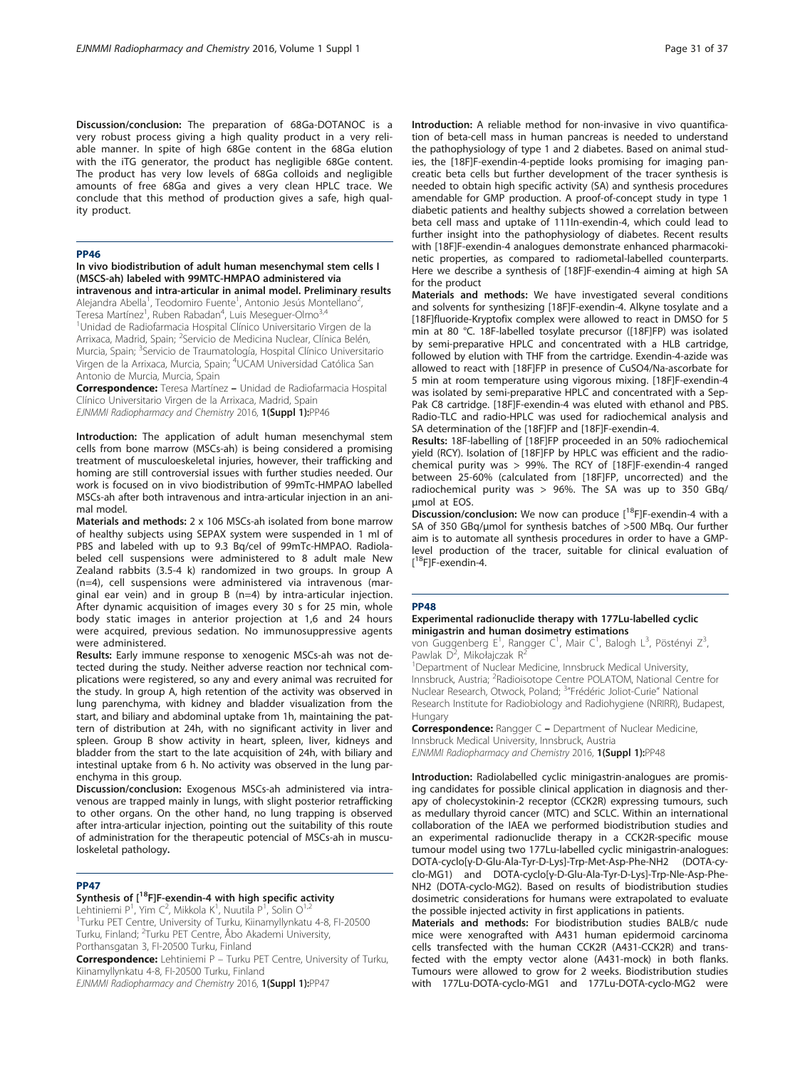Discussion/conclusion: The preparation of 68Ga-DOTANOC is a very robust process giving a high quality product in a very reliable manner. In spite of high 68Ge content in the 68Ga elution with the iTG generator, the product has negligible 68Ge content. The product has very low levels of 68Ga colloids and negligible amounts of free 68Ga and gives a very clean HPLC trace. We conclude that this method of production gives a safe, high quality product.

#### PP46

In vivo biodistribution of adult human mesenchymal stem cells I (MSCS-ah) labeled with 99MTC-HMPAO administered via intravenous and intra-articular in animal model. Preliminary results

Alejandra Abella<sup>1</sup>, Teodomiro Fuente<sup>1</sup>, Antonio Jesús Montellano<sup>2</sup> , Teresa Martínez<sup>1</sup>, Ruben Rabadan<sup>4</sup>, Luis Meseguer-Olmo<sup>3,4</sup>

1 Unidad de Radiofarmacia Hospital Clínico Universitario Virgen de la Arrixaca, Madrid, Spain; <sup>2</sup>Servicio de Medicina Nuclear, Clínica Belén, Murcia, Spain; <sup>3</sup>Servicio de Traumatología, Hospital Clínico Universitario Virgen de la Arrixaca, Murcia, Spain; <sup>4</sup> UCAM Universidad Católica San Antonio de Murcia, Murcia, Spain

Correspondence: Teresa Martínez – Unidad de Radiofarmacia Hospital Clínico Universitario Virgen de la Arrixaca, Madrid, Spain EJNMMI Radiopharmacy and Chemistry 2016, 1(Suppl 1):PP46

Introduction: The application of adult human mesenchymal stem cells from bone marrow (MSCs-ah) is being considered a promising treatment of musculoeskeletal injuries, however, their trafficking and homing are still controversial issues with further studies needed. Our work is focused on in vivo biodistribution of 99mTc-HMPAO labelled MSCs-ah after both intravenous and intra-articular injection in an animal model.

Materials and methods: 2 x 106 MSCs-ah isolated from bone marrow of healthy subjects using SEPAX system were suspended in 1 ml of PBS and labeled with up to 9.3 Bq/cel of 99mTc-HMPAO. Radiolabeled cell suspensions were administered to 8 adult male New Zealand rabbits (3.5-4 k) randomized in two groups. In group A (n=4), cell suspensions were administered via intravenous (marginal ear vein) and in group  $B(n=4)$  by intra-articular injection. After dynamic acquisition of images every 30 s for 25 min, whole body static images in anterior projection at 1,6 and 24 hours were acquired, previous sedation. No immunosuppressive agents were administered.

Results: Early immune response to xenogenic MSCs-ah was not detected during the study. Neither adverse reaction nor technical complications were registered, so any and every animal was recruited for the study. In group A, high retention of the activity was observed in lung parenchyma, with kidney and bladder visualization from the start, and biliary and abdominal uptake from 1h, maintaining the pattern of distribution at 24h, with no significant activity in liver and spleen. Group B show activity in heart, spleen, liver, kidneys and bladder from the start to the late acquisition of 24h, with biliary and intestinal uptake from 6 h. No activity was observed in the lung parenchyma in this group.

Discussion/conclusion: Exogenous MSCs-ah administered via intravenous are trapped mainly in lungs, with slight posterior retrafficking to other organs. On the other hand, no lung trapping is observed after intra-articular injection, pointing out the suitability of this route of administration for the therapeutic potencial of MSCs-ah in musculoskeletal pathology.

#### **PP47**

# Synthesis of  $[18F]F$ -exendin-4 with high specific activity

Lehtiniemi P<sup>1</sup>, Yim C<sup>2</sup>, Mikkola K<sup>1</sup>, Nuutila P<sup>1</sup>, Solin O<sup>1,2</sup>

<sup>1</sup>Turku PET Centre, University of Turku, Kiinamyllynkatu 4-8, FI-20500 Turku, Finland; <sup>2</sup>Turku PET Centre, Åbo Akademi University,

Porthansgatan 3, FI-20500 Turku, Finland

Correspondence: Lehtiniemi P – Turku PET Centre, University of Turku, Kiinamyllynkatu 4-8, FI-20500 Turku, Finland

EJNMMI Radiopharmacy and Chemistry 2016, 1(Suppl 1):PP47

Introduction: A reliable method for non-invasive in vivo quantification of beta-cell mass in human pancreas is needed to understand the pathophysiology of type 1 and 2 diabetes. Based on animal studies, the [18F]F-exendin-4-peptide looks promising for imaging pancreatic beta cells but further development of the tracer synthesis is needed to obtain high specific activity (SA) and synthesis procedures amendable for GMP production. A proof-of-concept study in type 1 diabetic patients and healthy subjects showed a correlation between beta cell mass and uptake of 111In-exendin-4, which could lead to further insight into the pathophysiology of diabetes. Recent results with [18F]F-exendin-4 analogues demonstrate enhanced pharmacokinetic properties, as compared to radiometal-labelled counterparts. Here we describe a synthesis of [18F]F-exendin-4 aiming at high SA for the product

Materials and methods: We have investigated several conditions and solvents for synthesizing [18F]F-exendin-4. Alkyne tosylate and a [18F]fluoride-Kryptofix complex were allowed to react in DMSO for 5 min at 80 °C. 18F-labelled tosylate precursor ([18F]FP) was isolated by semi-preparative HPLC and concentrated with a HLB cartridge, followed by elution with THF from the cartridge. Exendin-4-azide was allowed to react with [18F]FP in presence of CuSO4/Na-ascorbate for 5 min at room temperature using vigorous mixing. [18F]F-exendin-4 was isolated by semi-preparative HPLC and concentrated with a Sep-Pak C8 cartridge. [18F]F-exendin-4 was eluted with ethanol and PBS. Radio-TLC and radio-HPLC was used for radiochemical analysis and SA determination of the [18F]FP and [18F]F-exendin-4.

Results: 18F-labelling of [18F]FP proceeded in an 50% radiochemical yield (RCY). Isolation of [18F]FP by HPLC was efficient and the radiochemical purity was > 99%. The RCY of [18F]F-exendin-4 ranged between 25-60% (calculated from [18F]FP, uncorrected) and the radiochemical purity was > 96%. The SA was up to 350 GBq/ μmol at EOS.

Discussion/conclusion: We now can produce [<sup>18</sup>F]F-exendin-4 with a SA of 350 GBq/μmol for synthesis batches of >500 MBq. Our further aim is to automate all synthesis procedures in order to have a GMPlevel production of the tracer, suitable for clinical evaluation of [ 18F]F-exendin-4.

#### PP48

#### Experimental radionuclide therapy with 177Lu-labelled cyclic minigastrin and human dosimetry estimations

von Guggenberg E<sup>1</sup>, Rangger C<sup>1</sup>, Mair C<sup>1</sup>, Balogh L<sup>3</sup>, Pöstényi Z<sup>3</sup> , Pawlak D<sup>2</sup>, Mikołajczak R<sup>2</sup>

<sup>1</sup>Department of Nuclear Medicine, Innsbruck Medical University Innsbruck, Austria; <sup>2</sup>Radioisotope Centre POLATOM, National Centre for Nuclear Research, Otwock, Poland; <sup>3</sup>"Frédéric Joliot-Curie" National Research Institute for Radiobiology and Radiohygiene (NRIRR), Budapest, Hungary

**Correspondence:** Rangger C - Department of Nuclear Medicine, Innsbruck Medical University, Innsbruck, Austria

EJNMMI Radiopharmacy and Chemistry 2016, 1(Suppl 1):PP48

Introduction: Radiolabelled cyclic minigastrin-analogues are promising candidates for possible clinical application in diagnosis and therapy of cholecystokinin-2 receptor (CCK2R) expressing tumours, such as medullary thyroid cancer (MTC) and SCLC. Within an international collaboration of the IAEA we performed biodistribution studies and an experimental radionuclide therapy in a CCK2R-specific mouse tumour model using two 177Lu-labelled cyclic minigastrin-analogues: DOTA-cyclo[γ-D-Glu-Ala-Tyr-D-Lys]-Trp-Met-Asp-Phe-NH2 (DOTA-cyclo-MG1) and DOTA-cyclo[γ-D-Glu-Ala-Tyr-D-Lys]-Trp-Nle-Asp-Phe-NH2 (DOTA-cyclo-MG2). Based on results of biodistribution studies dosimetric considerations for humans were extrapolated to evaluate the possible injected activity in first applications in patients.

Materials and methods: For biodistribution studies BALB/c nude mice were xenografted with A431 human epidermoid carcinoma cells transfected with the human CCK2R (A431-CCK2R) and transfected with the empty vector alone (A431-mock) in both flanks. Tumours were allowed to grow for 2 weeks. Biodistribution studies with 177Lu-DOTA-cyclo-MG1 and 177Lu-DOTA-cyclo-MG2 were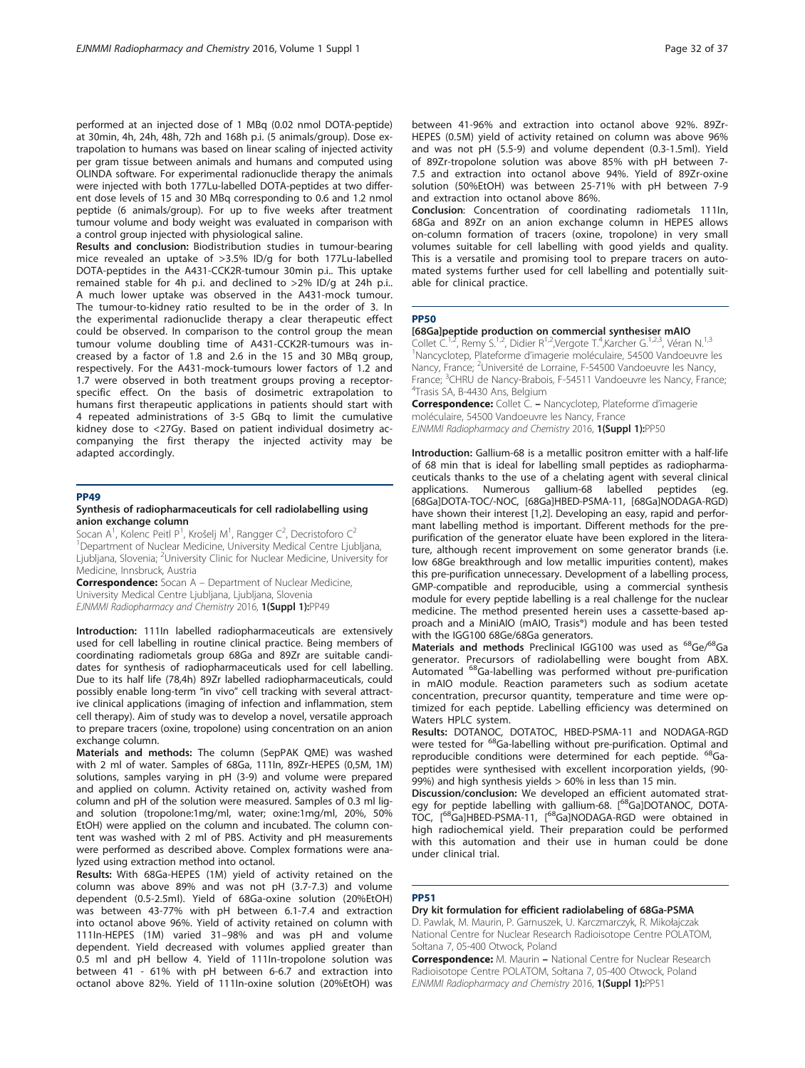performed at an injected dose of 1 MBq (0.02 nmol DOTA-peptide) at 30min, 4h, 24h, 48h, 72h and 168h p.i. (5 animals/group). Dose extrapolation to humans was based on linear scaling of injected activity per gram tissue between animals and humans and computed using OLINDA software. For experimental radionuclide therapy the animals were injected with both 177Lu-labelled DOTA-peptides at two different dose levels of 15 and 30 MBq corresponding to 0.6 and 1.2 nmol peptide (6 animals/group). For up to five weeks after treatment tumour volume and body weight was evaluated in comparison with a control group injected with physiological saline.

Results and conclusion: Biodistribution studies in tumour-bearing mice revealed an uptake of >3.5% ID/g for both 177Lu-labelled DOTA-peptides in the A431-CCK2R-tumour 30min p.i.. This uptake remained stable for 4h p.i. and declined to >2% ID/g at 24h p.i.. A much lower uptake was observed in the A431-mock tumour. The tumour-to-kidney ratio resulted to be in the order of 3. In the experimental radionuclide therapy a clear therapeutic effect could be observed. In comparison to the control group the mean tumour volume doubling time of A431-CCK2R-tumours was increased by a factor of 1.8 and 2.6 in the 15 and 30 MBq group, respectively. For the A431-mock-tumours lower factors of 1.2 and 1.7 were observed in both treatment groups proving a receptorspecific effect. On the basis of dosimetric extrapolation to humans first therapeutic applications in patients should start with 4 repeated administrations of 3-5 GBq to limit the cumulative kidney dose to <27Gy. Based on patient individual dosimetry accompanying the first therapy the injected activity may be adapted accordingly.

#### PP49

#### Synthesis of radiopharmaceuticals for cell radiolabelling using anion exchange column

Socan A<sup>1</sup>, Kolenc Peitl P<sup>1</sup>, Krošelj M<sup>1</sup>, Rangger C<sup>2</sup>, Decristoforo C<sup>2</sup> 1 Department of Nuclear Medicine, University Medical Centre Ljubljana, Ljubljana, Slovenia; <sup>2</sup>University Clinic for Nuclear Medicine, University for Medicine, Innsbruck, Austria

**Correspondence:** Socan A – Department of Nuclear Medicine, University Medical Centre Ljubljana, Ljubljana, Slovenia EJNMMI Radiopharmacy and Chemistry 2016, 1(Suppl 1):PP49

Introduction: 111In labelled radiopharmaceuticals are extensively used for cell labelling in routine clinical practice. Being members of coordinating radiometals group 68Ga and 89Zr are suitable candidates for synthesis of radiopharmaceuticals used for cell labelling. Due to its half life (78,4h) 89Zr labelled radiopharmaceuticals, could possibly enable long-term "in vivo" cell tracking with several attractive clinical applications (imaging of infection and inflammation, stem cell therapy). Aim of study was to develop a novel, versatile approach to prepare tracers (oxine, tropolone) using concentration on an anion exchange column.

Materials and methods: The column (SepPAK QME) was washed with 2 ml of water. Samples of 68Ga, 111In, 89Zr-HEPES (0,5M, 1M) solutions, samples varying in pH (3-9) and volume were prepared and applied on column. Activity retained on, activity washed from column and pH of the solution were measured. Samples of 0.3 ml ligand solution (tropolone:1mg/ml, water; oxine:1mg/ml, 20%, 50% EtOH) were applied on the column and incubated. The column content was washed with 2 ml of PBS. Activity and pH measurements were performed as described above. Complex formations were analyzed using extraction method into octanol.

Results: With 68Ga-HEPES (1M) yield of activity retained on the column was above 89% and was not pH (3.7-7.3) and volume dependent (0.5-2.5ml). Yield of 68Ga-oxine solution (20%EtOH) was between 43-77% with pH between 6.1-7.4 and extraction into octanol above 96%. Yield of activity retained on column with 111In-HEPES (1M) varied 31–98% and was pH and volume dependent. Yield decreased with volumes applied greater than 0.5 ml and pH bellow 4. Yield of 111In-tropolone solution was between 41 - 61% with pH between 6-6.7 and extraction into octanol above 82%. Yield of 111In-oxine solution (20%EtOH) was between 41-96% and extraction into octanol above 92%. 89Zr-HEPES (0.5M) yield of activity retained on column was above 96% and was not pH (5.5-9) and volume dependent (0.3-1.5ml). Yield of 89Zr-tropolone solution was above 85% with pH between 7- 7.5 and extraction into octanol above 94%. Yield of 89Zr-oxine solution (50%EtOH) was between 25-71% with pH between 7-9 and extraction into octanol above 86%.

Conclusion: Concentration of coordinating radiometals 111In, 68Ga and 89Zr on an anion exchange column in HEPES allows on-column formation of tracers (oxine, tropolone) in very small volumes suitable for cell labelling with good yields and quality. This is a versatile and promising tool to prepare tracers on automated systems further used for cell labelling and potentially suitable for clinical practice.

### PP50

#### [68Ga]peptide production on commercial synthesiser mAIO

Collet C.<sup>1,2</sup>, Remy S.<sup>1,2</sup>, Didier R<sup>1,2</sup>, Vergote T.<sup>4</sup>, Karcher G.<sup>1,2,3</sup>, Véran N.<sup>1,3</sup> 1 Nancyclotep, Plateforme d'imagerie moléculaire, 54500 Vandoeuvre les Nancy, France; <sup>2</sup>Université de Lorraine, F-54500 Vandoeuvre les Nancy, France; <sup>3</sup>CHRU de Nancy-Brabois, F-54511 Vandoeuvre les Nancy, France;<br><sup>4</sup>Tracis SA, B 4420 Aps, Bolgium <sup>4</sup>Trasis SA, B-4430 Ans, Belgium

Correspondence: Collet C. - Nancyclotep, Plateforme d'imagerie moléculaire, 54500 Vandoeuvre les Nancy, France EJNMMI Radiopharmacy and Chemistry 2016, 1(Suppl 1):PP50

Introduction: Gallium-68 is a metallic positron emitter with a half-life of 68 min that is ideal for labelling small peptides as radiopharmaceuticals thanks to the use of a chelating agent with several clinical applications. Numerous gallium-68 labelled peptides (eg. [68Ga]DOTA-TOC/-NOC, [68Ga]HBED-PSMA-11, [68Ga]NODAGA-RGD) have shown their interest [1,2]. Developing an easy, rapid and performant labelling method is important. Different methods for the prepurification of the generator eluate have been explored in the literature, although recent improvement on some generator brands (i.e. low 68Ge breakthrough and low metallic impurities content), makes this pre-purification unnecessary. Development of a labelling process, GMP-compatible and reproducible, using a commercial synthesis module for every peptide labelling is a real challenge for the nuclear medicine. The method presented herein uses a cassette-based approach and a MiniAIO (mAIO, Trasis®) module and has been tested with the IGG100 68Ge/68Ga generators.

Materials and methods Preclinical IGG100 was used as <sup>68</sup>Ge/<sup>68</sup>Ga generator. Precursors of radiolabelling were bought from ABX. Automated 68Ga-labelling was performed without pre-purification in mAIO module. Reaction parameters such as sodium acetate concentration, precursor quantity, temperature and time were optimized for each peptide. Labelling efficiency was determined on Waters HPLC system.

Results: DOTANOC, DOTATOC, HBED-PSMA-11 and NODAGA-RGD were tested for <sup>68</sup>Ga-labelling without pre-purification. Optimal and reproducible conditions were determined for each peptide. <sup>68</sup>Gapeptides were synthesised with excellent incorporation yields, (90- 99%) and high synthesis yields > 60% in less than 15 min.

Discussion/conclusion: We developed an efficient automated strategy for peptide labelling with gallium-68. [<sup>68</sup>Ga]DOTANOC, DOTA-TOC, [68Ga]HBED-PSMA-11, [68Ga]NODAGA-RGD were obtained in high radiochemical yield. Their preparation could be performed with this automation and their use in human could be done under clinical trial.

### PP51

### Dry kit formulation for efficient radiolabeling of 68Ga-PSMA

D. Pawlak, M. Maurin, P. Garnuszek, U. Karczmarczyk, R. Mikołajczak National Centre for Nuclear Research Radioisotope Centre POLATOM, Sołtana 7, 05-400 Otwock, Poland

**Correspondence:** M. Maurin - National Centre for Nuclear Research Radioisotope Centre POLATOM, Sołtana 7, 05-400 Otwock, Poland EJNMMI Radiopharmacy and Chemistry 2016, 1(Suppl 1):PP51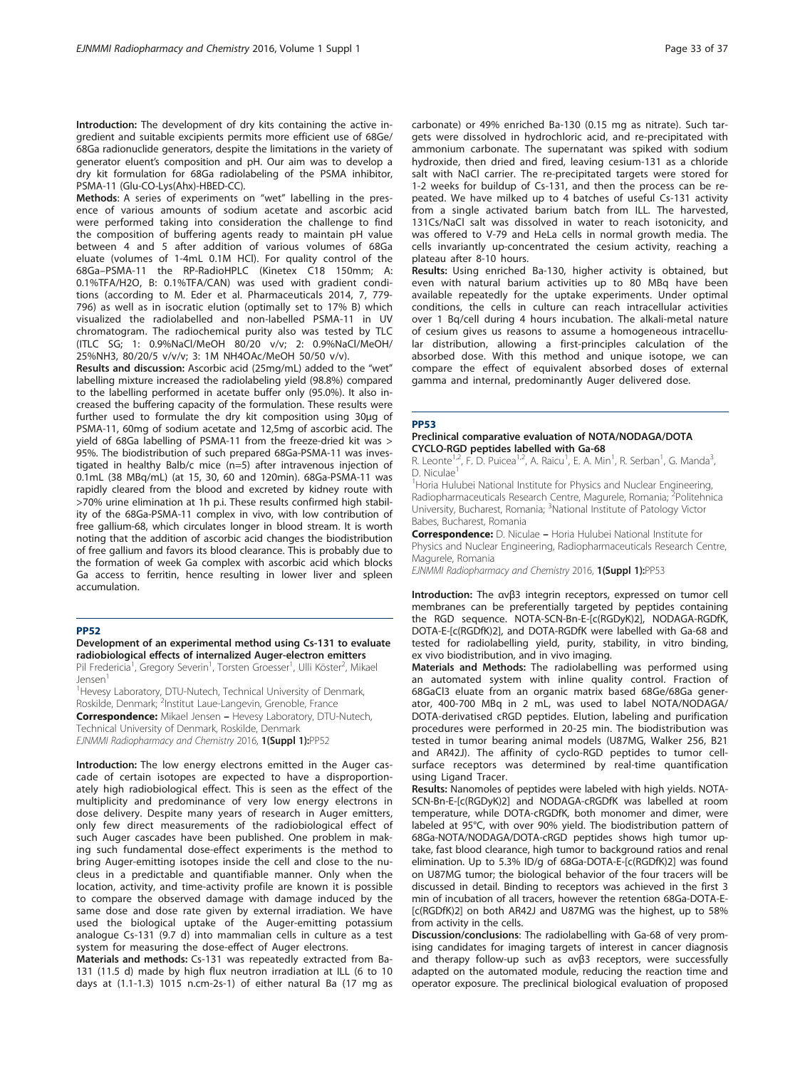Introduction: The development of dry kits containing the active ingredient and suitable excipients permits more efficient use of 68Ge/ 68Ga radionuclide generators, despite the limitations in the variety of generator eluent's composition and pH. Our aim was to develop a dry kit formulation for 68Ga radiolabeling of the PSMA inhibitor, PSMA-11 (Glu-CO-Lys(Ahx)-HBED-CC).

Methods: A series of experiments on "wet" labelling in the presence of various amounts of sodium acetate and ascorbic acid were performed taking into consideration the challenge to find the composition of buffering agents ready to maintain pH value between 4 and 5 after addition of various volumes of 68Ga eluate (volumes of 1-4mL 0.1M HCl). For quality control of the 68Ga–PSMA-11 the RP-RadioHPLC (Kinetex C18 150mm; A: 0.1%TFA/H2O, B: 0.1%TFA/CAN) was used with gradient conditions (according to M. Eder et al. Pharmaceuticals 2014, 7, 779- 796) as well as in isocratic elution (optimally set to 17% B) which visualized the radiolabelled and non-labelled PSMA-11 in UV chromatogram. The radiochemical purity also was tested by TLC (ITLC SG; 1: 0.9%NaCl/MeOH 80/20 v/v; 2: 0.9%NaCl/MeOH/ 25%NH3, 80/20/5 v/v/v; 3: 1M NH4OAc/MeOH 50/50 v/v).

Results and discussion: Ascorbic acid (25mg/mL) added to the "wet" labelling mixture increased the radiolabeling yield (98.8%) compared to the labelling performed in acetate buffer only (95.0%). It also increased the buffering capacity of the formulation. These results were further used to formulate the dry kit composition using 30μg of PSMA-11, 60mg of sodium acetate and 12,5mg of ascorbic acid. The yield of 68Ga labelling of PSMA-11 from the freeze-dried kit was > 95%. The biodistribution of such prepared 68Ga-PSMA-11 was investigated in healthy Balb/c mice (n=5) after intravenous injection of 0.1mL (38 MBq/mL) (at 15, 30, 60 and 120min). 68Ga-PSMA-11 was rapidly cleared from the blood and excreted by kidney route with >70% urine elimination at 1h p.i. These results confirmed high stability of the 68Ga-PSMA-11 complex in vivo, with low contribution of free gallium-68, which circulates longer in blood stream. It is worth noting that the addition of ascorbic acid changes the biodistribution of free gallium and favors its blood clearance. This is probably due to the formation of week Ga complex with ascorbic acid which blocks Ga access to ferritin, hence resulting in lower liver and spleen accumulation.

#### PP52

Development of an experimental method using Cs-131 to evaluate radiobiological effects of internalized Auger-electron emitters

Pil Fredericia<sup>1</sup>, Gregory Severin<sup>1</sup>, Torsten Groesser<sup>1</sup>, Ulli Köster<sup>2</sup>, Mikael Jensen1

<sup>1</sup>Hevesy Laboratory, DTU-Nutech, Technical University of Denmark, Roskilde, Denmark; <sup>2</sup>Institut Laue-Langevin, Grenoble, France **Correspondence:** Mikael Jensen - Hevesy Laboratory, DTU-Nutech, Technical University of Denmark, Roskilde, Denmark EJNMMI Radiopharmacy and Chemistry 2016, 1(Suppl 1):PP52

Introduction: The low energy electrons emitted in the Auger cascade of certain isotopes are expected to have a disproportionately high radiobiological effect. This is seen as the effect of the multiplicity and predominance of very low energy electrons in dose delivery. Despite many years of research in Auger emitters, only few direct measurements of the radiobiological effect of such Auger cascades have been published. One problem in making such fundamental dose-effect experiments is the method to bring Auger-emitting isotopes inside the cell and close to the nucleus in a predictable and quantifiable manner. Only when the location, activity, and time-activity profile are known it is possible to compare the observed damage with damage induced by the same dose and dose rate given by external irradiation. We have used the biological uptake of the Auger-emitting potassium analogue Cs-131 (9.7 d) into mammalian cells in culture as a test system for measuring the dose-effect of Auger electrons.

Materials and methods: Cs-131 was repeatedly extracted from Ba-131 (11.5 d) made by high flux neutron irradiation at ILL (6 to 10 days at (1.1-1.3) 1015 n.cm-2s-1) of either natural Ba (17 mg as carbonate) or 49% enriched Ba-130 (0.15 mg as nitrate). Such targets were dissolved in hydrochloric acid, and re-precipitated with ammonium carbonate. The supernatant was spiked with sodium hydroxide, then dried and fired, leaving cesium-131 as a chloride salt with NaCl carrier. The re-precipitated targets were stored for 1-2 weeks for buildup of Cs-131, and then the process can be repeated. We have milked up to 4 batches of useful Cs-131 activity from a single activated barium batch from ILL. The harvested, 131Cs/NaCl salt was dissolved in water to reach isotonicity, and was offered to V-79 and HeLa cells in normal growth media. The cells invariantly up-concentrated the cesium activity, reaching a plateau after 8-10 hours.

Results: Using enriched Ba-130, higher activity is obtained, but even with natural barium activities up to 80 MBq have been available repeatedly for the uptake experiments. Under optimal conditions, the cells in culture can reach intracellular activities over 1 Bq/cell during 4 hours incubation. The alkali-metal nature of cesium gives us reasons to assume a homogeneous intracellular distribution, allowing a first-principles calculation of the absorbed dose. With this method and unique isotope, we can compare the effect of equivalent absorbed doses of external gamma and internal, predominantly Auger delivered dose.

#### PP53

# Preclinical comparative evaluation of NOTA/NODAGA/DOTA

**CYCLO-RGD peptides labelled with Ga-68**<br>R. Leonte<sup>1,2</sup>, F. D. Puicea<sup>1,2</sup>, A. Raicu<sup>1</sup>, E. A. Mir R. Leonte<sup>1,2</sup>, F. D. Puicea<sup>1,2</sup>, A. Raicu<sup>1</sup>, E. A. Min<sup>1</sup>, R. Serban<sup>1</sup>, G. Manda<sup>3</sup> , D. Niculae<sup>1</sup>

<sup>1</sup>Horia Hulubei National Institute for Physics and Nuclear Engineering Radiopharmaceuticals Research Centre, Magurele, Romania; <sup>2</sup>Politehnica University, Bucharest, Romania; <sup>3</sup>National Institute of Patology Victor Babes, Bucharest, Romania

Correspondence: D. Niculae – Horia Hulubei National Institute for Physics and Nuclear Engineering, Radiopharmaceuticals Research Centre, Magurele, Romania

EJNMMI Radiopharmacy and Chemistry 2016, 1(Suppl 1):PP53

Introduction: The αvβ3 integrin receptors, expressed on tumor cell membranes can be preferentially targeted by peptides containing the RGD sequence. NOTA-SCN-Bn-E-[c(RGDyK)2], NODAGA-RGDfK, DOTA-E-[c(RGDfK)2], and DOTA-RGDfK were labelled with Ga-68 and tested for radiolabelling yield, purity, stability, in vitro binding, ex vivo biodistribution, and in vivo imaging.

Materials and Methods: The radiolabelling was performed using an automated system with inline quality control. Fraction of 68GaCl3 eluate from an organic matrix based 68Ge/68Ga generator, 400-700 MBq in 2 mL, was used to label NOTA/NODAGA/ DOTA-derivatised cRGD peptides. Elution, labeling and purification procedures were performed in 20-25 min. The biodistribution was tested in tumor bearing animal models (U87MG, Walker 256, B21 and AR42J). The affinity of cyclo-RGD peptides to tumor cellsurface receptors was determined by real-time quantification using Ligand Tracer.

Results: Nanomoles of peptides were labeled with high yields. NOTA-SCN-Bn-E-[c(RGDyK)2] and NODAGA-cRGDfK was labelled at room temperature, while DOTA-cRGDfK, both monomer and dimer, were labeled at 95°C, with over 90% yield. The biodistribution pattern of 68Ga-NOTA/NODAGA/DOTA-cRGD peptides shows high tumor uptake, fast blood clearance, high tumor to background ratios and renal elimination. Up to 5.3% ID/g of 68Ga-DOTA-E-[c(RGDfK)2] was found on U87MG tumor; the biological behavior of the four tracers will be discussed in detail. Binding to receptors was achieved in the first 3 min of incubation of all tracers, however the retention 68Ga-DOTA-E- [c(RGDfK)2] on both AR42J and U87MG was the highest, up to 58% from activity in the cells.

Discussion/conclusions: The radiolabelling with Ga-68 of very promising candidates for imaging targets of interest in cancer diagnosis and therapy follow-up such as αvβ3 receptors, were successfully adapted on the automated module, reducing the reaction time and operator exposure. The preclinical biological evaluation of proposed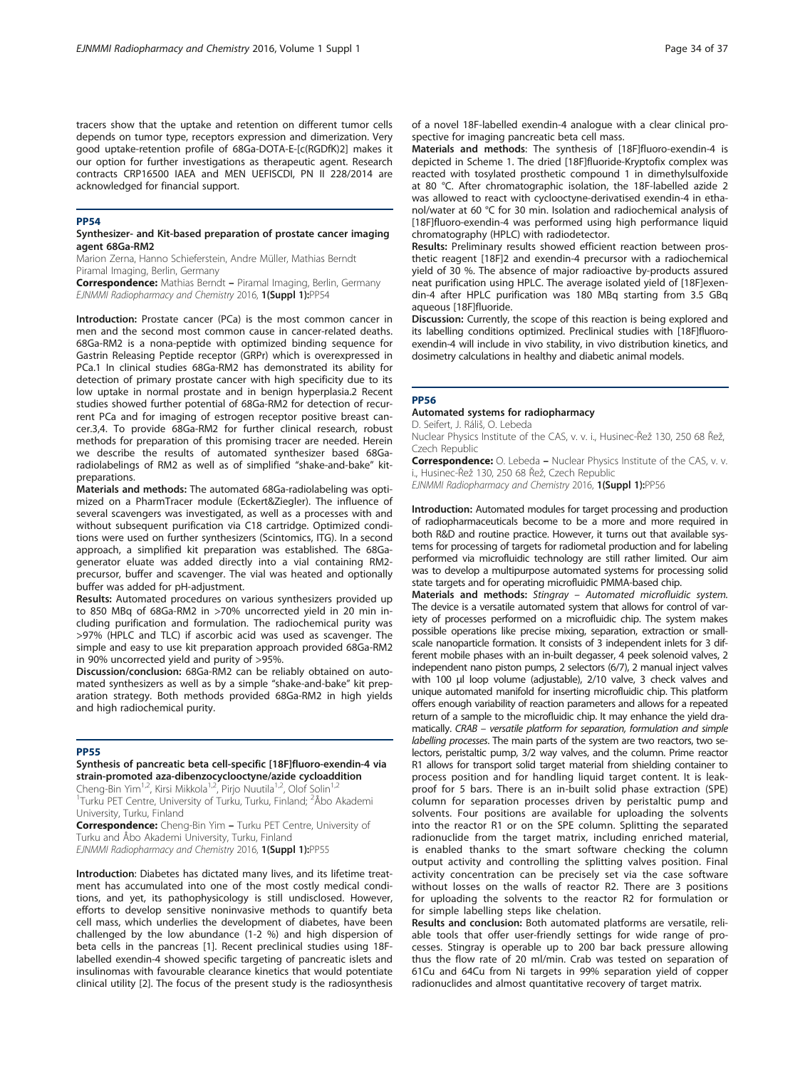tracers show that the uptake and retention on different tumor cells depends on tumor type, receptors expression and dimerization. Very good uptake-retention profile of 68Ga-DOTA-E-[c(RGDfK)2] makes it our option for further investigations as therapeutic agent. Research contracts CRP16500 IAEA and MEN UEFISCDI, PN II 228/2014 are acknowledged for financial support.

#### PP54

#### Synthesizer- and Kit-based preparation of prostate cancer imaging agent 68Ga-RM2

Marion Zerna, Hanno Schieferstein, Andre Müller, Mathias Berndt Piramal Imaging, Berlin, Germany

Correspondence: Mathias Berndt - Piramal Imaging, Berlin, Germany EJNMMI Radiopharmacy and Chemistry 2016, 1(Suppl 1):PP54

Introduction: Prostate cancer (PCa) is the most common cancer in men and the second most common cause in cancer-related deaths. 68Ga-RM2 is a nona-peptide with optimized binding sequence for Gastrin Releasing Peptide receptor (GRPr) which is overexpressed in PCa.1 In clinical studies 68Ga-RM2 has demonstrated its ability for detection of primary prostate cancer with high specificity due to its low uptake in normal prostate and in benign hyperplasia.2 Recent studies showed further potential of 68Ga-RM2 for detection of recurrent PCa and for imaging of estrogen receptor positive breast cancer.3,4. To provide 68Ga-RM2 for further clinical research, robust methods for preparation of this promising tracer are needed. Herein we describe the results of automated synthesizer based 68Garadiolabelings of RM2 as well as of simplified "shake-and-bake" kitpreparations.

Materials and methods: The automated 68Ga-radiolabeling was optimized on a PharmTracer module (Eckert&Ziegler). The influence of several scavengers was investigated, as well as a processes with and without subsequent purification via C18 cartridge. Optimized conditions were used on further synthesizers (Scintomics, ITG). In a second approach, a simplified kit preparation was established. The 68Gagenerator eluate was added directly into a vial containing RM2 precursor, buffer and scavenger. The vial was heated and optionally buffer was added for pH-adjustment.

Results: Automated procedures on various synthesizers provided up to 850 MBq of 68Ga-RM2 in >70% uncorrected yield in 20 min including purification and formulation. The radiochemical purity was >97% (HPLC and TLC) if ascorbic acid was used as scavenger. The simple and easy to use kit preparation approach provided 68Ga-RM2 in 90% uncorrected yield and purity of >95%.

Discussion/conclusion: 68Ga-RM2 can be reliably obtained on automated synthesizers as well as by a simple "shake-and-bake" kit preparation strategy. Both methods provided 68Ga-RM2 in high yields and high radiochemical purity.

#### PP55

Synthesis of pancreatic beta cell-specific [18F]fluoro-exendin-4 via **strain-promoted aza-dibenzocyclooctyne/azide cycloaddition**<br>Cheng-Bin Yim<sup>1,2</sup>, Kirsi Mikkola<sup>1,2</sup>, Pirjo Nuutila<sup>1,2</sup>, Olof Solin<sup>1,2</sup>

<sup>1</sup>Turku PET Centre, University of Turku, Turku, Finland; <sup>2</sup>Åbo Akademi University, Turku, Finland

**Correspondence:** Cheng-Bin Yim - Turku PET Centre, University of Turku and Åbo Akademi University, Turku, Finland EJNMMI Radiopharmacy and Chemistry 2016, 1(Suppl 1):PP55

Introduction: Diabetes has dictated many lives, and its lifetime treatment has accumulated into one of the most costly medical conditions, and yet, its pathophysicology is still undisclosed. However, efforts to develop sensitive noninvasive methods to quantify beta cell mass, which underlies the development of diabetes, have been challenged by the low abundance (1-2 %) and high dispersion of beta cells in the pancreas [1]. Recent preclinical studies using 18Flabelled exendin-4 showed specific targeting of pancreatic islets and insulinomas with favourable clearance kinetics that would potentiate clinical utility [2]. The focus of the present study is the radiosynthesis

of a novel 18F-labelled exendin-4 analogue with a clear clinical prospective for imaging pancreatic beta cell mass.

Materials and methods: The synthesis of [18F]fluoro-exendin-4 is depicted in Scheme 1. The dried [18F]fluoride-Kryptofix complex was reacted with tosylated prosthetic compound 1 in dimethylsulfoxide at 80 °C. After chromatographic isolation, the 18F-labelled azide 2 was allowed to react with cyclooctyne-derivatised exendin-4 in ethanol/water at 60 °C for 30 min. Isolation and radiochemical analysis of [18F]fluoro-exendin-4 was performed using high performance liquid chromatography (HPLC) with radiodetector.

Results: Preliminary results showed efficient reaction between prosthetic reagent [18F]2 and exendin-4 precursor with a radiochemical yield of 30 %. The absence of major radioactive by-products assured neat purification using HPLC. The average isolated yield of [18F]exendin-4 after HPLC purification was 180 MBq starting from 3.5 GBq aqueous [18F]fluoride.

Discussion: Currently, the scope of this reaction is being explored and its labelling conditions optimized. Preclinical studies with [18F]fluoroexendin-4 will include in vivo stability, in vivo distribution kinetics, and dosimetry calculations in healthy and diabetic animal models.

#### PP56

# Automated systems for radiopharmacy

D. Seifert, J. Ráliš, O. Lebeda

Nuclear Physics Institute of the CAS, v. v. i., Husinec-Řež 130, 250 68 Řež, Czech Republic

Correspondence: O. Lebeda - Nuclear Physics Institute of the CAS, v. v. i., Husinec-Řež 130, 250 68 Řež, Czech Republic

EJNMMI Radiopharmacy and Chemistry 2016, 1(Suppl 1):PP56

Introduction: Automated modules for target processing and production of radiopharmaceuticals become to be a more and more required in both R&D and routine practice. However, it turns out that available systems for processing of targets for radiometal production and for labeling performed via microfluidic technology are still rather limited. Our aim was to develop a multipurpose automated systems for processing solid state targets and for operating microfluidic PMMA-based chip.

Materials and methods: Stingray – Automated microfluidic system. The device is a versatile automated system that allows for control of variety of processes performed on a microfluidic chip. The system makes possible operations like precise mixing, separation, extraction or smallscale nanoparticle formation. It consists of 3 independent inlets for 3 different mobile phases with an in-built degasser, 4 peek solenoid valves, 2 independent nano piston pumps, 2 selectors (6/7), 2 manual inject valves with 100 μl loop volume (adjustable), 2/10 valve, 3 check valves and unique automated manifold for inserting microfluidic chip. This platform offers enough variability of reaction parameters and allows for a repeated return of a sample to the microfluidic chip. It may enhance the yield dramatically. CRAB – versatile platform for separation, formulation and simple labelling processes. The main parts of the system are two reactors, two selectors, peristaltic pump, 3/2 way valves, and the column. Prime reactor R1 allows for transport solid target material from shielding container to process position and for handling liquid target content. It is leakproof for 5 bars. There is an in-built solid phase extraction (SPE) column for separation processes driven by peristaltic pump and solvents. Four positions are available for uploading the solvents into the reactor R1 or on the SPE column. Splitting the separated radionuclide from the target matrix, including enriched material, is enabled thanks to the smart software checking the column output activity and controlling the splitting valves position. Final activity concentration can be precisely set via the case software without losses on the walls of reactor R2. There are 3 positions for uploading the solvents to the reactor R2 for formulation or for simple labelling steps like chelation.

Results and conclusion: Both automated platforms are versatile, reliable tools that offer user-friendly settings for wide range of processes. Stingray is operable up to 200 bar back pressure allowing thus the flow rate of 20 ml/min. Crab was tested on separation of 61Cu and 64Cu from Ni targets in 99% separation yield of copper radionuclides and almost quantitative recovery of target matrix.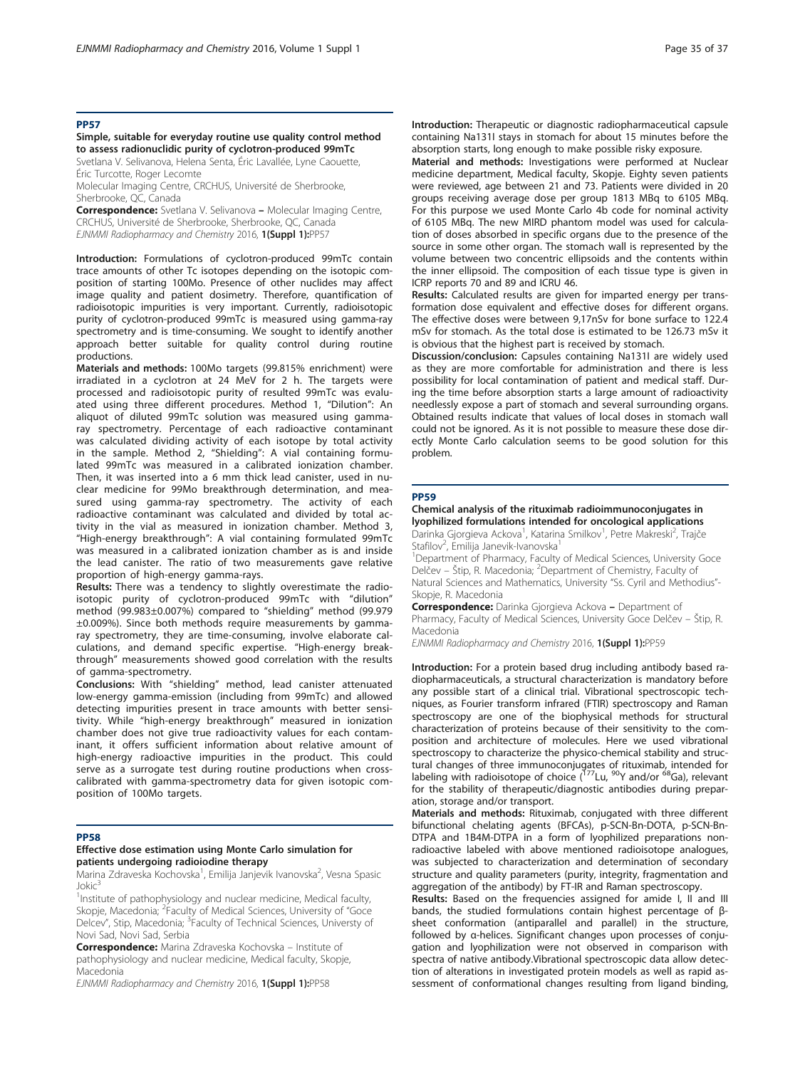### PP57

### Simple, suitable for everyday routine use quality control method to assess radionuclidic purity of cyclotron-produced 99mTc

Svetlana V. Selivanova, Helena Senta, Éric Lavallée, Lyne Caouette, Éric Turcotte, Roger Lecomte

Molecular Imaging Centre, CRCHUS, Université de Sherbrooke, Sherbrooke, QC, Canada

Correspondence: Svetlana V. Selivanova – Molecular Imaging Centre, CRCHUS, Université de Sherbrooke, Sherbrooke, QC, Canada EJNMMI Radiopharmacy and Chemistry 2016, 1(Suppl 1):PP57

Introduction: Formulations of cyclotron-produced 99mTc contain trace amounts of other Tc isotopes depending on the isotopic composition of starting 100Mo. Presence of other nuclides may affect image quality and patient dosimetry. Therefore, quantification of radioisotopic impurities is very important. Currently, radioisotopic purity of cyclotron-produced 99mTc is measured using gamma-ray spectrometry and is time-consuming. We sought to identify another approach better suitable for quality control during routine productions.

Materials and methods: 100Mo targets (99.815% enrichment) were irradiated in a cyclotron at 24 MeV for 2 h. The targets were processed and radioisotopic purity of resulted 99mTc was evaluated using three different procedures. Method 1, "Dilution": An aliquot of diluted 99mTc solution was measured using gammaray spectrometry. Percentage of each radioactive contaminant was calculated dividing activity of each isotope by total activity in the sample. Method 2, "Shielding": A vial containing formulated 99mTc was measured in a calibrated ionization chamber. Then, it was inserted into a 6 mm thick lead canister, used in nuclear medicine for 99Mo breakthrough determination, and measured using gamma-ray spectrometry. The activity of each radioactive contaminant was calculated and divided by total activity in the vial as measured in ionization chamber. Method 3, "High-energy breakthrough": A vial containing formulated 99mTc was measured in a calibrated ionization chamber as is and inside the lead canister. The ratio of two measurements gave relative proportion of high-energy gamma-rays.

Results: There was a tendency to slightly overestimate the radioisotopic purity of cyclotron-produced 99mTc with "dilution" method (99.983±0.007%) compared to "shielding" method (99.979 ±0.009%). Since both methods require measurements by gammaray spectrometry, they are time-consuming, involve elaborate calculations, and demand specific expertise. "High-energy breakthrough" measurements showed good correlation with the results of gamma-spectrometry.

Conclusions: With "shielding" method, lead canister attenuated low-energy gamma-emission (including from 99mTc) and allowed detecting impurities present in trace amounts with better sensitivity. While "high-energy breakthrough" measured in ionization chamber does not give true radioactivity values for each contaminant, it offers sufficient information about relative amount of high-energy radioactive impurities in the product. This could serve as a surrogate test during routine productions when crosscalibrated with gamma-spectrometry data for given isotopic composition of 100Mo targets.

#### PP58

#### Effective dose estimation using Monte Carlo simulation for patients undergoing radioiodine therapy

**Marina Zdraveska Kochovska<sup>1</sup>, Emilija Janjevik Ivanovska<sup>2</sup>, Vesna Spasic Jokic**<sup>3</sup>

<sup>1</sup>Institute of pathophysiology and nuclear medicine, Medical faculty, Skopje, Macedonia; <sup>2</sup>Faculty of Medical Sciences, University of "Goce Delcev", Stip, Macedonia; <sup>3</sup> Faculty of Technical Sciences, Universty of Novi Sad, Novi Sad, Serbia

Correspondence: Marina Zdraveska Kochovska - Institute of pathophysiology and nuclear medicine, Medical faculty, Skopje, Macedonia

EJNMMI Radiopharmacy and Chemistry 2016, 1(Suppl 1):PP58

Introduction: Therapeutic or diagnostic radiopharmaceutical capsule containing Na131I stays in stomach for about 15 minutes before the absorption starts, long enough to make possible risky exposure.

Material and methods: Investigations were performed at Nuclear medicine department, Medical faculty, Skopje. Eighty seven patients were reviewed, age between 21 and 73. Patients were divided in 20 groups receiving average dose per group 1813 MBq to 6105 MBq. For this purpose we used Monte Carlo 4b code for nominal activity of 6105 MBq. The new MIRD phantom model was used for calculation of doses absorbed in specific organs due to the presence of the source in some other organ. The stomach wall is represented by the volume between two concentric ellipsoids and the contents within the inner ellipsoid. The composition of each tissue type is given in ICRP reports 70 and 89 and ICRU 46.

Results: Calculated results are given for imparted energy per transformation dose equivalent and effective doses for different organs. The effective doses were between 9,17nSv for bone surface to 122.4 mSv for stomach. As the total dose is estimated to be 126.73 mSv it is obvious that the highest part is received by stomach.

Discussion/conclusion: Capsules containing Na131I are widely used as they are more comfortable for administration and there is less possibility for local contamination of patient and medical staff. During the time before absorption starts a large amount of radioactivity needlessly expose a part of stomach and several surrounding organs. Obtained results indicate that values of local doses in stomach wall could not be ignored. As it is not possible to measure these dose directly Monte Carlo calculation seems to be good solution for this problem.

### PP59

#### Chemical analysis of the rituximab radioimmunoconjugates in lyophilized formulations intended for oncological applications Darinka Gjorgieva Ackova<sup>1</sup>, Katarina Smilkov<sup>1</sup>, Petre Makreski<sup>2</sup>, Trajče

Stafilov<sup>2</sup>, Émilija Janevik-Ivanovska<sup>1</sup> <sup>1</sup>Department of Pharmacy, Faculty of Medical Sciences, University Goce Delčev – Štip, R. Macedonia; <sup>2</sup>Department of Chemistry, Faculty of

Natural Sciences and Mathematics, University "Ss. Cyril and Methodius"- Skopje, R. Macedonia

**Correspondence:** Darinka Gjorgieva Ackova - Department of Pharmacy, Faculty of Medical Sciences, University Goce Delčev – Štip, R. Macedonia

EJNMMI Radiopharmacy and Chemistry 2016, 1(Suppl 1):PP59

Introduction: For a protein based drug including antibody based radiopharmaceuticals, a structural characterization is mandatory before any possible start of a clinical trial. Vibrational spectroscopic techniques, as Fourier transform infrared (FTIR) spectroscopy and Raman spectroscopy are one of the biophysical methods for structural characterization of proteins because of their sensitivity to the composition and architecture of molecules. Here we used vibrational spectroscopy to characterize the physico-chemical stability and structural changes of three immunoconjugates of rituximab, intended for<br>labeling with radioisotope of choice (<sup>177</sup>Lu, <sup>90</sup>Y and/or <sup>68</sup>Ga), relevant for the stability of therapeutic/diagnostic antibodies during preparation, storage and/or transport.

Materials and methods: Rituximab, conjugated with three different bifunctional chelating agents (BFCAs), p-SCN-Bn-DOTA, p-SCN-Bn-DTPA and 1B4M-DTPA in a form of lyophilized preparations nonradioactive labeled with above mentioned radioisotope analogues, was subjected to characterization and determination of secondary structure and quality parameters (purity, integrity, fragmentation and aggregation of the antibody) by FT-IR and Raman spectroscopy.

Results: Based on the frequencies assigned for amide I, II and III bands, the studied formulations contain highest percentage of βsheet conformation (antiparallel and parallel) in the structure, followed by α-helices. Significant changes upon processes of conjugation and lyophilization were not observed in comparison with spectra of native antibody.Vibrational spectroscopic data allow detection of alterations in investigated protein models as well as rapid assessment of conformational changes resulting from ligand binding,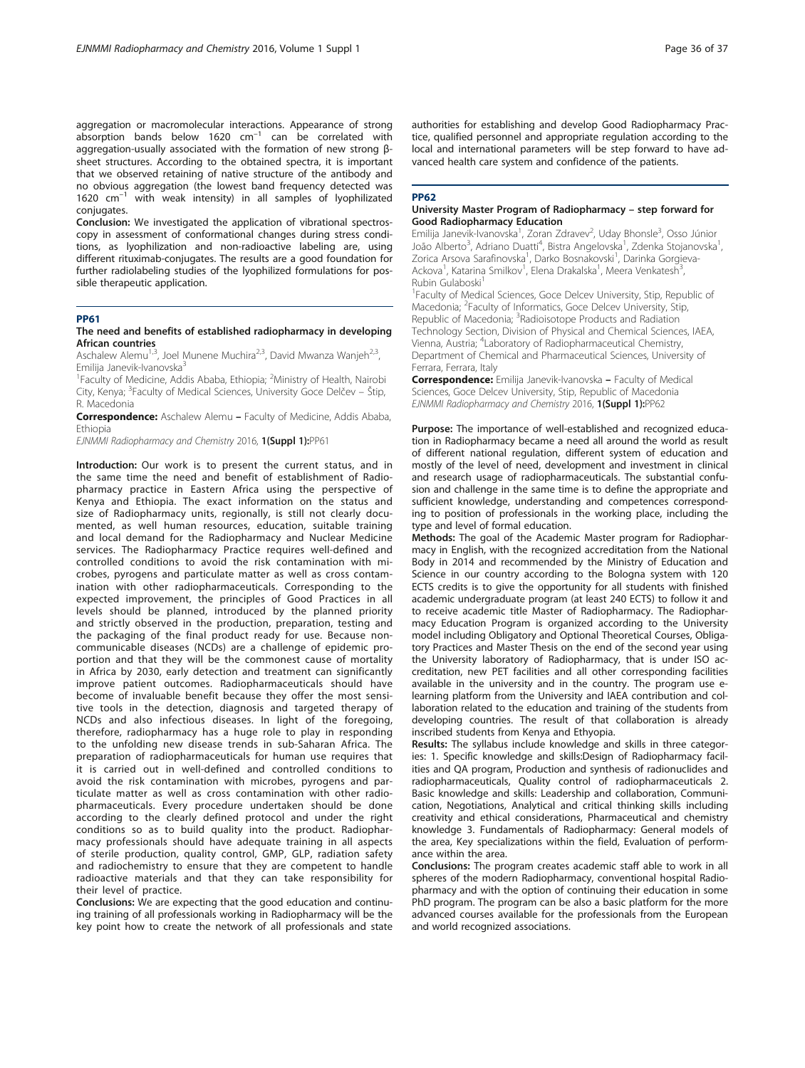aggregation or macromolecular interactions. Appearance of strong absorption bands below 1620  $cm^{-1}$  can be correlated with aggregation-usually associated with the formation of new strong βsheet structures. According to the obtained spectra, it is important that we observed retaining of native structure of the antibody and no obvious aggregation (the lowest band frequency detected was 1620 cm–<sup>1</sup> with weak intensity) in all samples of lyophilizated conjugates.

Conclusion: We investigated the application of vibrational spectroscopy in assessment of conformational changes during stress conditions, as lyophilization and non-radioactive labeling are, using different rituximab-conjugates. The results are a good foundation for further radiolabeling studies of the lyophilized formulations for possible therapeutic application.

#### PP61

#### The need and benefits of established radiopharmacy in developing African countries

Aschalew Alemu<sup>1,3</sup>, Joel Munene Muchira<sup>2,3</sup>, David Mwanza Wanjeh<sup>2,3</sup>, Emilija Janevik-Ivanovska<sup>3</sup>

<sup>1</sup> Faculty of Medicine, Addis Ababa, Ethiopia; <sup>2</sup> Ministry of Health, Nairobi City, Kenya; <sup>3</sup>Faculty of Medical Sciences, University Goce Delčev – Štip, R. Macedonia

**Correspondence:** Aschalew Alemu - Faculty of Medicine, Addis Ababa, Ethiopia

EJNMMI Radiopharmacy and Chemistry 2016, 1(Suppl 1):PP61

Introduction: Our work is to present the current status, and in the same time the need and benefit of establishment of Radiopharmacy practice in Eastern Africa using the perspective of Kenya and Ethiopia. The exact information on the status and size of Radiopharmacy units, regionally, is still not clearly documented, as well human resources, education, suitable training and local demand for the Radiopharmacy and Nuclear Medicine services. The Radiopharmacy Practice requires well-defined and controlled conditions to avoid the risk contamination with microbes, pyrogens and particulate matter as well as cross contamination with other radiopharmaceuticals. Corresponding to the expected improvement, the principles of Good Practices in all levels should be planned, introduced by the planned priority and strictly observed in the production, preparation, testing and the packaging of the final product ready for use. Because noncommunicable diseases (NCDs) are a challenge of epidemic proportion and that they will be the commonest cause of mortality in Africa by 2030, early detection and treatment can significantly improve patient outcomes. Radiopharmaceuticals should have become of invaluable benefit because they offer the most sensitive tools in the detection, diagnosis and targeted therapy of NCDs and also infectious diseases. In light of the foregoing, therefore, radiopharmacy has a huge role to play in responding to the unfolding new disease trends in sub-Saharan Africa. The preparation of radiopharmaceuticals for human use requires that it is carried out in well-defined and controlled conditions to avoid the risk contamination with microbes, pyrogens and particulate matter as well as cross contamination with other radiopharmaceuticals. Every procedure undertaken should be done according to the clearly defined protocol and under the right conditions so as to build quality into the product. Radiopharmacy professionals should have adequate training in all aspects of sterile production, quality control, GMP, GLP, radiation safety and radiochemistry to ensure that they are competent to handle radioactive materials and that they can take responsibility for their level of practice.

Conclusions: We are expecting that the good education and continuing training of all professionals working in Radiopharmacy will be the key point how to create the network of all professionals and state

authorities for establishing and develop Good Radiopharmacy Practice, qualified personnel and appropriate regulation according to the local and international parameters will be step forward to have advanced health care system and confidence of the patients.

#### PP62

#### University Master Program of Radiopharmacy – step forward for Good Radiopharmacy Education

Emilija Janevik-Ivanovska<sup>1</sup>, Zoran Zdravev<sup>2</sup>, Uday Bhonsle<sup>3</sup>, Osso Júnior João Alberto<sup>3</sup>, Adriano Duatti<sup>4</sup>, Bistra Angelovska<sup>1</sup>, Zdenka Stojanovska<sup>1</sup> , Zorica Arsova Sarafinovska<sup>1</sup>, Darko Bosnakovski<sup>1</sup>, Darinka Gorgieva-Ackova<sup>1</sup>, Katarina Smilkov<sup>1</sup>, Elena Drakalska<sup>1</sup>, Meera Venkatesh<sup>3</sup> , Rubin Gulaboski<sup>1</sup>

<sup>1</sup>Faculty of Medical Sciences, Goce Delcev University, Stip, Republic of Macedonia; <sup>2</sup>Faculty of Informatics, Goce Delcev University, Stip, Republic of Macedonia; <sup>3</sup>Radioisotope Products and Radiation Technology Section, Division of Physical and Chemical Sciences, IAEA, Vienna, Austria; <sup>4</sup> Laboratory of Radiopharmaceutical Chemistry, Department of Chemical and Pharmaceutical Sciences, University of Ferrara, Ferrara, Italy

Correspondence: Emilija Janevik-Ivanovska - Faculty of Medical Sciences, Goce Delcev University, Stip, Republic of Macedonia EJNMMI Radiopharmacy and Chemistry 2016, 1(Suppl 1):PP62

Purpose: The importance of well-established and recognized education in Radiopharmacy became a need all around the world as result of different national regulation, different system of education and mostly of the level of need, development and investment in clinical and research usage of radiopharmaceuticals. The substantial confusion and challenge in the same time is to define the appropriate and sufficient knowledge, understanding and competences corresponding to position of professionals in the working place, including the type and level of formal education.

Methods: The goal of the Academic Master program for Radiopharmacy in English, with the recognized accreditation from the National Body in 2014 and recommended by the Ministry of Education and Science in our country according to the Bologna system with 120 ECTS credits is to give the opportunity for all students with finished academic undergraduate program (at least 240 ECTS) to follow it and to receive academic title Master of Radiopharmacy. The Radiopharmacy Education Program is organized according to the University model including Obligatory and Optional Theoretical Courses, Obligatory Practices and Master Thesis on the end of the second year using the University laboratory of Radiopharmacy, that is under ISO accreditation, new PET facilities and all other corresponding facilities available in the university and in the country. The program use elearning platform from the University and IAEA contribution and collaboration related to the education and training of the students from developing countries. The result of that collaboration is already inscribed students from Kenya and Ethyopia.

Results: The syllabus include knowledge and skills in three categories: 1. Specific knowledge and skills:Design of Radiopharmacy facilities and QA program, Production and synthesis of radionuclides and radiopharmaceuticals, Quality control of radiopharmaceuticals 2. Basic knowledge and skills: Leadership and collaboration, Communication, Negotiations, Analytical and critical thinking skills including creativity and ethical considerations, Pharmaceutical and chemistry knowledge 3. Fundamentals of Radiopharmacy: General models of the area, Key specializations within the field, Evaluation of performance within the area.

Conclusions: The program creates academic staff able to work in all spheres of the modern Radiopharmacy, conventional hospital Radiopharmacy and with the option of continuing their education in some PhD program. The program can be also a basic platform for the more advanced courses available for the professionals from the European and world recognized associations.